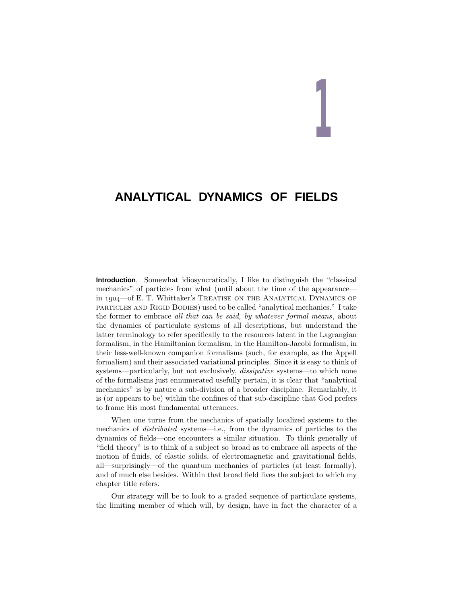# **1**

# **ANALYTICAL DYNAMICS OF FIELDS**

**Introduction**. Somewhat idiosyncratically, I like to distinguish the "classical mechanics" of particles from what (until about the time of the appearance in 1904—of E. T. Whittaker's TREATISE ON THE ANALYTICAL DYNAMICS OF particles and Rigid Bodies) used to be called "analytical mechanics." I take the former to embrace all that can be said, by whatever formal means, about the dynamics of particulate systems of all descriptions, but understand the latter terminology to refer specifically to the resources latent in the Lagrangian formalism, in the Hamiltonian formalism, in the Hamilton-Jacobi formalism, in their less-well-known companion formalisms (such, for example, as the Appell formalism) and their associated variational principles. Since it is easy to think of systems—particularly, but not exclusively, *dissipative* systems—to which none of the formalisms just ennumerated usefully pertain, it is clear that "analytical mechanics" is by nature a sub-division of a broader discipline. Remarkably, it is (or appears to be) within the confines of that sub-discipline that God prefers to frame His most fundamental utterances.

When one turns from the mechanics of spatially localized systems to the mechanics of distributed systems—i.e., from the dynamics of particles to the dynamics of fields—one encounters a similar situation. To think generally of "field theory" is to think of a subject so broad as to embrace all aspects of the motion of fluids, of elastic solids, of electromagnetic and gravitational fields, all—surprisingly—of the quantum mechanics of particles (at least formally), and of much else besides. Within that broad field lives the subject to which my chapter title refers.

Our strategy will be to look to a graded sequence of particulate systems, the limiting member of which will, by design, have in fact the character of a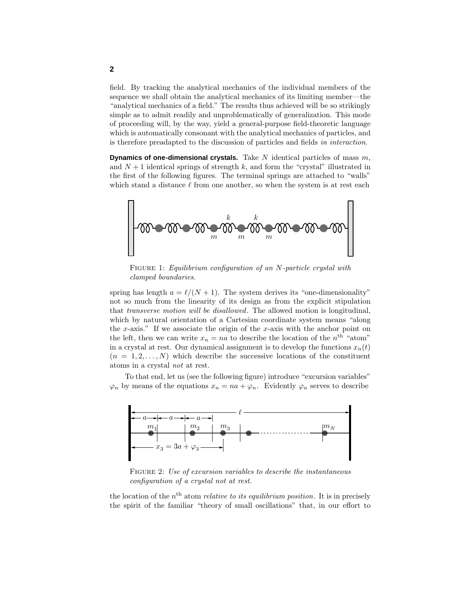field. By tracking the analytical mechanics of the individual members of the sequence we shall obtain the analytical mechanics of its limiting member—the "analytical mechanics of a field." The results thus achieved will be so strikingly simple as to admit readily and unproblematically of generalization. This mode of proceeding will, by the way, yield a general-purpose field-theoretic language which is automatically consonant with the analytical mechanics of particles, and is therefore preadapted to the discussion of particles and fields in interaction.

**Dynamics of one-dimensional crystals.** Take *N* identical particles of mass *m*, and  $N+1$  identical springs of strength  $k$ , and form the "crystal" illustrated in the first of the following figures. The terminal springs are attached to "walls" which stand a distance  $\ell$  from one another, so when the system is at rest each



Figure 1: Equilibrium configuration of an *N*-particle crystal with clamped boundaries.

spring has length  $a = \ell/(N + 1)$ . The system derives its "one-dimensionality" not so much from the linearity of its design as from the explicit stipulation that transverse motion will be disallowed. The allowed motion is longitudinal, which by natural orientation of a Cartesian coordinate system means "along the *x*-axis." If we associate the origin of the *x*-axis with the anchor point on the left, then we can write  $x_n = na$  to describe the location of the  $n^{\text{th}}$  "atom" in a crystal at rest. Our dynamical assignment is to develop the functions  $x_n(t)$  $(n = 1, 2, \ldots, N)$  which describe the successive locations of the constituent atoms in a crystal not at rest.

To that end, let us (see the following figure) introduce "excursion variables"  $\varphi_n$  by means of the equations  $x_n = na + \varphi_n$ . Evidently  $\varphi_n$  serves to describe



FIGURE 2: Use of excursion variables to describe the instantaneous configuration of a crystal not at rest.

the location of the  $n<sup>th</sup>$  atom *relative to its equilibrium position*. It is in precisely the spirit of the familiar "theory of small oscillations" that, in our effort to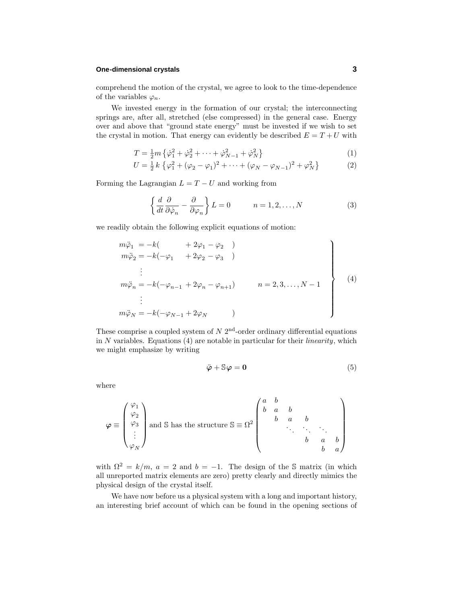### **One-dimensional crystals 3**

comprehend the motion of the crystal, we agree to look to the time-dependence of the variables  $\varphi_n$ .

We invested energy in the formation of our crystal; the interconnecting springs are, after all, stretched (else compressed) in the general case. Energy over and above that "ground state energy" must be invested if we wish to set the crystal in motion. That energy can evidently be described  $E = T + U$  with

$$
T = \frac{1}{2}m\left\{\dot{\varphi}_1^2 + \dot{\varphi}_2^2 + \dots + \dot{\varphi}_{N-1}^2 + \dot{\varphi}_N^2\right\}
$$
 (1)

$$
U = \frac{1}{2}k \left\{ \varphi_1^2 + (\varphi_2 - \varphi_1)^2 + \dots + (\varphi_N - \varphi_{N-1})^2 + \varphi_N^2 \right\}
$$
 (2)

Forming the Lagrangian  $L = T - U$  and working from

$$
\left\{\frac{d}{dt}\frac{\partial}{\partial \dot{\varphi}_n} - \frac{\partial}{\partial \varphi_n}\right\} L = 0 \qquad n = 1, 2, \dots, N
$$
 (3)

we readily obtain the following explicit equations of motion:

$$
m\ddot{\varphi}_1 = -k(\t+2\varphi_1 - \varphi_2) \nm\ddot{\varphi}_2 = -k(-\varphi_1 + 2\varphi_2 - \varphi_3) \n\vdots \nm\ddot{\varphi}_n = -k(-\varphi_{n-1} + 2\varphi_n - \varphi_{n+1}) \t n = 2, 3, ..., N - 1 \n\vdots \nm\ddot{\varphi}_N = -k(-\varphi_{N-1} + 2\varphi_N)
$$
\n(4)

These comprise a coupled system of  $N$   $2<sup>nd</sup>$ -order ordinary differential equations in *N* variables. Equations (4) are notable in particular for their linearity, which we might emphasize by writing

$$
\ddot{\varphi} + \mathbb{S}\varphi = 0 \tag{5}
$$

where

$$
\varphi \equiv \begin{pmatrix} \varphi_1 \\ \varphi_2 \\ \varphi_3 \\ \vdots \\ \varphi_N \end{pmatrix} \text{ and } \mathbb{S} \text{ has the structure } \mathbb{S} \equiv \Omega^2 \begin{pmatrix} a & b & & & \\ b & a & b & & \\ & b & a & b & \\ & & \ddots & \ddots & \ddots & \\ & & & b & a & b \\ & & & & b & a \end{pmatrix}
$$

with  $\Omega^2 = k/m$ ,  $a = 2$  and  $b = -1$ . The design of the S matrix (in which all unreported matrix elements are zero) pretty clearly and directly mimics the physical design of the crystal itself.

We have now before us a physical system with a long and important history, an interesting brief account of which can be found in the opening sections of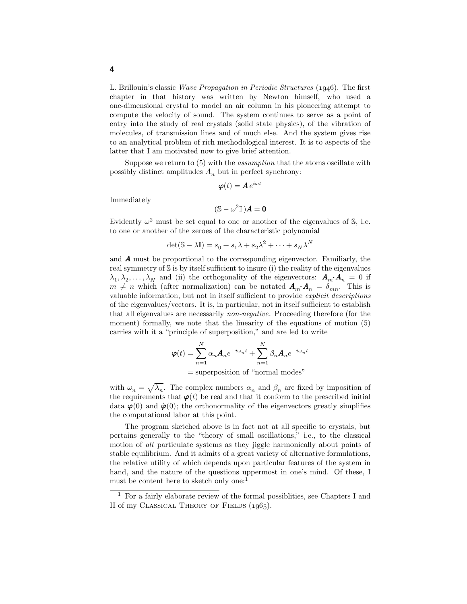L. Brillouin's classic *Wave Propagation in Periodic Structures*  $(1946)$ . The first chapter in that history was written by Newton himself, who used a one-dimensional crystal to model an air column in his pioneering attempt to compute the velocity of sound. The system continues to serve as a point of entry into the study of real crystals (solid state physics), of the vibration of molecules, of transmission lines and of much else. And the system gives rise to an analytical problem of rich methodological interest. It is to aspects of the latter that I am motivated now to give brief attention.

Suppose we return to (5) with the assumption that the atoms oscillate with possibly distinct amplitudes  $A_n$  but in perfect synchrony:

$$
\boldsymbol{\varphi}(t) = \boldsymbol{A} e^{i \omega t}
$$

Immediately

$$
(\mathbb{S} - \omega^2 \mathbb{I})\mathbf{A} = \mathbf{0}
$$

Evidently  $\omega^2$  must be set equal to one or another of the eigenvalues of S, i.e. to one or another of the zeroes of the characteristic polynomial

$$
\det(\mathbb{S} - \lambda \mathbb{I}) = s_0 + s_1 \lambda + s_2 \lambda^2 + \dots + s_N \lambda^N
$$

and *A* must be proportional to the corresponding eigenvector. Familiarly, the real symmetry of S is by itself sufficient to insure (i) the reality of the eigenvalues  $\lambda_1, \lambda_2, \ldots, \lambda_N$  and (ii) the orthogonality of the eigenvectors:  $A_m \cdot A_n = 0$  if  $m \neq n$  which (after normalization) can be notated  $A_m \cdot A_n = \delta_{mn}$ . This is valuable information, but not in itself sufficient to provide explicit descriptions of the eigenvalues/vectors. It is, in particular, not in itself sufficient to establish that all eigenvalues are necessarily non-negative. Proceeding therefore (for the moment) formally, we note that the linearity of the equations of motion (5) carries with it a "principle of superposition," and are led to write

$$
\varphi(t) = \sum_{n=1}^{N} \alpha_n \mathbf{A}_n e^{+i\omega_n t} + \sum_{n=1}^{N} \beta_n \mathbf{A}_n e^{-i\omega_n t}
$$

 $=$  superposition of "normal modes"

with  $\omega_n = \sqrt{\lambda_n}$ . The complex numbers  $\alpha_n$  and  $\beta_n$  are fixed by imposition of the requirements that  $\varphi(t)$  be real and that it conform to the prescribed initial data  $\varphi(0)$  and  $\dot{\varphi}(0)$ ; the orthonormality of the eigenvectors greatly simplifies the computational labor at this point.

The program sketched above is in fact not at all specific to crystals, but pertains generally to the "theory of small oscillations," i.e., to the classical motion of *all* particulate systems as they jiggle harmonically about points of stable equilibrium. And it admits of a great variety of alternative formulations, the relative utility of which depends upon particular features of the system in hand, and the nature of the questions uppermost in one's mind. Of these, I must be content here to sketch only one:<sup>1</sup>

<sup>1</sup> For a fairly elaborate review of the formal possiblities, see Chapters I and II of my CLASSICAL THEORY OF FIELDS  $(1965)$ .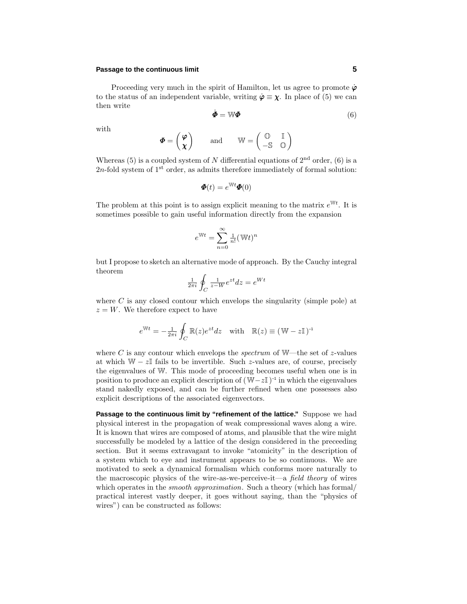### **Passage to the continuous limit 5**

Proceeding very much in the spirit of Hamilton, let us agree to promote  $\dot{\varphi}$ to the status of an independent variable, writing  $\dot{\varphi} \equiv \chi$ . In place of (5) we can then write

$$
\dot{\boldsymbol{\Phi}} = \mathbb{W}\boldsymbol{\Phi} \tag{6}
$$

with

$$
\boldsymbol{\Phi} = \begin{pmatrix} \boldsymbol{\varphi} \\ \boldsymbol{\chi} \end{pmatrix} \qquad \text{and} \qquad \mathbb{W} = \begin{pmatrix} \mathbb{O} & \mathbb{I} \\ -\mathbb{S} & \mathbb{O} \end{pmatrix}
$$

Whereas (5) is a coupled system of *N* differential equations of  $2<sup>nd</sup>$  order, (6) is a  $2n$ -fold system of  $1<sup>st</sup>$  order, as admits therefore immediately of formal solution:

$$
\boldsymbol{\Phi}(t) = e^{\mathbb{W}t}\boldsymbol{\Phi}(0)
$$

The problem at this point is to assign explicit meaning to the matrix  $e^{\mathbb{W}t}$ . It is sometimes possible to gain useful information directly from the expansion

$$
e^{\mathbb{W}t} = \sum_{n=0}^{\infty} \frac{1}{n!} (\mathbb{W}t)^n
$$

but I propose to sketch an alternative mode of approach. By the Cauchy integral theorem

$$
\frac{1}{2\pi i} \oint_C \frac{1}{z-W} e^{zt} dz = e^{Wt}
$$

where  $C$  is any closed contour which envelops the singularity (simple pole) at  $z = W$ . We therefore expect to have

$$
e^{\mathbb{W}t} = -\frac{1}{2\pi i} \oint_C \mathbb{R}(z) e^{zt} dz \quad \text{with} \quad \mathbb{R}(z) \equiv (\mathbb{W} - z\mathbb{I})^{-1}
$$

where  $C$  is any contour which envelops the *spectrum* of  $W$ —the set of *z*-values at which W − *z*I fails to be invertible. Such *z*-values are, of course, precisely the eigenvalues of W. This mode of proceeding becomes useful when one is in position to produce an explicit description of (W−*z*I)–1 in which the eigenvalues stand nakedly exposed, and can be further refined when one possesses also explicit descriptions of the associated eigenvectors.

**Passage to the continuous limit by "refinement of the lattice."** Suppose we had physical interest in the propagation of weak compressional waves along a wire. It is known that wires are composed of atoms, and plausible that the wire might successfully be modeled by a lattice of the design considered in the preceeding section. But it seems extravagant to invoke "atomicity" in the description of a system which to eye and instrument appears to be so continuous. We are motivated to seek a dynamical formalism which conforms more naturally to the macroscopic physics of the wire-as-we-perceive-it—a field theory of wires which operates in the *smooth approximation*. Such a theory (which has formal) practical interest vastly deeper, it goes without saying, than the "physics of wires") can be constructed as follows: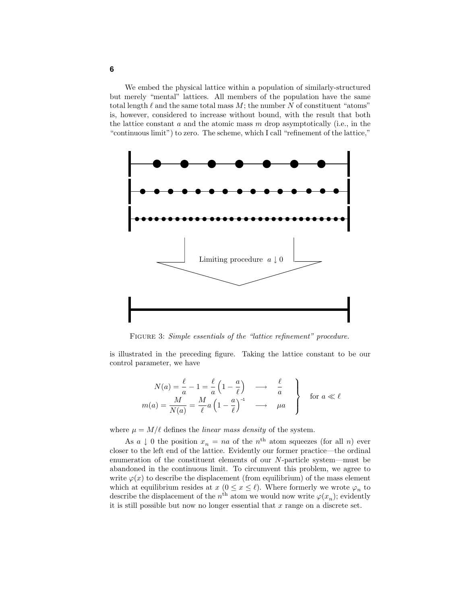We embed the physical lattice within a population of similarly-structured but merely "mental" lattices. All members of the population have the same total length  $\ell$  and the same total mass  $M$ ; the number  $N$  of constituent "atoms" is, however, considered to increase without bound, with the result that both the lattice constant *a* and the atomic mass *m* drop asymptotically (i.e., in the "continuous limit") to zero. The scheme, which I call "refinement of the lattice,"



FIGURE 3: Simple essentials of the "lattice refinement" procedure.

is illustrated in the preceding figure. Taking the lattice constant to be our control parameter, we have

$$
N(a) = \frac{\ell}{a} - 1 = \frac{\ell}{a} \left( 1 - \frac{a}{\ell} \right) \longrightarrow \frac{\ell}{a}
$$
  

$$
m(a) = \frac{M}{N(a)} = \frac{M}{\ell} a \left( 1 - \frac{a}{\ell} \right)^{-1} \longrightarrow \mu a
$$
 for  $a \ll \ell$ 

where  $\mu = M/\ell$  defines the *linear mass density* of the system.

As  $a \downarrow 0$  the position  $x_n = na$  of the  $n^{\text{th}}$  atom squeezes (for all *n*) ever closer to the left end of the lattice. Evidently our former practice—the ordinal enumeration of the constituent elements of our *N*-particle system—must be abandoned in the continuous limit. To circumvent this problem, we agree to write  $\varphi(x)$  to describe the displacement (from equilibrium) of the mass element which at equilibrium resides at  $x$  ( $0 \le x \le \ell$ ). Where formerly we wrote  $\varphi_n$  to describe the displacement of the  $n^{\text{th}}$  atom we would now write  $\varphi(x_n)$ ; evidently it is still possible but now no longer essential that *x* range on a discrete set.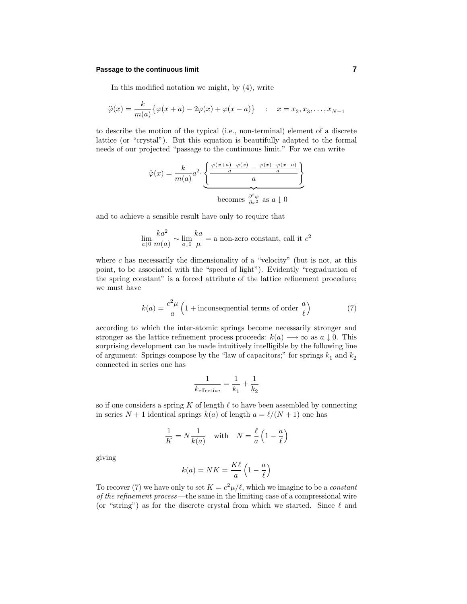### **Passage to the continuous limit 7**

In this modified notation we might, by (4), write

$$
\ddot{\varphi}(x) = \frac{k}{m(a)} \{ \varphi(x+a) - 2\varphi(x) + \varphi(x-a) \} \quad : \quad x = x_2, x_3, \dots, x_{N-1}
$$

to describe the motion of the typical (i.e., non-terminal) element of a discrete lattice (or "crystal"). But this equation is beautifully adapted to the formal needs of our projected "passage to the continuous limit." For we can write

$$
\ddot{\varphi}(x) = \frac{k}{m(a)}a^2 \cdot \underbrace{\left\{\frac{\varphi(x+a) - \varphi(x)}{a} - \frac{\varphi(x) - \varphi(x-a)}{a}}{a}\right\}}_{\text{becomes } \frac{\partial^2 \varphi}{\partial x^2} \text{ as } a \downarrow 0}
$$

and to achieve a sensible result have only to require that

$$
\lim_{a \downarrow 0} \frac{ka^2}{m(a)} \sim \lim_{a \downarrow 0} \frac{ka}{\mu} = \text{a non-zero constant, call it } c^2
$$

where  $c$  has necessarily the dimensionality of a "velocity" (but is not, at this point, to be associated with the "speed of light"). Evidently "regraduation of the spring constant" is a forced attribute of the lattice refinement procedure; we must have

$$
k(a) = \frac{c^2 \mu}{a} \left( 1 + \text{inconsequential terms of order } \frac{a}{\ell} \right) \tag{7}
$$

according to which the inter-atomic springs become necessarily stronger and stronger as the lattice refinement process proceeds:  $k(a) \rightarrow \infty$  as  $a \downarrow 0$ . This surprising development can be made intuitively intelligible by the following line of argument: Springs compose by the "law of capacitors;" for springs  $k_1$  and  $k_2$ connected in series one has

$$
\frac{1}{k_{\text{effective}}} = \frac{1}{k_1} + \frac{1}{k_2}
$$

so if one considers a spring  $K$  of length  $\ell$  to have been assembled by connecting in series  $N + 1$  identical springs  $k(a)$  of length  $a = \ell/(N + 1)$  one has

$$
\frac{1}{K} = N \frac{1}{k(a)} \quad \text{with} \quad N = \frac{\ell}{a} \left( 1 - \frac{a}{\ell} \right)
$$

giving

$$
k(a) = NK = \frac{K\ell}{a} \left( 1 - \frac{a}{\ell} \right)
$$

To recover (7) we have only to set  $K = c^2 \mu / \ell$ , which we imagine to be a *constant* of the refinement process —the same in the limiting case of a compressional wire (or "string") as for the discrete crystal from which we started. Since  $\ell$  and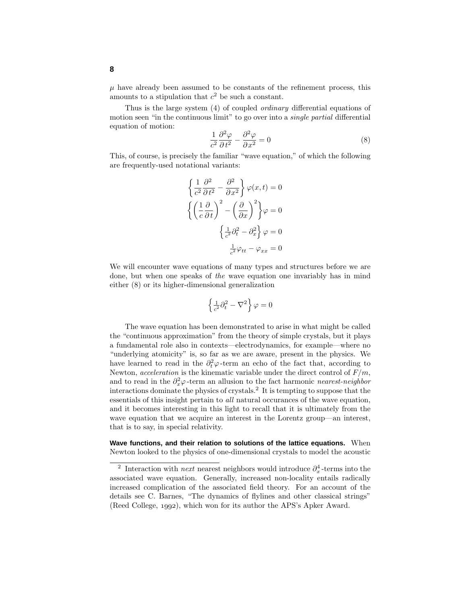$\mu$  have already been assumed to be constants of the refinement process, this amounts to a stipulation that  $c^2$  be such a constant.

Thus is the large system (4) of coupled ordinary differential equations of motion seen "in the continuous limit" to go over into a *single partial* differential equation of motion:

$$
\frac{1}{c^2} \frac{\partial^2 \varphi}{\partial t^2} - \frac{\partial^2 \varphi}{\partial x^2} = 0
$$
\n(8)

This, of course, is precisely the familiar "wave equation," of which the following are frequently-used notational variants:

$$
\left\{\frac{1}{c^2}\frac{\partial^2}{\partial t^2} - \frac{\partial^2}{\partial x^2}\right\}\varphi(x,t) = 0
$$

$$
\left\{\left(\frac{1}{c}\frac{\partial}{\partial t}\right)^2 - \left(\frac{\partial}{\partial x}\right)^2\right\}\varphi = 0
$$

$$
\left\{\frac{1}{c^2}\partial_t^2 - \partial_x^2\right\}\varphi = 0
$$

$$
\frac{1}{c^2}\varphi_{tt} - \varphi_{xx} = 0
$$

We will encounter wave equations of many types and structures before we are done, but when one speaks of the wave equation one invariably has in mind either (8) or its higher-dimensional generalization

$$
\left\{\tfrac{1}{c^2}\partial_t^2-\nabla^2\right\}\varphi=0
$$

The wave equation has been demonstrated to arise in what might be called the "continuous approximation" from the theory of simple crystals, but it plays a fundamental role also in contexts—electrodynamics, for example—where no "underlying atomicity" is, so far as we are aware, present in the physics. We have learned to read in the  $\partial_t^2 \varphi$ -term an echo of the fact that, according to Newton, acceleration is the kinematic variable under the direct control of *F/m*, and to read in the  $\partial_x^2 \varphi$ -term an allusion to the fact harmonic *nearest-neighbor* interactions dominate the physics of crystals.<sup>2</sup> It is tempting to suppose that the essentials of this insight pertain to all natural occurances of the wave equation, and it becomes interesting in this light to recall that it is ultimately from the wave equation that we acquire an interest in the Lorentz group—an interest, that is to say, in special relativity.

**Wave functions, and their relation to solutions of the lattice equations.** When Newton looked to the physics of one-dimensional crystals to model the acoustic

<sup>&</sup>lt;sup>2</sup> Interaction with *next* nearest neighbors would introduce  $\partial_x^4$ -terms into the associated wave equation. Generally, increased non-locality entails radically increased complication of the associated field theory. For an account of the details see C. Barnes, "The dynamics of flylines and other classical strings" (Reed College, 1992), which won for its author the APS's Apker Award.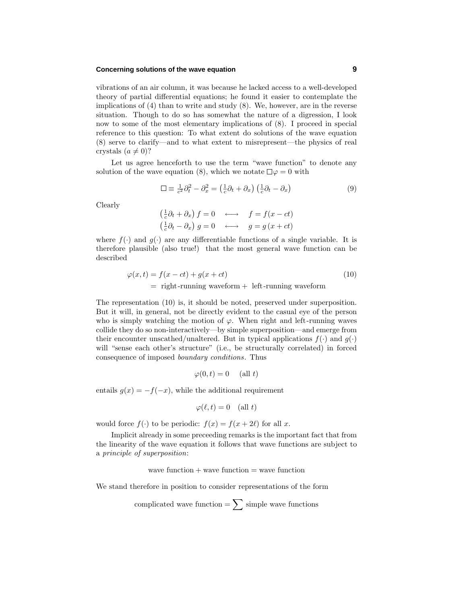### **Concerning solutions of the wave equation 9**

vibrations of an air column, it was because he lacked access to a well-developed theory of partial differential equations; he found it easier to contemplate the implications of  $(4)$  than to write and study  $(8)$ . We, however, are in the reverse situation. Though to do so has somewhat the nature of a digression, I look now to some of the most elementary implications of (8). I proceed in special reference to this question: To what extent do solutions of the wave equation (8) serve to clarify—and to what extent to misrepresent—the physics of real crystals  $(a \neq 0)$ ?

Let us agree henceforth to use the term "wave function" to denote any solution of the wave equation (8), which we notate  $\Box \varphi = 0$  with

$$
\Box \equiv \frac{1}{c^2} \partial_t^2 - \partial_x^2 = \left(\frac{1}{c} \partial_t + \partial_x\right) \left(\frac{1}{c} \partial_t - \partial_x\right) \tag{9}
$$

Clearly

$$
\begin{aligned}\n\left(\frac{1}{c}\partial_t + \partial_x\right)f &= 0 &\longleftrightarrow & f &= f(x - ct) \\
\left(\frac{1}{c}\partial_t - \partial_x\right)g &= 0 &\longleftrightarrow & g &= g(x + ct)\n\end{aligned}
$$

where  $f(\cdot)$  and  $g(\cdot)$  are any differentiable functions of a single variable. It is therefore plausible (also true!) that the most general wave function can be described

$$
\varphi(x,t) = f(x - ct) + g(x + ct)
$$
  
= right-running waveform + left-running waveform (10)

The representation (10) is, it should be noted, preserved under superposition. But it will, in general, not be directly evident to the casual eye of the person who is simply watching the motion of  $\varphi$ . When right and left-running waves collide they do so non-interactively—by simple superposition—and emerge from their encounter unscathed/unaltered. But in typical applications  $f(\cdot)$  and  $g(\cdot)$ will "sense each other's structure" (i.e., be structurally correlated) in forced consequence of imposed *boundary conditions*. Thus

$$
\varphi(0, t) = 0 \quad \text{(all } t)
$$

entails  $g(x) = -f(-x)$ , while the additional requirement

$$
\varphi(\ell, t) = 0 \quad \text{(all } t)
$$

would force  $f(\cdot)$  to be periodic:  $f(x) = f(x + 2\ell)$  for all *x*.

Implicit already in some preceeding remarks is the important fact that from the linearity of the wave equation it follows that wave functions are subject to a principle of superposition:

wave function  $+$  wave function  $=$  wave function

We stand therefore in position to consider representations of the form

complicated wave function  $=$   $\sum$  simple wave functions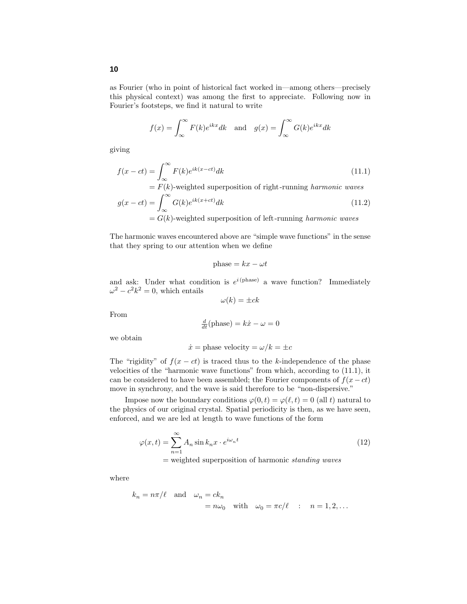as Fourier (who in point of historical fact worked in—among others—precisely this physical context) was among the first to appreciate. Following now in Fourier's footsteps, we find it natural to write

$$
f(x) = \int_{\infty}^{\infty} F(k)e^{ikx}dk \text{ and } g(x) = \int_{\infty}^{\infty} G(k)e^{ikx}dk
$$

giving

$$
f(x - ct) = \int_{-\infty}^{\infty} F(k)e^{ik(x - ct)}dk
$$
\n
$$
= F(k) \text{ weighted superposition of right running harmonic gauge}
$$
\n(11.1)

 $= F(k)$ -weighted superposition of right-running *harmonic waves* 

$$
g(x - ct) = \int_{-\infty}^{\infty} G(k)e^{ik(x+ct)}dk
$$
  
=  $G(k)$ -weighted superposition of left-running harmonic waves

The harmonic waves encountered above are "simple wave functions" in the sense that they spring to our attention when we define

$$
phase = kx - \omega t
$$

and ask: Under what condition is  $e^{i(\text{phase})}$  a wave function? Immediately  $\omega^2 - c^2 k^2 = 0$ , which entails

$$
\omega(k) = \pm ck
$$

From

$$
\frac{d}{dt}(\text{phase}) = k\dot{x} - \omega = 0
$$

we obtain

$$
\dot{x}
$$
 = phase velocity =  $\omega/k = \pm c$ 

The "rigidity" of  $f(x - ct)$  is traced thus to the *k*-independence of the phase velocities of the "harmonic wave functions" from which, according to (11.1), it can be considered to have been assembled; the Fourier components of  $f(x - ct)$ move in synchrony, and the wave is said therefore to be "non-dispersive."

Impose now the boundary conditions  $\varphi(0, t) = \varphi(\ell, t) = 0$  (all t) natural to the physics of our original crystal. Spatial periodicity is then, as we have seen, enforced, and we are led at length to wave functions of the form

$$
\varphi(x,t) = \sum_{n=1}^{\infty} A_n \sin k_n x \cdot e^{i\omega_n t}
$$
\n(12)

 $=$  weighted superposition of harmonic *standing waves* 

where

$$
k_n = n\pi/\ell
$$
 and  $\omega_n = ck_n$   
=  $n\omega_0$  with  $\omega_0 = \pi c/\ell$  :  $n = 1, 2, ...$ 

**10**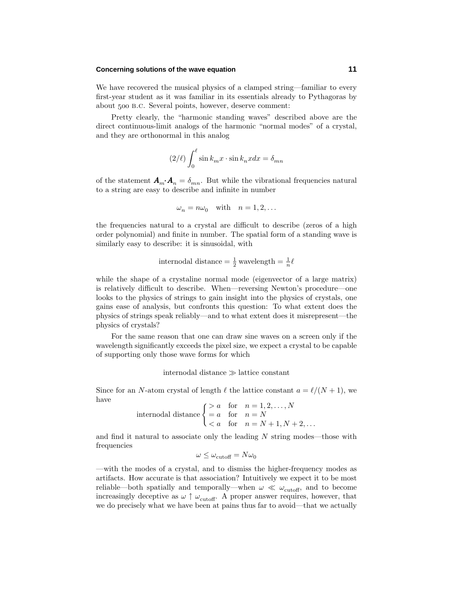### **Concerning solutions of the wave equation 11**

We have recovered the musical physics of a clamped string—familiar to every first-year student as it was familiar in its essentials already to Pythagoras by about 500 B.C. Several points, however, deserve comment:

Pretty clearly, the "harmonic standing waves" described above are the direct continuous-limit analogs of the harmonic "normal modes" of a crystal, and they are orthonormal in this analog

$$
(2/\ell)\int_0^{\ell} \sin k_m x \cdot \sin k_n x dx = \delta_{mn}
$$

of the statement  $A_m \cdot A_n = \delta_{mn}$ . But while the vibrational frequencies natural to a string are easy to describe and infinite in number

$$
\omega_n = n\omega_0 \quad \text{with} \quad n = 1, 2, \dots
$$

the frequencies natural to a crystal are difficult to describe (zeros of a high order polynomial) and finite in number. The spatial form of a standing wave is similarly easy to describe: it is sinusoidal, with

internodal distance = 
$$
\frac{1}{2}
$$
 wavelength =  $\frac{1}{n}\ell$ 

while the shape of a crystaline normal mode (eigenvector of a large matrix) is relatively difficult to describe. When—reversing Newton's procedure—one looks to the physics of strings to gain insight into the physics of crystals, one gains ease of analysis, but confronts this question: To what extent does the physics of strings speak reliably—and to what extent does it misrepresent—the physics of crystals?

For the same reason that one can draw sine waves on a screen only if the wavelength significantly exceeds the pixel size, we expect a crystal to be capable of supporting only those wave forms for which

internodal distance  $\gg$  lattice constant

Since for an *N*-atom crystal of length  $\ell$  the lattice constant  $a = \ell/(N+1)$ , we have

internodal distance  $\begin{cases} > a & \text{for } n = 1, 2, ..., N \\ = a & \text{for } n = N \end{cases}$  $a \text{ for } n = N + 1, N + 2, ...$ 

and find it natural to associate only the leading *N* string modes—those with frequencies

$$
\omega \leq \omega_{\rm cutoff} = N\omega_0
$$

—with the modes of a crystal, and to dismiss the higher-frequency modes as artifacts. How accurate is that association? Intuitively we expect it to be most reliable—both spatially and temporally—when  $\omega \ll \omega_{\text{cutoff}}$ , and to become increasingly deceptive as  $\omega \uparrow \omega_{\text{cutoff}}$ . A proper answer requires, however, that we do precisely what we have been at pains thus far to avoid—that we actually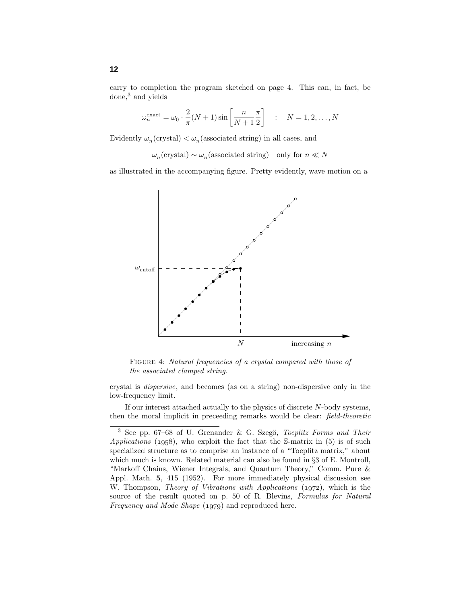carry to completion the program sketched on page 4. This can, in fact, be done,<sup>3</sup> and yields

$$
\omega_n^{\text{exact}} = \omega_0 \cdot \frac{2}{\pi} (N+1) \sin \left[ \frac{n}{N+1} \frac{\pi}{2} \right] \quad : \quad N = 1, 2, \dots, N
$$

Evidently  $\omega_n$ (crystal)  $\lt \omega_n$ (associated string) in all cases, and

 $\omega_n$ (crystal) ∼  $\omega_n$ (associated string) only for *n*  $\ll N$ 

as illustrated in the accompanying figure. Pretty evidently, wave motion on a



FIGURE 4: Natural frequencies of a crystal compared with those of the associated clamped string.

crystal is dispersive, and becomes (as on a string) non-dispersive only in the low-frequency limit.

If our interest attached actually to the physics of discrete *N*-body systems, then the moral implicit in preceeding remarks would be clear: field-theoretic

 $3$  See pp. 67–68 of U. Grenander & G. Szegö, Toeplitz Forms and Their Applications (1958), who exploit the fact that the S-matrix in  $(5)$  is of such specialized structure as to comprise an instance of a "Toeplitz matrix," about which much is known. Related material can also be found in §3 of E. Montroll, "Markoff Chains, Wiener Integrals, and Quantum Theory," Comm. Pure & Appl. Math. **5**, 415 (1952). For more immediately physical discussion see W. Thompson, Theory of Vibrations with Applications (1972), which is the source of the result quoted on p. 50 of R. Blevins, Formulas for Natural Frequency and Mode Shape  $(1979)$  and reproduced here.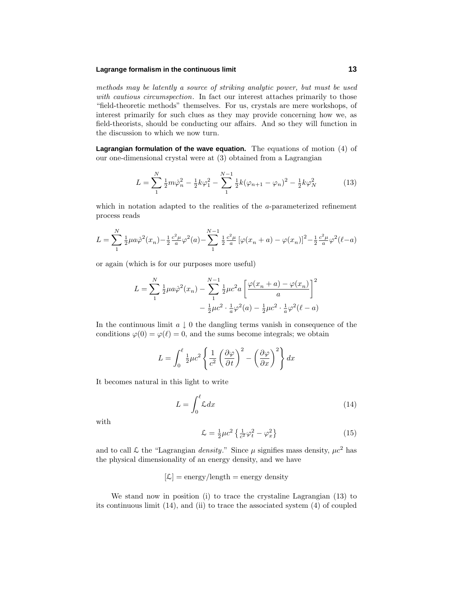### **Lagrange formalism in the continuous limit 13**

methods may be latently a source of striking analytic power, but must be used with cautious circumspection. In fact our interest attaches primarily to those "field-theoretic methods" themselves. For us, crystals are mere workshops, of interest primarily for such clues as they may provide concerning how we, as field-theorists, should be conducting our affairs. And so they will function in the discussion to which we now turn.

**Lagrangian formulation of the wave equation.** The equations of motion (4) of our one-dimensional crystal were at (3) obtained from a Lagrangian

$$
L = \sum_{1}^{N} \frac{1}{2} m \dot{\varphi}_n^2 - \frac{1}{2} k \varphi_1^2 - \sum_{1}^{N-1} \frac{1}{2} k (\varphi_{n+1} - \varphi_n)^2 - \frac{1}{2} k \varphi_N^2
$$
 (13)

which in notation adapted to the realities of the *a*-parameterized refinement process reads

$$
L = \sum_{1}^{N} \frac{1}{2} \mu a \dot{\varphi}^{2}(x_{n}) - \frac{1}{2} \frac{c^{2} \mu}{a} \varphi^{2}(a) - \sum_{1}^{N-1} \frac{1}{2} \frac{c^{2} \mu}{a} \left[ \varphi(x_{n} + a) - \varphi(x_{n}) \right]^{2} - \frac{1}{2} \frac{c^{2} \mu}{a} \varphi^{2}(\ell - a)
$$

or again (which is for our purposes more useful)

$$
L = \sum_{1}^{N} \frac{1}{2} \mu a \dot{\varphi}^{2}(x_{n}) - \sum_{1}^{N-1} \frac{1}{2} \mu c^{2} a \left[ \frac{\varphi(x_{n} + a) - \varphi(x_{n})}{a} \right]^{2}
$$

$$
- \frac{1}{2} \mu c^{2} \cdot \frac{1}{a} \varphi^{2}(a) - \frac{1}{2} \mu c^{2} \cdot \frac{1}{a} \varphi^{2}(\ell - a)
$$

In the continuous limit  $a \downarrow 0$  the dangling terms vanish in consequence of the conditions  $\varphi(0) = \varphi(\ell) = 0$ , and the sums become integrals; we obtain

$$
L = \int_0^{\ell} \frac{1}{2} \mu c^2 \left\{ \frac{1}{c^2} \left( \frac{\partial \varphi}{\partial t} \right)^2 - \left( \frac{\partial \varphi}{\partial x} \right)^2 \right\} dx
$$

It becomes natural in this light to write

$$
L = \int_0^\ell \mathcal{L} dx \tag{14}
$$

with

$$
\mathcal{L} = \frac{1}{2}\mu c^2 \left\{ \frac{1}{c^2} \varphi_t^2 - \varphi_x^2 \right\} \tag{15}
$$

and to call  $\mathcal L$  the "Lagrangian *density.*" Since  $\mu$  signifies mass density,  $\mu c^2$  has the physical dimensionality of an energy density, and we have

$$
[\mathcal{L}] = \text{energy/length} = \text{energy density}
$$

We stand now in position (i) to trace the crystaline Lagrangian (13) to its continuous limit (14), and (ii) to trace the associated system (4) of coupled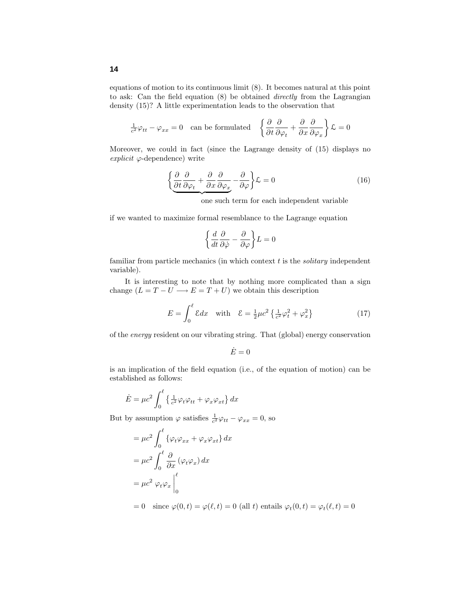equations of motion to its continuous limit (8). It becomes natural at this point to ask: Can the field equation (8) be obtained directly from the Lagrangian density (15)? A little experimentation leads to the observation that

$$
\frac{1}{c^2}\varphi_{tt} - \varphi_{xx} = 0 \quad \text{can be formulated} \quad \left\{\frac{\partial}{\partial t}\frac{\partial}{\partial \varphi_t} + \frac{\partial}{\partial x}\frac{\partial}{\partial \varphi_x}\right\}\mathcal{L} = 0
$$

Moreover, we could in fact (since the Lagrange density of (15) displays no explicit *ϕ*-dependence) write

$$
\left\{\frac{\partial}{\partial t}\frac{\partial}{\partial \varphi_t} + \frac{\partial}{\partial x}\frac{\partial}{\partial \varphi_x} - \frac{\partial}{\partial \varphi}\right\}\mathcal{L} = 0
$$
\n(16)

one such term for each independent variable

if we wanted to maximize formal resemblance to the Lagrange equation

$$
\left\{\frac{d}{dt}\frac{\partial}{\partial\dot{\varphi}} - \frac{\partial}{\partial\varphi}\right\} L = 0
$$

familiar from particle mechanics (in which context *t* is the solitary independent variable).

It is interesting to note that by nothing more complicated than a sign change  $(L = T - U \longrightarrow E = T + U)$  we obtain this description

$$
E = \int_0^{\ell} \mathcal{E} dx \quad \text{with} \quad \mathcal{E} = \frac{1}{2}\mu c^2 \left\{ \frac{1}{c^2} \varphi_t^2 + \varphi_x^2 \right\} \tag{17}
$$

of the energy resident on our vibrating string. That (global) energy conservation

$$
\dot{E}=0
$$

is an implication of the field equation (i.e., of the equation of motion) can be established as follows:

$$
\dot{E} = \mu c^2 \int_0^{\ell} \left\{ \frac{1}{c^2} \varphi_t \varphi_{tt} + \varphi_x \varphi_{xt} \right\} dx
$$

But by assumption  $\varphi$  satisfies  $\frac{1}{c^2} \varphi_{tt} - \varphi_{xx} = 0$ , so

$$
= \mu c^2 \int_0^{\ell} {\{\varphi_t \varphi_{xx} + \varphi_x \varphi_{xt}\} dx}
$$

$$
= \mu c^2 \int_0^{\ell} \frac{\partial}{\partial x} (\varphi_t \varphi_x) dx
$$

$$
= \mu c^2 \varphi_t \varphi_x \Big|_0^{\ell}
$$

= 0 since  $\varphi(0,t) = \varphi(\ell,t) = 0$  (all *t*) entails  $\varphi_t(0,t) = \varphi_t(\ell,t) = 0$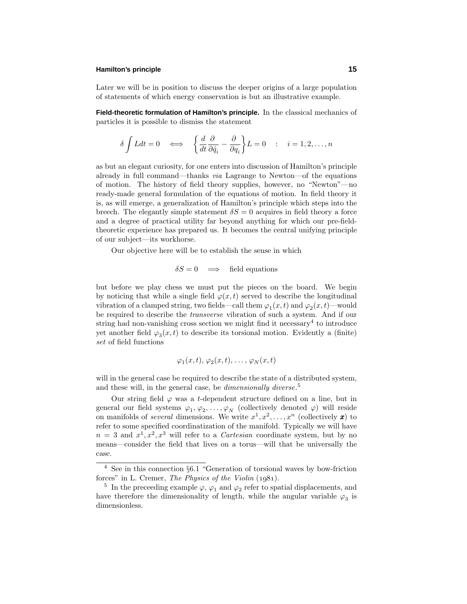### **Hamilton's principle 15**

Later we will be in position to discuss the deeper origins of a large population of statements of which energy conservation is but an illustrative example.

**Field-theoretic formulation of Hamilton's principle.** In the classical mechanics of particles it is possible to dismiss the statement

$$
\delta \int Ldt = 0 \quad \Longleftrightarrow \quad \left\{ \frac{d}{dt} \frac{\partial}{\partial \dot{q}_i} - \frac{\partial}{\partial q_i} \right\} L = 0 \quad : \quad i = 1, 2, \dots, n
$$

as but an elegant curiosity, for one enters into discussion of Hamilton's principle already in full command—thanks via Lagrange to Newton—of the equations of motion. The history of field theory supplies, however, no "Newton"—no ready-made general formulation of the equations of motion. In field theory it is, as will emerge, a generalization of Hamilton's principle which steps into the breech. The elegantly simple statement  $\delta S = 0$  acquires in field theory a force and a degree of practical utility far beyond anything for which our pre-fieldtheoretic experience has prepared us. It becomes the central unifying principle of our subject—its workhorse.

Our objective here will be to establish the sense in which

$$
\delta S = 0 \implies \text{field equations}
$$

but before we play chess we must put the pieces on the board. We begin by noticing that while a single field  $\varphi(x,t)$  served to describe the longitudinal vibration of a clamped string, two fields—call them  $\varphi_1(x,t)$  and  $\varphi_2(x,t)$ —would be required to describe the transverse vibration of such a system. And if our string had non-vanishing cross section we might find it necessary<sup>4</sup> to introduce yet another field  $\varphi_3(x,t)$  to describe its torsional motion. Evidently a (finite) set of field functions

$$
\varphi_1(x,t), \varphi_2(x,t), \ldots, \varphi_N(x,t)
$$

will in the general case be required to describe the state of a distributed system, and these will, in the general case, be *dimensionally diverse*.<sup>5</sup>

Our string field  $\varphi$  was a *t*-dependent structure defined on a line, but in general our field systems  $\varphi_1, \varphi_2, \ldots, \varphi_N$  (collectively denoted  $\varphi$ ) will reside on manifolds of *several* dimensions. We write  $x^1, x^2, \ldots, x^n$  (collectively **x**) to refer to some specified coordinatization of the manifold. Typically we will have  $n = 3$  and  $x<sup>1</sup>, x<sup>2</sup>, x<sup>3</sup>$  will refer to a *Cartesian* coordinate system, but by no means—consider the field that lives on a torus—will that be universally the case.

<sup>4</sup> See in this connection §6.1 "Generation of torsional waves by bow-friction forces" in L. Cremer, The Physics of the Violin  $(1981)$ .

<sup>&</sup>lt;sup>5</sup> In the preceeding example  $\varphi$ ,  $\varphi_1$  and  $\varphi_2$  refer to spatial displacements, and have therefore the dimensionality of length, while the angular variable  $\varphi_3$  is dimensionless.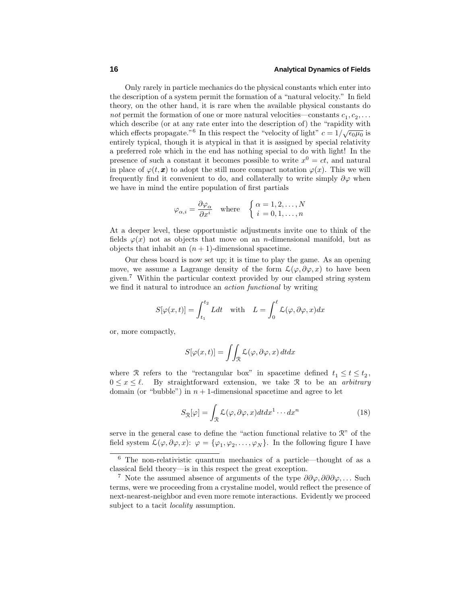### **16 Analytical Dynamics of Fields**

Only rarely in particle mechanics do the physical constants which enter into the description of a system permit the formation of a "natural velocity." In field theory, on the other hand, it is rare when the available physical constants do not permit the formation of one or more natural velocities—constants  $c_1, c_2, \ldots$ which describe (or at any rate enter into the description of) the "rapidity with which effects propagate."<sup>6</sup> In this respect the "velocity of light"  $c = 1/\sqrt{\epsilon_0 \mu_0}$  is entirely typical, though it is atypical in that it is assigned by special relativity a preferred role which in the end has nothing special to do with light! In the presence of such a constant it becomes possible to write  $x^0 = ct$ , and natural in place of  $\varphi(t, x)$  to adopt the still more compact notation  $\varphi(x)$ . This we will frequently find it convenient to do, and collaterally to write simply *∂ϕ* when we have in mind the entire population of first partials

$$
\varphi_{\alpha,i} = \frac{\partial \varphi_{\alpha}}{\partial x^{i}} \quad \text{where} \quad \begin{cases} \alpha = 1, 2, \dots, N \\ i = 0, 1, \dots, n \end{cases}
$$

At a deeper level, these opportunistic adjustments invite one to think of the fields  $\varphi(x)$  not as objects that move on an *n*-dimensional manifold, but as objects that inhabit an  $(n+1)$ -dimensional spacetime.

Our chess board is now set up; it is time to play the game. As an opening move, we assume a Lagrange density of the form  $\mathcal{L}(\varphi, \partial \varphi, x)$  to have been given.<sup>7</sup> Within the particular context provided by our clamped string system we find it natural to introduce an *action functional* by writing

$$
S[\varphi(x,t)] = \int_{t_1}^{t_2} Ldt \quad \text{with} \quad L = \int_0^{\ell} \mathcal{L}(\varphi, \partial \varphi, x) dx
$$

or, more compactly,

$$
S[\varphi(x,t)] = \iint_{\mathcal{R}} \mathcal{L}(\varphi, \partial \varphi, x) dt dx
$$

where R refers to the "rectangular box" in spacetime defined  $t_1 \le t \le t_2$ ,  $0 \leq x \leq \ell$ . By straightforward extension, we take R to be an *arbitrary* domain (or "bubble") in  $n + 1$ -dimensional spacetime and agree to let

$$
S_{\mathcal{R}}[\varphi] = \int_{\mathcal{R}} \mathcal{L}(\varphi, \partial \varphi, x) dt dx^{1} \cdots dx^{n}
$$
 (18)

serve in the general case to define the "action functional relative to R" of the field system  $\mathcal{L}(\varphi, \partial \varphi, x)$ :  $\varphi = {\varphi_1, \varphi_2, \ldots, \varphi_N}$ . In the following figure I have

<sup>6</sup> The non-relativistic quantum mechanics of a particle—thought of as a classical field theory—is in this respect the great exception.

<sup>7</sup> Note the assumed absence of arguments of the type *∂∂ϕ, ∂∂∂ϕ, . . .* Such terms, were we proceeding from a crystaline model, would reflect the presence of next-nearest-neighbor and even more remote interactions. Evidently we proceed subject to a tacit *locality* assumption.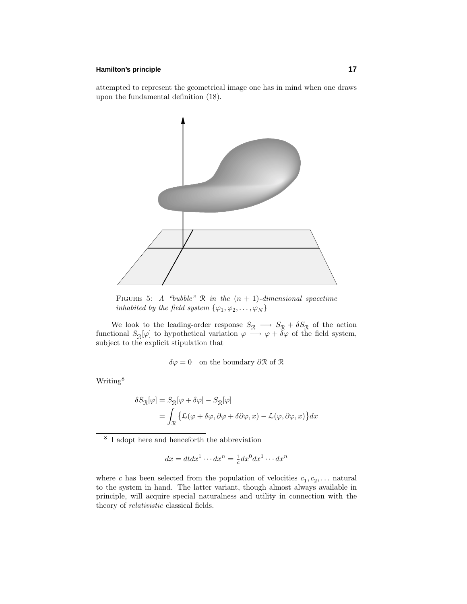### **Hamilton's principle 17**

attempted to represent the geometrical image one has in mind when one draws upon the fundamental definition (18).



FIGURE 5: A "bubble"  $\Re$  in the  $(n + 1)$ -dimensional spacetime inhabited by the field system  $\{\varphi_1, \varphi_2, \ldots, \varphi_N\}$ 

We look to the leading-order response  $S_{\mathcal{R}} \longrightarrow S_{\mathcal{R}} + \delta S_{\mathcal{R}}$  of the action functional  $S_{\mathcal{R}}[\varphi]$  to hypothetical variation  $\varphi \longrightarrow \varphi + \delta \varphi$  of the field system, subject to the explicit stipulation that

$$
\delta \varphi = 0
$$
 on the boundary  $\partial \mathcal{R}$  of  $\mathcal{R}$ 

Writing<sup>8</sup>

$$
\delta S_{\mathcal{R}}[\varphi] = S_{\mathcal{R}}[\varphi + \delta \varphi] - S_{\mathcal{R}}[\varphi]
$$
  
= 
$$
\int_{\mathcal{R}} \{ \mathcal{L}(\varphi + \delta \varphi, \partial \varphi + \delta \partial \varphi, x) - \mathcal{L}(\varphi, \partial \varphi, x) \} dx
$$

 $8 \text{ I adopt here}$  and henceforth the abbreviation

$$
dx = dtdx^{1} \cdots dx^{n} = \frac{1}{c}dx^{0}dx^{1} \cdots dx^{n}
$$

where *c* has been selected from the population of velocities  $c_1, c_2, \ldots$  natural to the system in hand. The latter variant, though almost always available in principle, will acquire special naturalness and utility in connection with the theory of relativistic classical fields.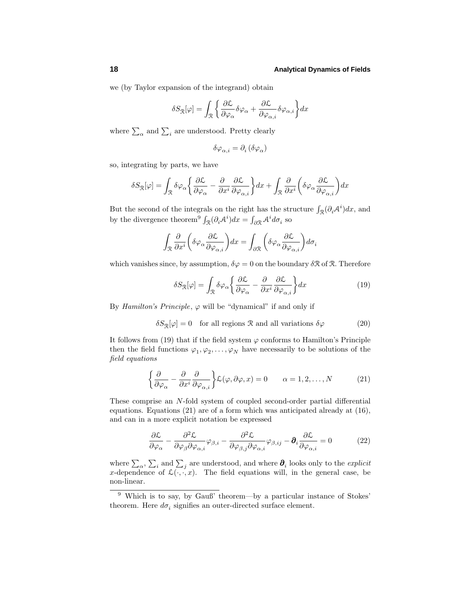### **18 Analytical Dynamics of Fields**

we (by Taylor expansion of the integrand) obtain

$$
\delta S_{\mathcal{R}}[\varphi] = \int_{\mathcal{R}} \left\{ \frac{\partial \mathcal{L}}{\partial \varphi_{\alpha}} \delta \varphi_{\alpha} + \frac{\partial \mathcal{L}}{\partial \varphi_{\alpha,i}} \delta \varphi_{\alpha,i} \right\} dx
$$

where  $\sum_{\alpha}$  and  $\sum_{i}$  are understood. Pretty clearly

$$
\delta\varphi_{\alpha,i}=\partial_i\left(\delta\varphi_\alpha\right)
$$

so, integrating by parts, we have

$$
\delta S_{\mathcal{R}}[\varphi] = \int_{\mathcal{R}} \delta \varphi_{\alpha} \left\{ \frac{\partial \mathcal{L}}{\partial \varphi_{\alpha}} - \frac{\partial}{\partial x^{i}} \frac{\partial \mathcal{L}}{\partial \varphi_{\alpha,i}} \right\} dx + \int_{\mathcal{R}} \frac{\partial}{\partial x^{i}} \left( \delta \varphi_{\alpha} \frac{\partial \mathcal{L}}{\partial \varphi_{\alpha,i}} \right) dx
$$

But the second of the integrals on the right has the structure  $\int_{\mathcal{R}} (\partial_i \mathcal{A}^i) dx$ , and by the divergence theorem<sup>9</sup>  $\int_{\mathcal{R}} (\partial_i \mathcal{A}^i) dx = \int_{\partial \mathcal{R}} \mathcal{A}^i d\sigma_i$  so

$$
\int_{\mathcal{R}} \frac{\partial}{\partial x^i} \left( \delta \varphi_\alpha \frac{\partial \mathcal{L}}{\partial \varphi_{\alpha,i}} \right) dx = \int_{\partial \mathcal{R}} \left( \delta \varphi_\alpha \frac{\partial \mathcal{L}}{\partial \varphi_{\alpha,i}} \right) d\sigma_i
$$

which vanishes since, by assumption,  $\delta \varphi = 0$  on the boundary  $\delta \mathcal{R}$  of  $\mathcal{R}$ . Therefore

$$
\delta S_{\mathcal{R}}[\varphi] = \int_{\mathcal{R}} \delta \varphi_{\alpha} \left\{ \frac{\partial \mathcal{L}}{\partial \varphi_{\alpha}} - \frac{\partial}{\partial x^{i}} \frac{\partial \mathcal{L}}{\partial \varphi_{\alpha,i}} \right\} dx \tag{19}
$$

By *Hamilton's Principle*,  $\varphi$  will be "dynamical" if and only if

$$
\delta S_{\mathcal{R}}[\varphi] = 0 \quad \text{for all regions } \mathcal{R} \text{ and all variations } \delta \varphi \tag{20}
$$

It follows from (19) that if the field system  $\varphi$  conforms to Hamilton's Principle then the field functions  $\varphi_1, \varphi_2, \ldots, \varphi_N$  have necessarily to be solutions of the field equations

$$
\left\{\frac{\partial}{\partial \varphi_{\alpha}} - \frac{\partial}{\partial x^{i}} \frac{\partial}{\partial \varphi_{\alpha,i}}\right\} \mathcal{L}(\varphi, \partial \varphi, x) = 0 \qquad \alpha = 1, 2, ..., N \tag{21}
$$

These comprise an *N*-fold system of coupled second-order partial differential equations. Equations (21) are of a form which was anticipated already at (16), and can in a more explicit notation be expressed

$$
\frac{\partial \mathcal{L}}{\partial \varphi_{\alpha}} - \frac{\partial^2 \mathcal{L}}{\partial \varphi_{\beta} \partial \varphi_{\alpha,i}} \varphi_{\beta,i} - \frac{\partial^2 \mathcal{L}}{\partial \varphi_{\beta,j} \partial \varphi_{\alpha,i}} \varphi_{\beta,ij} - \partial_i \frac{\partial \mathcal{L}}{\partial \varphi_{\alpha,i}} = 0 \tag{22}
$$

where  $\sum_{\alpha}$ ,  $\sum_{i}$  and  $\sum_{j}$  are understood, and where  $\partial_i$  looks only to the *explicit x*-dependence of  $\mathcal{L}(\cdot, \cdot, x)$ . The field equations will, in the general case, be non-linear.

<sup>9</sup> Which is to say, by Gauß' theorem—by a particular instance of Stokes' theorem. Here  $d\sigma_i$  signifies an outer-directed surface element.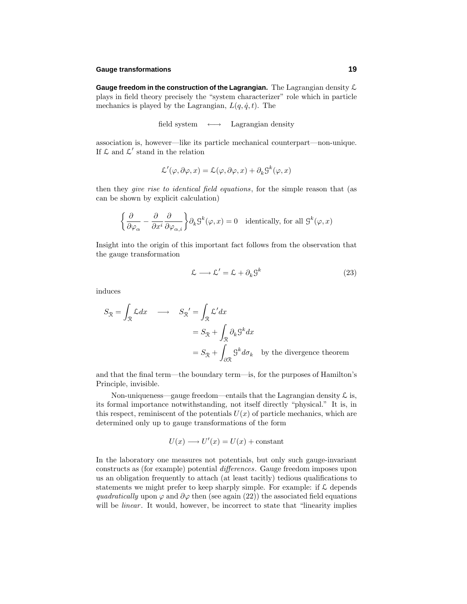### **Gauge transformations 19**

**Gauge freedom in the construction of the Lagrangian.** The Lagrangian density L plays in field theory precisely the "system characterizer" role which in particle mechanics is played by the Lagrangian,  $L(q, \dot{q}, t)$ . The

field system  $\longleftrightarrow$  Lagrangian density

association is, however—like its particle mechanical counterpart—non-unique. If  $\mathcal L$  and  $\mathcal L'$  stand in the relation

$$
\mathcal{L}'(\varphi, \partial \varphi, x) = \mathcal{L}(\varphi, \partial \varphi, x) + \partial_k \mathcal{G}^k(\varphi, x)
$$

then they *give rise to identical field equations*, for the simple reason that (as can be shown by explicit calculation)

$$
\bigg\{ \frac{\partial}{\partial \varphi_{\alpha}} - \frac{\partial}{\partial x^i} \frac{\partial}{\partial \varphi_{\alpha,i}} \bigg\} \partial_k \mathcal{G}^k(\varphi, x) = 0 \quad \text{identically, for all } \mathcal{G}^k(\varphi, x)
$$

Insight into the origin of this important fact follows from the observation that the gauge transformation

$$
\mathcal{L} \longrightarrow \mathcal{L}' = \mathcal{L} + \partial_k \mathcal{G}^k \tag{23}
$$

induces

$$
S_{\mathcal{R}} = \int_{\mathcal{R}} \mathcal{L} dx \longrightarrow S_{\mathcal{R}}' = \int_{\mathcal{R}} \mathcal{L}' dx
$$
  
=  $S_{\mathcal{R}} + \int_{\mathcal{R}} \partial_k \mathcal{G}^k dx$   
=  $S_{\mathcal{R}} + \int_{\partial \mathcal{R}} \mathcal{G}^k d\sigma_k$  by the divergence theorem

and that the final term—the boundary term—is, for the purposes of Hamilton's Principle, invisible.

Non-uniqueness—gauge freedom—entails that the Lagrangian density  $\mathcal L$  is, its formal importance notwithstanding, not itself directly "physical." It is, in this respect, reminiscent of the potentials  $U(x)$  of particle mechanics, which are determined only up to gauge transformations of the form

$$
U(x) \longrightarrow U'(x) = U(x) + \text{constant}
$$

In the laboratory one measures not potentials, but only such gauge-invariant constructs as (for example) potential differences. Gauge freedom imposes upon us an obligation frequently to attach (at least tacitly) tedious qualifications to statements we might prefer to keep sharply simple. For example: if  $\mathcal L$  depends quadratically upon  $\varphi$  and  $\partial \varphi$  then (see again (22)) the associated field equations will be *linear*. It would, however, be incorrect to state that "linearity implies"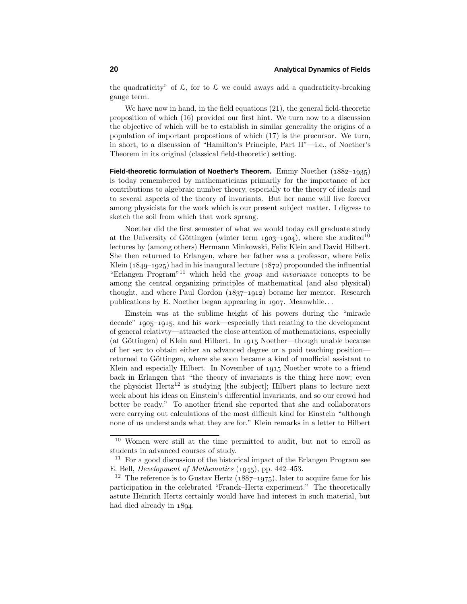the quadraticity" of  $\mathcal{L}$ , for to  $\mathcal{L}$  we could aways add a quadraticity-breaking gauge term.

We have now in hand, in the field equations (21), the general field-theoretic proposition of which (16) provided our first hint. We turn now to a discussion the objective of which will be to establish in similar generality the origins of a population of important propostions of which (17) is the precursor. We turn, in short, to a discussion of "Hamilton's Principle, Part II"—i.e., of Noether's Theorem in its original (classical field-theoretic) setting.

**Field-theoretic formulation of Noether's Theorem.** Emmy Noether  $(1882-1935)$ is today remembered by mathematicians primarily for the importance of her contributions to algebraic number theory, especially to the theory of ideals and to several aspects of the theory of invariants. But her name will live forever among physicists for the work which is our present subject matter. I digress to sketch the soil from which that work sprang.

Noether did the first semester of what we would today call graduate study at the University of Göttingen (winter term  $1903-1904$ ), where she audited<sup>10</sup> lectures by (among others) Hermann Minkowski, Felix Klein and David Hilbert. She then returned to Erlangen, where her father was a professor, where Felix Klein  $(1849-1925)$  had in his inaugural lecture ( $1872$ ) propounded the influential "Erlangen Program"<sup>11</sup> which held the *group* and *invariance* concepts to be among the central organizing principles of mathematical (and also physical) thought, and where Paul Gordon  $(1837-1912)$  became her mentor. Research publications by E. Noether began appearing in 1907. Meanwhile...

Einstein was at the sublime height of his powers during the "miracle  $\alpha$  decade" 1905–1915, and his work—especially that relating to the development of general relativty—attracted the close attention of mathematicians, especially (at Göttingen) of Klein and Hilbert. In  $1915$  Noether—though unable because of her sex to obtain either an advanced degree or a paid teaching position returned to Göttingen, where she soon became a kind of unofficial assistant to Klein and especially Hilbert. In November of 1915 Noether wrote to a friend back in Erlangen that "the theory of invariants is the thing here now; even the physicist  $Hertz^{12}$  is studying [the subject]; Hilbert plans to lecture next week about his ideas on Einstein's differential invariants, and so our crowd had better be ready." To another friend she reported that she and collaborators were carrying out calculations of the most difficult kind for Einstein "although none of us understands what they are for." Klein remarks in a letter to Hilbert

<sup>10</sup> Women were still at the time permitted to audit, but not to enroll as students in advanced courses of study.

<sup>&</sup>lt;sup>11</sup> For a good discussion of the historical impact of the Erlangen Program see E. Bell, *Development of Mathematics*  $(1945)$ , pp. 442–453.

<sup>&</sup>lt;sup>12</sup> The reference is to Gustav Hertz ( $1887-1975$ ), later to acquire fame for his participation in the celebrated "Franck–Hertz experiment." The theoretically astute Heinrich Hertz certainly would have had interest in such material, but had died already in  $1894$ .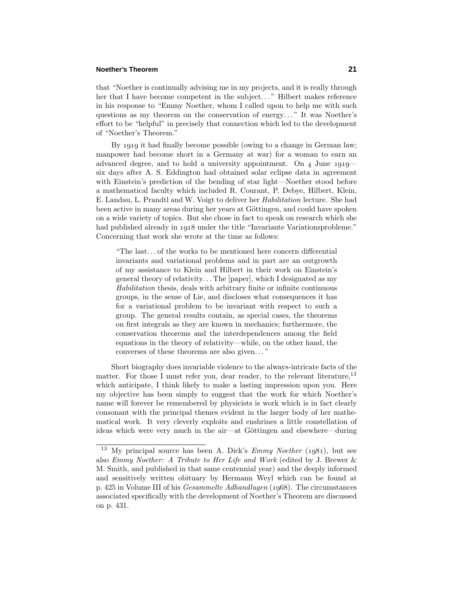### **Noether's Theorem 21**

that "Noether is continually advising me in my projects, and it is really through her that I have become competent in the subject*...* " Hilbert makes reference in his response to "Emmy Noether, whom I called upon to help me with such questions as my theorem on the conservation of energy*...* " It was Noether's effort to be "helpful" in precisely that connection which led to the development of "Noether's Theorem."

By 1919 it had finally become possible (owing to a change in German law; manpower had become short in a Germany at war) for a woman to earn an advanced degree, and to hold a university appointment. On  $_4$  June 1919– six days after A. S. Eddington had obtained solar eclipse data in agreement with Einstein's prediction of the bending of star light—Noether stood before a mathematical faculty which included R. Courant, P. Debye, Hilbert, Klein, E. Landau, L. Prandtl and W. Voigt to deliver her Habilitation lecture. She had been active in many areas during her years at Göttingen, and could have spoken on a wide variety of topics. But she chose in fact to speak on research which she had published already in 1918 under the title "Invariante Variationsprobleme." Concerning that work she wrote at the time as follows:

"The last*...* of the works to be mentioned here concern differential invariants and variational problems and in part are an outgrowth of my assistance to Klein and Hilbert in their work on Einstein's general theory of relativity*...* The [paper], which I designated as my Habilitation thesis, deals with arbitrary finite or infinite continuous groups, in the sense of Lie, and discloses what consequences it has for a variational problem to be invariant with respect to such a group. The general results contain, as special cases, the theorems on first integrals as they are known in mechanics; furthermore, the conservation theorems and the interdependences among the field equations in the theory of relativity—while, on the other hand, the converses of these theorems are also given*...* "

Short biography does invariable violence to the always-intricate facts of the matter. For those I must refer you, dear reader, to the relevant literature,  $^{13}$ which anticipate, I think likely to make a lasting impression upon you. Here my objective has been simply to suggest that the work for which Noether's name will forever be remembered by physicists is work which is in fact clearly consonant with the principal themes evident in the larger body of her mathematical work. It very cleverly exploits and enshrines a little constellation of ideas which were very much in the air—at Göttingen and elsewhere—during

<sup>&</sup>lt;sup>13</sup> My principal source has been A. Dick's *Emmy Noether* (1981), but see also Emmy Noether: A Tribute to Her Life and Work (edited by J. Brewer & M. Smith, and published in that same centennial year) and the deeply informed and sensitively written obituary by Hermann Weyl which can be found at p.  $425$  in Volume III of his *Gesammelte Adhandlugen* (1968). The circumstances associated specifically with the development of Noether's Theorem are discussed on p. 431.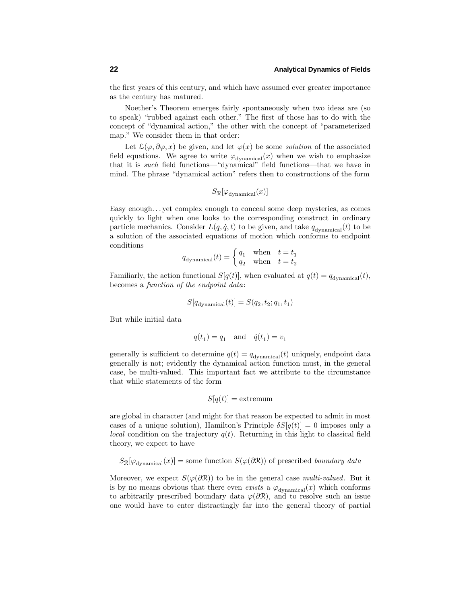the first years of this century, and which have assumed ever greater importance as the century has matured.

Noether's Theorem emerges fairly spontaneously when two ideas are (so to speak) "rubbed against each other." The first of those has to do with the concept of "dynamical action," the other with the concept of "parameterized map." We consider them in that order:

Let  $\mathcal{L}(\varphi, \partial \varphi, x)$  be given, and let  $\varphi(x)$  be some *solution* of the associated field equations. We agree to write  $\varphi_{\text{dynamical}}(x)$  when we wish to emphasize that it is such field functions—"dynamical" field functions—that we have in mind. The phrase "dynamical action" refers then to constructions of the form

$$
S_{\mathcal{R}}[\varphi_{\text{dynamical}}(x)]
$$

Easy enough*...* yet complex enough to conceal some deep mysteries, as comes quickly to light when one looks to the corresponding construct in ordinary particle mechanics. Consider  $L(q, \dot{q}, t)$  to be given, and take  $q_{\text{dynamical}}(t)$  to be a solution of the associated equations of motion which conforms to endpoint conditions

$$
q_{\text{dynamical}}(t) = \begin{cases} q_1 & \text{when} \quad t = t_1 \\ q_2 & \text{when} \quad t = t_2 \end{cases}
$$

Familiarly, the action functional  $S[q(t)]$ , when evaluated at  $q(t) = q_{\text{dynamical}}(t)$ , becomes a function of the endpoint data:

$$
S[q_{\text{dynamical}}(t)] = S(q_2, t_2; q_1, t_1)
$$

But while initial data

$$
q(t_1) = q_1
$$
 and  $\dot{q}(t_1) = v_1$ 

generally is sufficient to determine  $q(t) = q_{\text{dynamical}}(t)$  uniquely, endpoint data generally is not; evidently the dynamical action function must, in the general case, be multi-valued. This important fact we attribute to the circumstance that while statements of the form

$$
S[q(t)] = \text{extremum}
$$

are global in character (and might for that reason be expected to admit in most cases of a unique solution), Hamilton's Principle  $\delta S[q(t)] = 0$  imposes only a *local* condition on the trajectory  $q(t)$ . Returning in this light to classical field theory, we expect to have

$$
S_{\mathcal{R}}[\varphi_{\text{dynamical}}(x)] = \text{some function } S(\varphi(\partial \mathcal{R})) \text{ of prescribed boundary data}
$$

Moreover, we expect  $S(\varphi(\partial \mathcal{R}))$  to be in the general case *multi-valued*. But it is by no means obvious that there even *exists* a  $\varphi_{\text{dynamical}}(x)$  which conforms to arbitrarily prescribed boundary data  $\varphi(\partial \mathcal{R})$ , and to resolve such an issue one would have to enter distractingly far into the general theory of partial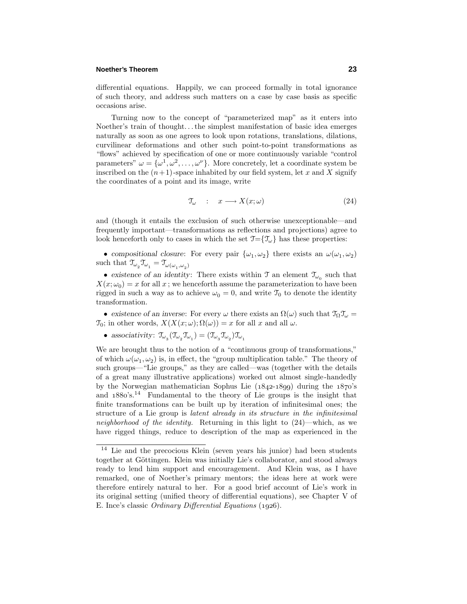### **Noether's Theorem 23**

differential equations. Happily, we can proceed formally in total ignorance of such theory, and address such matters on a case by case basis as specific occasions arise.

Turning now to the concept of "parameterized map" as it enters into Noether's train of thought*...*the simplest manifestation of basic idea emerges naturally as soon as one agrees to look upon rotations, translations, dilations, curvilinear deformations and other such point-to-point transformations as "flows" achieved by specification of one or more continuously variable "control parameters"  $\omega = {\omega^1, \omega^2, \ldots, \omega^{\nu}}$ . More concretely, let a coordinate system be inscribed on the  $(n+1)$ -space inhabited by our field system, let x and X signify the coordinates of a point and its image, write

$$
\mathfrak{T}_{\omega} : x \longrightarrow X(x; \omega) \tag{24}
$$

and (though it entails the exclusion of such otherwise unexceptionable—and frequently important—transformations as reflections and projections) agree to look henceforth only to cases in which the set  $\mathcal{T}=\{\mathcal{T}_{\omega}\}\$  has these properties:

• *compositional closure:* For every pair  $\{\omega_1, \omega_2\}$  there exists an  $\omega(\omega_1, \omega_2)$ such that  $\mathfrak{T}_{\omega_2}\mathfrak{T}_{\omega_1} = \mathfrak{T}_{\omega(\omega_1,\omega_2)}$ 

• existence of an identity: There exists within  $\mathcal{T}$  an element  $\mathcal{T}_{\omega_0}$  such that  $X(x; \omega_0) = x$  for all *x*; we henceforth assume the parameterization to have been rigged in such a way as to achieve  $\omega_0 = 0$ , and write  $\mathcal{T}_0$  to denote the identity transformation.

• existence of an inverse: For every  $\omega$  there exists an  $\Omega(\omega)$  such that  $\mathfrak{T}_{\Omega}\mathfrak{T}_{\omega} =$  $\mathfrak{T}_0$ ; in other words,  $X(X(x; \omega); \Omega(\omega)) = x$  for all *x* and all  $\omega$ .

• associativity:  $\mathcal{T}_{\omega_3}(\mathcal{T}_{\omega_2}\mathcal{T}_{\omega_1})=(\mathcal{T}_{\omega_3}\mathcal{T}_{\omega_2})\mathcal{T}_{\omega_1}$ 

We are brought thus to the notion of a "continuous group of transformations," of which  $\omega(\omega_1, \omega_2)$  is, in effect, the "group multiplication table." The theory of such groups—"Lie groups," as they are called—was (together with the details of a great many illustrative applications) worked out almost single-handedly by the Norwegian mathematician Sophus Lie  $(1842-1899)$  during the  $1870's$ and  $1880's.<sup>14</sup>$  Fundamental to the theory of Lie groups is the insight that finite transformations can be built up by iteration of infinitesimal ones; the structure of a Lie group is *latent already in its structure in the infinitesimal* neighborhood of the identity. Returning in this light to  $(24)$ —which, as we have rigged things, reduce to description of the map as experienced in the

<sup>14</sup> Lie and the precocious Klein (seven years his junior) had been students together at Göttingen. Klein was initially Lie's collaborator, and stood always ready to lend him support and encouragement. And Klein was, as I have remarked, one of Noether's primary mentors; the ideas here at work were therefore entirely natural to her. For a good brief account of Lie's work in its original setting (unified theory of differential equations), see Chapter V of E. Ince's classic *Ordinary Differential Equations* ( $1926$ ).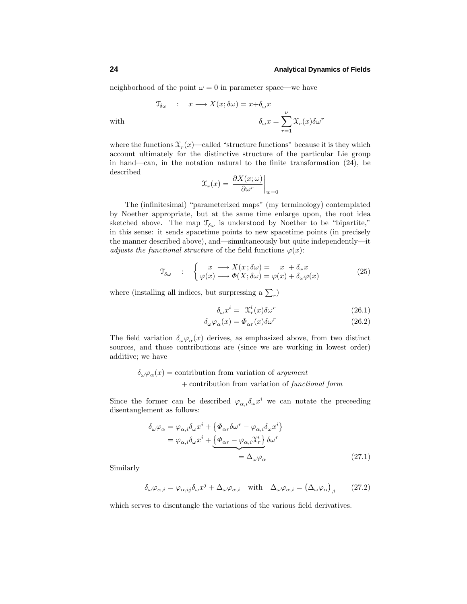neighborhood of the point  $\omega = 0$  in parameter space—we have

$$
\mathfrak{T}_{\delta\omega} \quad : \quad x \longrightarrow X(x;\delta\omega) = x + \delta_{\omega}x
$$
\n
$$
\delta_{\omega}x = \sum_{r=1}^{\nu} \mathfrak{X}_r(x)\delta\omega^r
$$

where the functions  $\mathfrak{X}_r(x)$ —called "structure functions" because it is they which account ultimately for the distinctive structure of the particular Lie group in hand—can, in the notation natural to the finite transformation (24), be described  $\propto$  1

$$
\mathfrak{X}_r(x) = \left. \frac{\partial X(x; \omega)}{\partial \omega^r} \right|_{w=0}
$$

The (infinitesimal) "parameterized maps" (my terminology) contemplated by Noether appropriate, but at the same time enlarge upon, the root idea sketched above. The map  $\mathcal{T}_{\delta\omega}$  is understood by Noether to be "bipartite," in this sense: it sends spacetime points to new spacetime points (in precisely the manner described above), and—simultaneously but quite independently—it adjusts the functional structure of the field functions  $\varphi(x)$ :

$$
\mathcal{T}_{\delta\omega} : \begin{cases} x \longrightarrow X(x; \delta\omega) = x + \delta_{\omega}x \\ \varphi(x) \longrightarrow \Phi(X; \delta\omega) = \varphi(x) + \delta_{\omega}\varphi(x) \end{cases} (25)
$$

where (installing all indices, but surpressing a  $\sum_{r}$ )

$$
\delta_{\omega} x^i = \mathcal{X}_r^i(x) \delta \omega^r \tag{26.1}
$$

$$
\delta_{\omega}\varphi_{\alpha}(x) = \Phi_{\alpha r}(x)\delta\omega^{r}
$$
\n(26.2)

The field variation  $\delta_{\omega} \varphi_{\alpha}(x)$  derives, as emphasized above, from two distinct sources, and those contributions are (since we are working in lowest order) additive; we have

## $\delta_{\omega} \varphi_{\alpha}(x)$  = contribution from variation of argument + contribution from variation of functional form

Since the former can be described  $\varphi_{\alpha,i}\delta_{\omega}x^i$  we can notate the preceeding disentanglement as follows:

$$
\delta_{\omega}\varphi_{\alpha} = \varphi_{\alpha,i}\delta_{\omega}x^{i} + \left\{\Phi_{\alpha r}\delta\omega^{r} - \varphi_{\alpha,i}\delta_{\omega}x^{i}\right\}
$$

$$
= \varphi_{\alpha,i}\delta_{\omega}x^{i} + \underbrace{\left\{\Phi_{\alpha r} - \varphi_{\alpha,i}x_{r}^{i}\right\}}_{\alpha} \delta\omega^{r}
$$

$$
= \Delta_{\omega}\varphi_{\alpha}
$$
(27.1)

Similarly

$$
\delta_{\omega}\varphi_{\alpha,i} = \varphi_{\alpha,ij}\delta_{\omega}x^j + \Delta_{\omega}\varphi_{\alpha,i} \quad \text{with} \quad \Delta_{\omega}\varphi_{\alpha,i} = \left(\Delta_{\omega}\varphi_{\alpha}\right)_{,i} \qquad (27.2)
$$

which serves to disentangle the variations of the various field derivatives.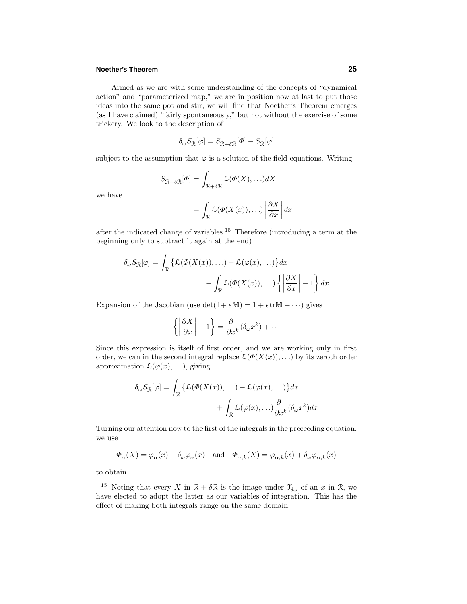### **Noether's Theorem 25**

Armed as we are with some understanding of the concepts of "dynamical action" and "parameterized map," we are in position now at last to put those ideas into the same pot and stir; we will find that Noether's Theorem emerges (as I have claimed) "fairly spontaneously," but not without the exercise of some trickery. We look to the description of

$$
\delta_\omega S_{\mathfrak{R}}[\varphi]=S_{{\mathfrak{R}}+\delta {\mathfrak{R}}}[\varPhi]-S_{\mathfrak{R}}[\varphi]
$$

subject to the assumption that  $\varphi$  is a solution of the field equations. Writing

$$
S_{\mathcal{R}+\delta\mathcal{R}}[\Phi] = \int_{\mathcal{R}+\delta\mathcal{R}} \mathcal{L}(\Phi(X),\ldots)dX
$$

we have

$$
= \int_{\mathcal{R}} \mathcal{L}(\Phi(X(x)), \ldots) \left| \frac{\partial X}{\partial x} \right| dx
$$

after the indicated change of variables.<sup>15</sup> Therefore (introducing a term at the beginning only to subtract it again at the end)

$$
\delta_{\omega} S_{\mathcal{R}}[\varphi] = \int_{\mathcal{R}} \left\{ \mathcal{L}(\varPhi(X(x)), \ldots) - \mathcal{L}(\varphi(x), \ldots) \right\} dx + \int_{\mathcal{R}} \mathcal{L}(\varPhi(X(x)), \ldots) \left\{ \left| \frac{\partial X}{\partial x} \right| - 1 \right\} dx
$$

Expansion of the Jacobian (use  $\det(\mathbb{I} + \epsilon \mathbb{M}) = 1 + \epsilon \text{tr}\mathbb{M} + \cdots$ ) gives

$$
\left\{ \left| \frac{\partial X}{\partial x} \right| - 1 \right\} = \frac{\partial}{\partial x^k} (\delta_\omega x^k) + \cdots
$$

Since this expression is itself of first order, and we are working only in first order, we can in the second integral replace  $\mathcal{L}(\Phi(X(x)),...)$  by its zeroth order approximation  $\mathcal{L}(\varphi(x),...),$  giving

$$
\delta_{\omega} S_{\mathcal{R}}[\varphi] = \int_{\mathcal{R}} \left\{ \mathcal{L}(\varPhi(X(x)), \ldots) - \mathcal{L}(\varphi(x), \ldots) \right\} dx
$$

$$
+ \int_{\mathcal{R}} \mathcal{L}(\varphi(x), \ldots) \frac{\partial}{\partial x^k} (\delta_{\omega} x^k) dx
$$

Turning our attention now to the first of the integrals in the preceeding equation, we use

$$
\varPhi_\alpha(X)=\varphi_\alpha(x)+\delta_\omega\varphi_\alpha(x)\quad\text{and}\quad \varPhi_{\alpha,k}(X)=\varphi_{\alpha,k}(x)+\delta_\omega\varphi_{\alpha,k}(x)
$$

to obtain

<sup>&</sup>lt;sup>15</sup> Noting that every *X* in  $\overline{\mathcal{R}} + \delta \mathcal{R}$  is the image under  $\mathcal{T}_{\delta \omega}$  of an *x* in  $\mathcal{R}$ , we have elected to adopt the latter as our variables of integration. This has the effect of making both integrals range on the same domain.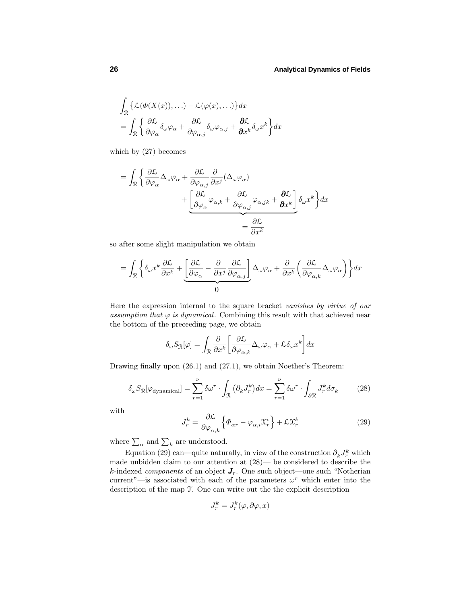$$
\int_{\mathcal{R}} \left\{ \mathcal{L}(\Phi(X(x)), \ldots) - \mathcal{L}(\varphi(x), \ldots) \right\} dx
$$
\n
$$
= \int_{\mathcal{R}} \left\{ \frac{\partial \mathcal{L}}{\partial \varphi_{\alpha}} \delta_{\omega} \varphi_{\alpha} + \frac{\partial \mathcal{L}}{\partial \varphi_{\alpha,j}} \delta_{\omega} \varphi_{\alpha,j} + \frac{\partial \mathcal{L}}{\partial x^k} \delta_{\omega} x^k \right\} dx
$$

which by (27) becomes

$$
= \int_{\mathcal{R}} \left\{ \frac{\partial \mathcal{L}}{\partial \varphi_{\alpha}} \Delta_{\omega} \varphi_{\alpha} + \frac{\partial \mathcal{L}}{\partial \varphi_{\alpha,j}} \frac{\partial}{\partial x^{j}} (\Delta_{\omega} \varphi_{\alpha}) \right\}+ \underbrace{\left[ \frac{\partial \mathcal{L}}{\partial \varphi_{\alpha}} \varphi_{\alpha,k} + \frac{\partial \mathcal{L}}{\partial \varphi_{\alpha,j}} \varphi_{\alpha,jk} + \frac{\partial \mathcal{L}}{\partial x^{k}} \right]}_{\mathcal{L}} \delta_{\omega} x^{k} \right\} dx= \frac{\partial \mathcal{L}}{\partial x^{k}}
$$

so after some slight manipulation we obtain

$$
=\int_{\mathcal{R}}\bigg\{\delta_{\omega}x^k\frac{\partial \mathcal{L}}{\partial x^k}+\underbrace{\bigg[\frac{\partial \mathcal{L}}{\partial \varphi_{\alpha}}-\frac{\partial}{\partial x^j}\frac{\partial \mathcal{L}}{\partial \varphi_{\alpha,j}}\bigg]}_{0}\Delta_{\omega}\varphi_{\alpha}+\frac{\partial}{\partial x^k}\bigg(\frac{\partial \mathcal{L}}{\partial \varphi_{\alpha,k}}\Delta_{\omega}\varphi_{\alpha}\bigg)\bigg\}dx
$$

Here the expression internal to the square bracket vanishes by virtue of our assumption that  $\varphi$  is dynamical. Combining this result with that achieved near the bottom of the preceeding page, we obtain

$$
\delta_{\omega} S_{\Re}[\varphi] = \int_{\Re} \frac{\partial}{\partial x^k} \left[ \frac{\partial \mathcal{L}}{\partial \varphi_{\alpha,k}} \Delta_{\omega} \varphi_{\alpha} + \mathcal{L} \delta_{\omega} x^k \right] dx
$$

Drawing finally upon (26.1) and (27.1), we obtain Noether's Theorem:

$$
\delta_{\omega} S_{\mathcal{R}}[\varphi_{\text{dynamical}}] = \sum_{r=1}^{\nu} \delta \omega^r \cdot \int_{\mathcal{R}} \left( \partial_k J_r^k \right) dx = \sum_{r=1}^{\nu} \delta \omega^r \cdot \int_{\partial \mathcal{R}} J_r^k d\sigma_k \tag{28}
$$

with

$$
J_r^k = \frac{\partial \mathcal{L}}{\partial \varphi_{\alpha,k}} \left\{ \varPhi_{\alpha r} - \varphi_{\alpha,i} \mathfrak{X}_r^i \right\} + \mathcal{L} \mathfrak{X}_r^k \tag{29}
$$

where  $\sum_{\alpha}$  and  $\sum_{k}$  are understood.

Equation (29) can—quite naturally, in view of the construction  $\partial_k J_r^k$  which made unbidden claim to our attention at (28)— be considered to describe the *k*-indexed *components* of an object  $J_r$ . One such object—one such "Notherian" current"—is associated with each of the parameters  $\omega^r$  which enter into the description of the map T. One can write out the the explicit description

$$
J_r^k = J_r^k(\varphi, \partial \varphi, x)
$$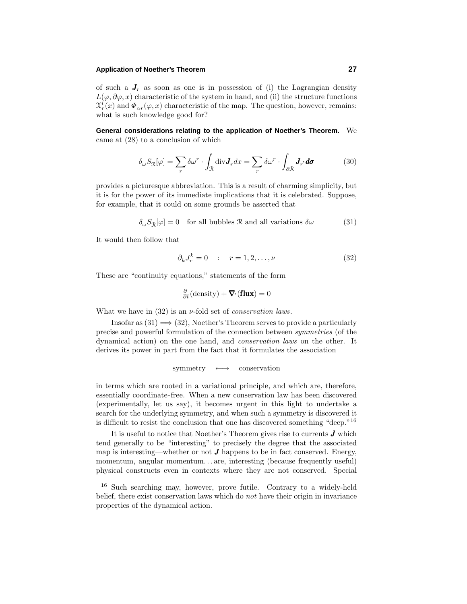### **Application of Noether's Theorem 27**

of such a  $J_r$  as soon as one is in possession of (i) the Lagrangian density  $L(\varphi, \partial \varphi, x)$  characteristic of the system in hand, and (ii) the structure functions  $\mathcal{X}_r^i(x)$  and  $\Phi_{\alpha r}(\varphi, x)$  characteristic of the map. The question, however, remains: what is such knowledge good for?

**General considerations relating to the application of Noether's Theorem.** We came at (28) to a conclusion of which

$$
\delta_{\omega} S_{\mathcal{R}}[\varphi] = \sum_{r} \delta \omega^{r} \cdot \int_{\mathcal{R}} \text{div} \mathbf{J}_{r} dx = \sum_{r} \delta \omega^{r} \cdot \int_{\partial \mathcal{R}} \mathbf{J}_{r} \cdot d\sigma \tag{30}
$$

provides a picturesque abbreviation. This is a result of charming simplicity, but it is for the power of its immediate implications that it is celebrated. Suppose, for example, that it could on some grounds be asserted that

$$
\delta_{\omega} S_{\mathcal{R}}[\varphi] = 0 \quad \text{for all bubbles } \mathcal{R} \text{ and all variations } \delta \omega \tag{31}
$$

It would then follow that

$$
\partial_k J_r^k = 0 \qquad ; \qquad r = 1, 2, \dots, \nu \tag{32}
$$

These are "continuity equations," statements of the form

$$
\frac{\partial}{\partial t}(\text{density}) + \nabla \cdot (\text{flux}) = 0
$$

What we have in (32) is an *ν*-fold set of conservation laws.

Insofar as  $(31) \implies (32)$ , Noether's Theorem serves to provide a particularly precise and powerful formulation of the connection between symmetries (of the dynamical action) on the one hand, and conservation laws on the other. It derives its power in part from the fact that it formulates the association

symmetry 
$$
\longleftrightarrow
$$
 conservation

in terms which are rooted in a variational principle, and which are, therefore, essentially coordinate-free. When a new conservation law has been discovered (experimentally, let us say), it becomes urgent in this light to undertake a search for the underlying symmetry, and when such a symmetry is discovered it is difficult to resist the conclusion that one has discovered something "deep."<sup>16</sup>

It is useful to notice that Noether's Theorem gives rise to currents *J* which tend generally to be "interesting" to precisely the degree that the associated map is interesting—whether or not  $J$  happens to be in fact conserved. Energy, momentum, angular momentum*...* are, interesting (because frequently useful) physical constructs even in contexts where they are not conserved. Special

<sup>16</sup> Such searching may, however, prove futile. Contrary to a widely-held belief, there exist conservation laws which do not have their origin in invariance properties of the dynamical action.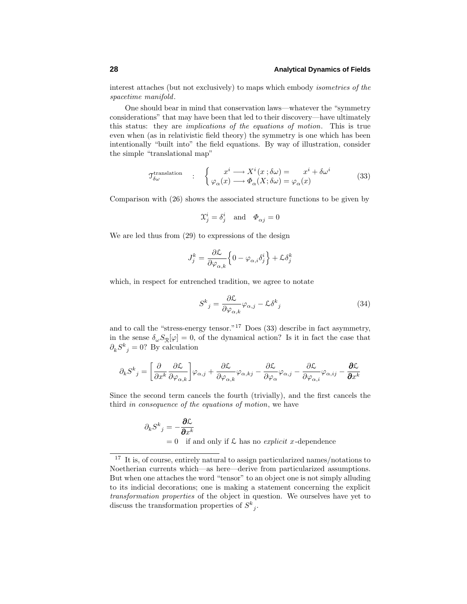### **28 Analytical Dynamics of Fields**

interest attaches (but not exclusively) to maps which embody isometries of the spacetime manifold.

One should bear in mind that conservation laws—whatever the "symmetry considerations" that may have been that led to their discovery—have ultimately this status: they are implications of the equations of motion. This is true even when (as in relativistic field theory) the symmetry is one which has been intentionally "built into" the field equations. By way of illustration, consider the simple "translational map"

$$
\mathcal{T}^{\text{translation}}_{\delta\omega} \quad : \quad \left\{ \begin{array}{c} x^i \longrightarrow X^i(x \, ; \delta\omega) = x^i + \delta\omega^i \\ \varphi_\alpha(x) \longrightarrow \Phi_\alpha(X; \delta\omega) = \varphi_\alpha(x) \end{array} \right. \tag{33}
$$

Comparison with (26) shows the associated structure functions to be given by

$$
\mathfrak{X}^i_j = \delta^i_j \quad \text{and} \quad \Phi_{\alpha j} = 0
$$

We are led thus from (29) to expressions of the design

$$
J_j^k = \frac{\partial \mathcal{L}}{\partial \varphi_{\alpha,k}} \Big\{ 0 - \varphi_{\alpha,i} \delta_j^i \Big\} + \mathcal{L} \delta_j^k
$$

which, in respect for entrenched tradition, we agree to notate

$$
S^{k}{}_{j} = \frac{\partial \mathcal{L}}{\partial \varphi_{\alpha,k}} \varphi_{\alpha,j} - \mathcal{L} \delta^{k}{}_{j}
$$
 (34)

and to call the "stress-energy tensor."<sup>17</sup> Does (33) describe in fact asymmetry, in the sense  $\delta_{\omega}S_{\mathcal{R}}[\varphi]=0$ , of the dynamical action? Is it in fact the case that  $∂<sub>k</sub>S<sup>k</sup><sub>j</sub> = 0?$  By calculation

$$
\partial_k S^k{}_j = \bigg[\frac{\partial}{\partial x^k}\frac{\partial \mathcal{L}}{\partial \varphi_{\alpha,k}}\bigg]\varphi_{\alpha,j} + \frac{\partial \mathcal{L}}{\partial \varphi_{\alpha,k}}\varphi_{\alpha,kj} - \frac{\partial \mathcal{L}}{\partial \varphi_{\alpha}}\varphi_{\alpha,j} - \frac{\partial \mathcal{L}}{\partial \varphi_{\alpha,i}}\varphi_{\alpha,ij} - \frac{\partial \mathcal{L}}{\partial x^k}
$$

Since the second term cancels the fourth (trivially), and the first cancels the third in consequence of the equations of motion, we have

$$
\partial_k S^k_{\ \ j} = -\frac{\partial \mathcal{L}}{\partial x^k}
$$
  
= 0 if and only if  $\mathcal{L}$  has no *explicit* x-dependence

<sup>&</sup>lt;sup>17</sup> It is, of course, entirely natural to assign particularized names/notations to Noetherian currents which—as here—derive from particularized assumptions. But when one attaches the word "tensor" to an object one is not simply alluding to its indicial decorations; one is making a statement concerning the explicit transformation properties of the object in question. We ourselves have yet to discuss the transformation properties of  $S^k_{j}$ .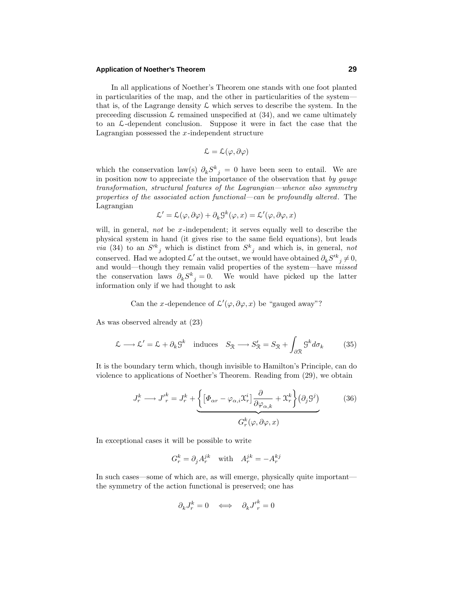### **Application of Noether's Theorem 29**

In all applications of Noether's Theorem one stands with one foot planted in particularities of the map, and the other in particularities of the system that is, of the Lagrange density  $\mathcal L$  which serves to describe the system. In the preceeding discussion  $\mathcal L$  remained unspecified at (34), and we came ultimately to an L-dependent conclusion. Suppose it were in fact the case that the Lagrangian possessed the *x*-independent structure

$$
\mathcal{L} = \mathcal{L}(\varphi, \partial \varphi)
$$

which the conservation law(s)  $\partial_k S^k_{j} = 0$  have been seen to entail. We are in position now to appreciate the importance of the observation that by gauge transformation, structural features of the Lagrangian—whence also symmetry properties of the associated action functional—can be profoundly altered. The Lagrangian

$$
\mathcal{L}' = \mathcal{L}(\varphi, \partial \varphi) + \partial_k \mathcal{G}^k(\varphi, x) = \mathcal{L}'(\varphi, \partial \varphi, x)
$$

will, in general, not be *x*-independent; it serves equally well to describe the physical system in hand (it gives rise to the same field equations), but leads *via* (34) to an  $S'^k_j$  which is distinct from  $S^k_j$  and which is, in general, not conserved. Had we adopted  $\mathcal{L}'$  at the outset, we would have obtained  $\partial_k S'^k_{\ j} \neq 0$ , and would—though they remain valid properties of the system—have *missed* the conservation laws  $\partial_k S^k{}_{j} = 0$ . We would have picked up the latter information only if we had thought to ask

Can the *x*-dependence of  $\mathcal{L}'(\varphi, \partial \varphi, x)$  be "gauged away"?

As was observed already at (23)

$$
\mathcal{L} \longrightarrow \mathcal{L}' = \mathcal{L} + \partial_k \mathcal{G}^k \quad \text{induces} \quad S_{\mathcal{R}} \longrightarrow S_{\mathcal{R}}' = S_{\mathcal{R}} + \int_{\partial \mathcal{R}} \mathcal{G}^k d\sigma_k \tag{35}
$$

It is the boundary term which, though invisible to Hamilton's Principle, can do violence to applications of Noether's Theorem. Reading from (29), we obtain

$$
J_r^k \longrightarrow J_r'^k = J_r^k + \underbrace{\left\{ \left[ \Phi_{\alpha r} - \varphi_{\alpha,i} \mathfrak{X}_r^i \right] \frac{\partial}{\partial \varphi_{\alpha,k}} + \mathfrak{X}_r^k \right\} (\partial_j \mathcal{G}^j)}_{G_r^k(\varphi, \partial \varphi, x)}
$$
(36)

In exceptional cases it will be possible to write

$$
G_r^k = \partial_j A_r^{jk} \quad \text{with} \quad A_r^{jk} = -A_r^{kj}
$$

In such cases—some of which are, as will emerge, physically quite important the symmetry of the action functional is preserved; one has

$$
\partial_k J_r^k = 0 \quad \Longleftrightarrow \quad \partial_k {J'}_r^k = 0
$$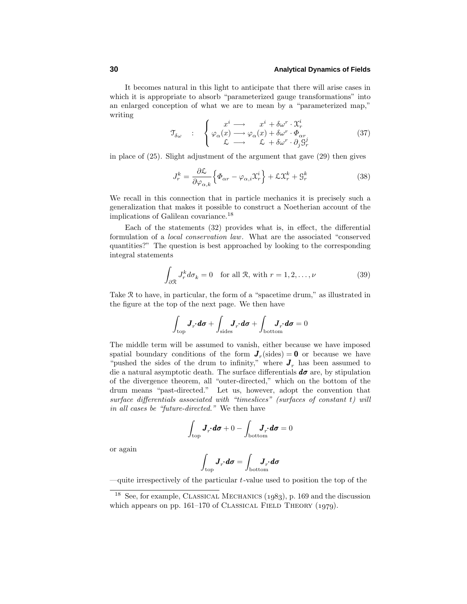### **30 Analytical Dynamics of Fields**

It becomes natural in this light to anticipate that there will arise cases in which it is appropriate to absorb "parameterized gauge transformations" into an enlarged conception of what we are to mean by a "parameterized map," writing

$$
\mathcal{T}_{\delta\omega} : \begin{cases} x^i \longrightarrow & x^i + \delta\omega^r \cdot \mathcal{X}_r^i \\ \varphi_\alpha(x) \longrightarrow \varphi_\alpha(x) + \delta\omega^r \cdot \Phi_{\alpha r} \\ \mathcal{L} \longrightarrow & \mathcal{L} + \delta\omega^r \cdot \partial_j \mathcal{G}_r^j \end{cases} \tag{37}
$$

in place of  $(25)$ . Slight adjustment of the argument that gave  $(29)$  then gives

$$
J_r^k = \frac{\partial \mathcal{L}}{\partial \varphi_{\alpha,k}} \left\{ \varPhi_{\alpha r} - \varphi_{\alpha,i} \mathcal{X}_r^i \right\} + \mathcal{L} \mathcal{X}_r^k + \mathcal{G}_r^k \tag{38}
$$

We recall in this connection that in particle mechanics it is precisely such a generalization that makes it possible to construct a Noetherian account of the implications of Galilean covariance.<sup>18</sup>

Each of the statements (32) provides what is, in effect, the differential formulation of a local conservation law. What are the associated "conserved quantities?" The question is best approached by looking to the corresponding integral statements

$$
\int_{\partial \mathcal{R}} J_r^k d\sigma_k = 0 \quad \text{for all } \mathcal{R}, \text{ with } r = 1, 2, \dots, \nu \tag{39}
$$

Take R to have, in particular, the form of a "spacetime drum," as illustrated in the figure at the top of the next page. We then have

$$
\int_{\text{top}} \boldsymbol{J}_r \cdot d\boldsymbol{\sigma} + \int_{\text{sides}} \boldsymbol{J}_r \cdot d\boldsymbol{\sigma} + \int_{\text{bottom}} \boldsymbol{J}_r \cdot d\boldsymbol{\sigma} = 0
$$

The middle term will be assumed to vanish, either because we have imposed spatial boundary conditions of the form  $J_r$ (sides) = 0 or because we have "pushed the sides of the drum to infinity," where  $J_r$  has been assumed to die a natural asymptotic death. The surface differentials *dσ* are, by stipulation of the divergence theorem, all "outer-directed," which on the bottom of the drum means "past-directed." Let us, however, adopt the convention that surface differentials associated with "timeslices" (surfaces of constant *t*) will in all cases be "future-directed." We then have

$$
\int_{\text{top}} \boldsymbol{J}_r \cdot d\boldsymbol{\sigma} + 0 - \int_{\text{bottom}} \boldsymbol{J}_r \cdot d\boldsymbol{\sigma} = 0
$$

or again

$$
\int_{\rm top} \bm{J}_{\bm{r^*}} d\bm{\sigma} = \int_{\rm bottom} \bm{J}_{\bm{r^*}} d\bm{\sigma}
$$

—quite irrespectively of the particular *t*-value used to position the top of the

<sup>&</sup>lt;sup>18</sup> See, for example, CLASSICAL MECHANICS  $(1983)$ , p. 169 and the discussion which appears on pp.  $161-170$  of CLASSICAL FIELD THEORY  $(1979)$ .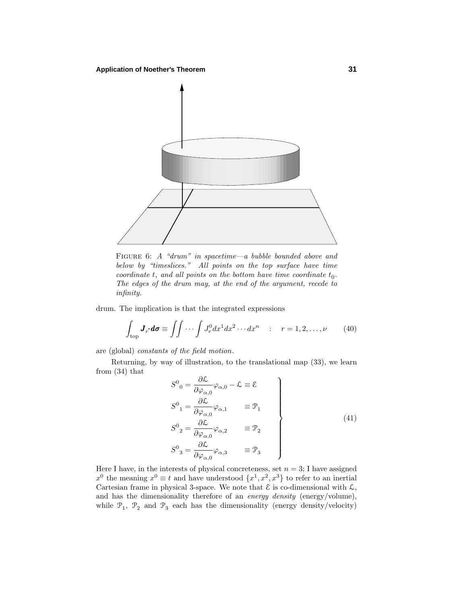

FIGURE 6: A "drum" in spacetime—a bubble bounded above and below by "timeslices." All points on the top surface have time coordinate  $t$ , and all points on the bottom have time coordinate  $t_0$ . The edges of the drum may, at the end of the argument, recede to infinity.

drum. The implication is that the integrated expressions

$$
\int_{\text{top}} \mathbf{J}_r \cdot d\boldsymbol{\sigma} \equiv \iint \cdots \int J_r^0 dx^1 dx^2 \cdots dx^n \quad : \quad r = 1, 2, \dots, \nu \tag{40}
$$

are (global) constants of the field motion.

Returning, by way of illustration, to the translational map (33), we learn from (34) that

$$
S^{0}_{0} = \frac{\partial \mathcal{L}}{\partial \varphi_{\alpha,0}} \varphi_{\alpha,0} - \mathcal{L} \equiv \mathcal{E}
$$
  
\n
$$
S^{0}_{1} = \frac{\partial \mathcal{L}}{\partial \varphi_{\alpha,0}} \varphi_{\alpha,1} \equiv \mathcal{P}_{1}
$$
  
\n
$$
S^{0}_{2} = \frac{\partial \mathcal{L}}{\partial \varphi_{\alpha,0}} \varphi_{\alpha,2} \equiv \mathcal{P}_{2}
$$
  
\n
$$
S^{0}_{3} = \frac{\partial \mathcal{L}}{\partial \varphi_{\alpha,0}} \varphi_{\alpha,3} \equiv \mathcal{P}_{3}
$$
\n(41)

Here I have, in the interests of physical concreteness, set  $n = 3$ ; I have assigned *x*<sup>0</sup> the meaning  $x^0 \equiv t$  and have understood  $\{x^1, x^2, x^3\}$  to refer to an inertial Cartesian frame in physical 3-space. We note that  $\mathcal E$  is co-dimensional with  $\mathcal L$ , and has the dimensionality therefore of an energy density (energy/volume), while  $\mathcal{P}_1$ ,  $\mathcal{P}_2$  and  $\mathcal{P}_3$  each has the dimensionality (energy density/velocity)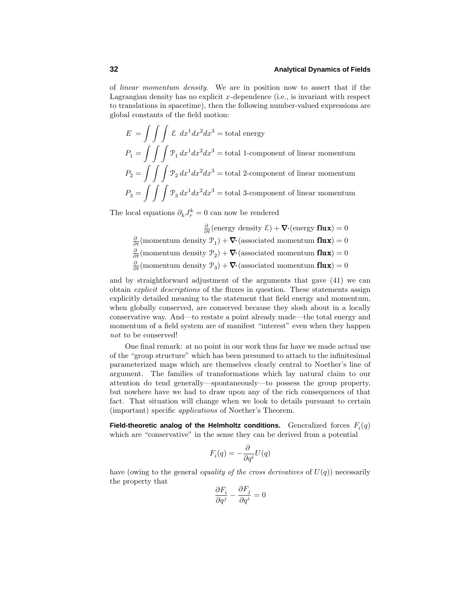of linear momentum density. We are in position now to assert that if the Lagrangian density has no explicit *x*-dependence (i.e., is invariant with respect to translations in spacetime), then the following number-valued expressions are global constants of the field motion:

$$
E = \iiint \mathcal{E} dx^1 dx^2 dx^3 = \text{total energy}
$$
  
\n
$$
P_1 = \iiint \mathcal{P}_1 dx^1 dx^2 dx^3 = \text{total 1-component of linear momentum}
$$
  
\n
$$
P_2 = \iiint \mathcal{P}_2 dx^1 dx^2 dx^3 = \text{total 2-component of linear momentum}
$$
  
\n
$$
P_3 = \iiint \mathcal{P}_3 dx^1 dx^2 dx^3 = \text{total 3-component of linear momentum}
$$

The local equations  $\partial_k J_r^k = 0$  can now be rendered

 $\frac{\partial}{\partial t}$ (energy density  $\mathcal{E}$ ) +  $\nabla$ ·(energy flux) = 0  $\frac{\partial}{\partial t}$  (momentum density  $\mathcal{P}_1$ ) +  $\nabla$  (associated momentum flux) = 0  $\frac{\partial}{\partial t}$  (momentum density  $\mathcal{P}_2$ ) +  $\nabla$  (associated momentum **flux**) = 0  $\frac{\partial}{\partial t}$  (momentum density  $\mathcal{P}_3$ ) +  $\nabla$  (associated momentum flux) = 0

and by straightforward adjustment of the arguments that gave (41) we can obtain explicit descriptions of the fluxes in question. These statements assign explicitly detailed meaning to the statement that field energy and momentum, when globally conserved, are conserved because they slosh about in a locally conservative way. And—to restate a point already made—the total energy and momentum of a field system are of manifest "interest" even when they happen not to be conserved!

One final remark: at no point in our work thus far have we made actual use of the "group structure" which has been presumed to attach to the infinitesimal parameterized maps which are themselves clearly central to Noether's line of argument. The families of transformations which lay natural claim to our attention do tend generally—spontaneously—to possess the group property, but nowhere have we had to draw upon any of the rich consequences of that fact. That situation will change when we look to details pursuant to certain (important) specific applications of Noether's Theorem.

**Field-theoretic analog of the Helmholtz conditions.** Generalized forces  $F_i(q)$ which are "conservative" in the sense they can be derived from a potential

$$
F_i(q) = -\frac{\partial}{\partial q^i} U(q)
$$

have (owing to the general *equality of the cross derivatives* of  $U(q)$ ) necessarily the property that

$$
\frac{\partial F_i}{\partial q^j} - \frac{\partial F_j}{\partial q^i} = 0
$$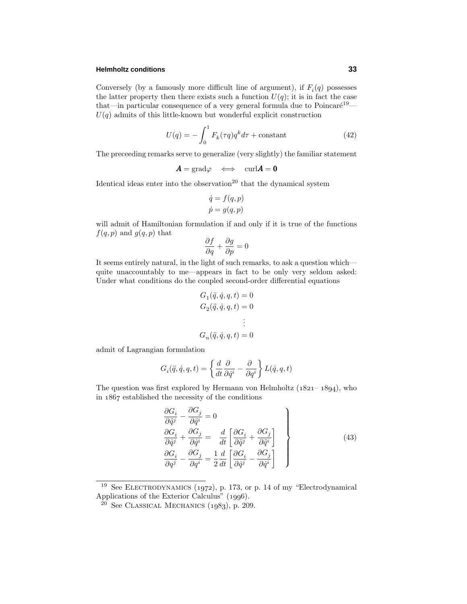### **Helmholtz conditions 33**

Conversely (by a famously more difficult line of argument), if  $F_i(q)$  possesses the latter property then there exists such a function  $U(q)$ ; it is in fact the case that—in particular consequence of a very general formula due to  $Poincaré<sup>19</sup>$ —  $U(q)$  admits of this little-known but wonderful explicit construction

$$
U(q) = -\int_0^1 F_k(\tau q) q^k d\tau + \text{constant} \tag{42}
$$

The preceeding remarks serve to generalize (very slightly) the familiar statement

$$
A = \text{grad}\varphi \iff \text{curl}A = 0
$$

Identical ideas enter into the observation<sup>20</sup> that the dynamical system

$$
\dot{q} = f(q, p)
$$

$$
\dot{p} = g(q, p)
$$

will admit of Hamiltonian formulation if and only if it is true of the functions  $f(q, p)$  and  $g(q, p)$  that

$$
\frac{\partial f}{\partial q} + \frac{\partial g}{\partial p} = 0
$$

It seems entirely natural, in the light of such remarks, to ask a question which quite unaccountably to me—appears in fact to be only very seldom asked: Under what conditions do the coupled second-order differential equations

$$
G_1(\ddot{q}, \dot{q}, q, t) = 0
$$
  
\n
$$
G_2(\ddot{q}, \dot{q}, q, t) = 0
$$
  
\n
$$
\vdots
$$
  
\n
$$
G_n(\ddot{q}, \dot{q}, q, t) = 0
$$

admit of Lagrangian formulation

$$
G_i(\ddot{q}, \dot{q}, q, t) = \left\{ \frac{d}{dt} \frac{\partial}{\partial \dot{q}^i} - \frac{\partial}{\partial q^i} \right\} L(\dot{q}, q, t)
$$

The question was first explored by Hermann von Helmholtz  $(1821 - 1894)$ , who in  $1867$  established the necessity of the conditions

$$
\begin{aligned}\n\frac{\partial G_i}{\partial \ddot{q}^j} - \frac{\partial G_j}{\partial \ddot{q}^i} &= 0 \\
\frac{\partial G_i}{\partial \dot{q}^j} + \frac{\partial G_j}{\partial \dot{q}^i} &= \frac{d}{dt} \left[ \frac{\partial G_i}{\partial \ddot{q}^j} + \frac{\partial G_j}{\partial \ddot{q}^i} \right] \\
\frac{\partial G_i}{\partial q^j} - \frac{\partial G_j}{\partial q^i} &= \frac{1}{2} \frac{d}{dt} \left[ \frac{\partial G_i}{\partial \dot{q}^j} - \frac{\partial G_j}{\partial \dot{q}^i} \right]\n\end{aligned} \tag{43}
$$

 $19$  See ELECTRODYNAMICS (1972), p. 173, or p. 14 of my "Electrodynamical Applications of the Exterior Calculus" (1996).

 $^{20}$  See CLASSICAL MECHANICS  $(1983)$ , p. 209.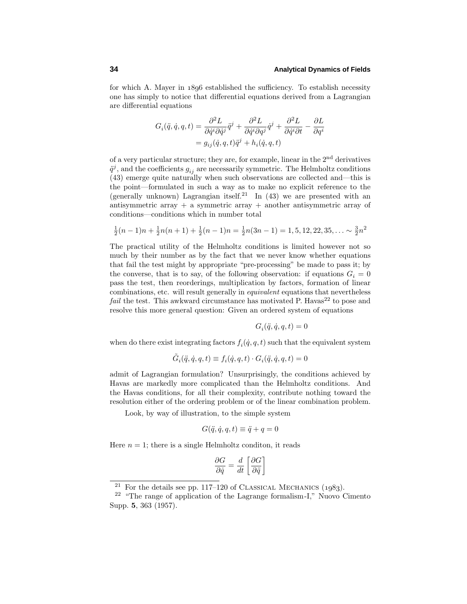### **34 Analytical Dynamics of Fields**

for which A. Mayer in  $1896$  established the sufficiency. To establish necessity one has simply to notice that differential equations derived from a Lagrangian are differential equations

$$
G_i(\ddot{q}, \dot{q}, q, t) = \frac{\partial^2 L}{\partial \dot{q}^i \partial \dot{q}^j} \ddot{q}^j + \frac{\partial^2 L}{\partial \dot{q}^i \partial q^j} \dot{q}^j + \frac{\partial^2 L}{\partial \dot{q}^i \partial t} - \frac{\partial L}{\partial q^i}
$$

$$
= g_{ij}(\dot{q}, q, t) \ddot{q}^j + h_i(\dot{q}, q, t)
$$

of a very particular structure; they are, for example, linear in the 2nd derivatives  $\ddot{q}^j$ , and the coefficients  $g_{ij}$  are necessarily symmetric. The Helmholtz conditions (43) emerge quite naturally when such observations are collected and—this is the point—formulated in such a way as to make no explicit reference to the (generally unknown) Lagrangian itself.<sup>21</sup> In  $(43)$  we are presented with an antisymmetric array  $+$  a symmetric array  $+$  another antisymmetric array of conditions—conditions which in number total

$$
\frac{1}{2}(n-1)n + \frac{1}{2}n(n+1) + \frac{1}{2}(n-1)n = \frac{1}{2}n(3n-1) = 1, 5, 12, 22, 35, \dots \sim \frac{3}{2}n^2
$$

The practical utility of the Helmholtz conditions is limited however not so much by their number as by the fact that we never know whether equations that fail the test might by appropriate "pre-processing" be made to pass it; by the converse, that is to say, of the following observation: if equations  $G_i = 0$ pass the test, then reorderings, multiplication by factors, formation of linear combinations, etc. will result generally in equivalent equations that nevertheless *fail* the test. This awkward circumstance has motivated P. Havas<sup>22</sup> to pose and resolve this more general question: Given an ordered system of equations

$$
G_i(\ddot{q}, \dot{q}, q, t) = 0
$$

when do there exist integrating factors  $f_i(\dot{q}, q, t)$  such that the equivalent system

$$
\tilde{G}_i(\ddot{q},\dot{q},q,t)\equiv f_i(\dot{q},q,t)\cdot G_i(\ddot{q},\dot{q},q,t)=0
$$

admit of Lagrangian formulation? Unsurprisingly, the conditions achieved by Havas are markedly more complicated than the Helmholtz conditions. And the Havas conditions, for all their complexity, contribute nothing toward the resolution either of the ordering problem or of the linear combination problem.

Look, by way of illustration, to the simple system

$$
G(\ddot{q}, \dot{q}, q, t) \equiv \ddot{q} + q = 0
$$

Here  $n = 1$ ; there is a single Helmholtz condition, it reads

$$
\frac{\partial G}{\partial \dot{q}} = \frac{d}{dt} \left[ \frac{\partial G}{\partial \ddot{q}} \right]
$$

<sup>&</sup>lt;sup>21</sup> For the details see pp. 117–120 of CLASSICAL MECHANICS  $(1983)$ .

<sup>22</sup> "The range of application of the Lagrange formalism-I," Nuovo Cimento Supp. **5**, 363 (1957).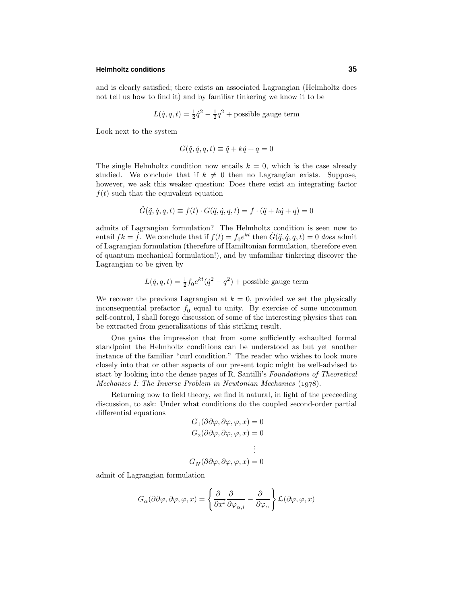### **Helmholtz conditions 35**

and is clearly satisfied; there exists an associated Lagrangian (Helmholtz does not tell us how to find it) and by familiar tinkering we know it to be

$$
L(\dot{q}, q, t) = \frac{1}{2}\dot{q}^2 - \frac{1}{2}q^2 + \text{possible gauge term}
$$

Look next to the system

$$
G(\ddot{q}, \dot{q}, q, t) \equiv \ddot{q} + k\dot{q} + q = 0
$$

The single Helmholtz condition now entails  $k = 0$ , which is the case already studied. We conclude that if  $k \neq 0$  then no Lagrangian exists. Suppose, however, we ask this weaker question: Does there exist an integrating factor  $f(t)$  such that the equivalent equation

$$
\tilde{G}(\ddot{q}, \dot{q}, q, t) \equiv f(t) \cdot G(\ddot{q}, \dot{q}, q, t) = f \cdot (\ddot{q} + k\dot{q} + q) = 0
$$

admits of Lagrangian formulation? The Helmholtz condition is seen now to entail  $fk = \dot{f}$ . We conclude that if  $f(t) = f_0 e^{kt}$  then  $\tilde{G}(\ddot{q}, \dot{q}, q, t) = 0$  does admit of Lagrangian formulation (therefore of Hamiltonian formulation, therefore even of quantum mechanical formulation!), and by unfamiliar tinkering discover the Lagrangian to be given by

$$
L(\dot{q}, q, t) = \frac{1}{2} f_0 e^{kt} (\dot{q}^2 - q^2) + \text{possible gauge term}
$$

We recover the previous Lagrangian at  $k = 0$ , provided we set the physically inconsequential prefactor  $f_0$  equal to unity. By exercise of some uncommon self-control, I shall forego discussion of some of the interesting physics that can be extracted from generalizations of this striking result.

One gains the impression that from some sufficiently exhaulted formal standpoint the Helmholtz conditions can be understood as but yet another instance of the familiar "curl condition." The reader who wishes to look more closely into that or other aspects of our present topic might be well-advised to start by looking into the dense pages of R. Santilli's Foundations of Theoretical Mechanics I: The Inverse Problem in Newtonian Mechanics  $(1978)$ .

Returning now to field theory, we find it natural, in light of the preceeding discussion, to ask: Under what conditions do the coupled second-order partial differential equations

$$
G_1(\partial\partial\varphi, \partial\varphi, \varphi, x) = 0
$$
  
\n
$$
G_2(\partial\partial\varphi, \partial\varphi, \varphi, x) = 0
$$
  
\n
$$
\vdots
$$
  
\n
$$
G_N(\partial\partial\varphi, \partial\varphi, \varphi, x) = 0
$$

admit of Lagrangian formulation

$$
G_{\alpha}(\partial\partial\varphi,\partial\varphi,\varphi,x) = \left\{\frac{\partial}{\partial x^i}\frac{\partial}{\partial\varphi_{\alpha,i}} - \frac{\partial}{\partial\varphi_{\alpha}}\right\}\mathcal{L}(\partial\varphi,\varphi,x)
$$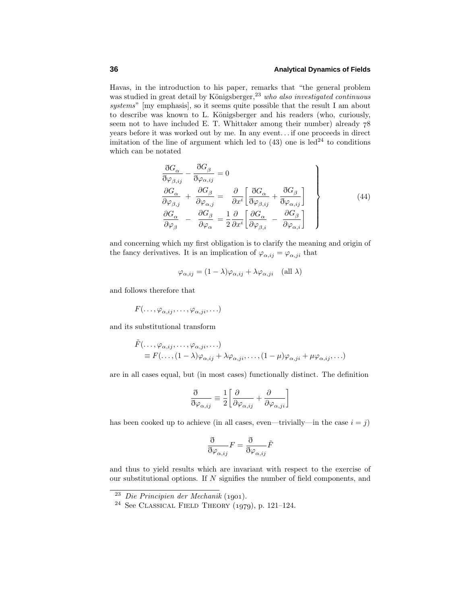### **36 Analytical Dynamics of Fields**

Havas, in the introduction to his paper, remarks that "the general problem was studied in great detail by Königsberger,<sup>23</sup> who also investigated continuous systems" [my emphasis], so it seems quite possible that the result I am about to describe was known to L. Königsberger and his readers (who, curiously, seem not to have included E. T. Whittaker among their number) already  $78$ years before it was worked out by me. In any event*...* if one proceeds in direct imitation of the line of argument which led to  $(43)$  one is led<sup>24</sup> to conditions which can be notated

$$
\frac{\partial G_{\alpha}}{\partial \varphi_{\beta,ij}} - \frac{\partial G_{\beta}}{\partial \varphi_{\alpha,ij}} = 0
$$
\n
$$
\frac{\partial G_{\alpha}}{\partial \varphi_{\beta,j}} + \frac{\partial G_{\beta}}{\partial \varphi_{\alpha,j}} = \frac{\partial}{\partial x^{i}} \left[ \frac{\partial G_{\alpha}}{\partial \varphi_{\beta,ij}} + \frac{\partial G_{\beta}}{\partial \varphi_{\alpha,ij}} \right]
$$
\n
$$
\frac{\partial G_{\alpha}}{\partial \varphi_{\beta}} - \frac{\partial G_{\beta}}{\partial \varphi_{\alpha}} = \frac{1}{2} \frac{\partial}{\partial x^{i}} \left[ \frac{\partial G_{\alpha}}{\partial \varphi_{\beta,i}} - \frac{\partial G_{\beta}}{\partial \varphi_{\alpha,i}} \right]
$$
\n(44)

and concerning which my first obligation is to clarify the meaning and origin of the fancy derivatives. It is an implication of  $\varphi_{\alpha,ij} = \varphi_{\alpha,ji}$  that

$$
\varphi_{\alpha,ij} = (1 - \lambda)\varphi_{\alpha,ij} + \lambda\varphi_{\alpha,ji} \quad \text{(all } \lambda\text{)}
$$

and follows therefore that

$$
F(\ldots,\varphi_{\alpha,ij},\ldots,\varphi_{\alpha,ji},\ldots)
$$

and its substitutional transform

$$
\tilde{F}(\ldots, \varphi_{\alpha,ij}, \ldots, \varphi_{\alpha,ji}, \ldots)
$$
\n
$$
\equiv F(\ldots, (1 - \lambda)\varphi_{\alpha,ij} + \lambda\varphi_{\alpha,ji}, \ldots, (1 - \mu)\varphi_{\alpha,ji} + \mu\varphi_{\alpha,ij}, \ldots)
$$

are in all cases equal, but (in most cases) functionally distinct. The definition

$$
\frac{\partial}{\partial \varphi_{\alpha,ij}} \equiv \frac{1}{2} \bigg[ \frac{\partial}{\partial \varphi_{\alpha,ij}} + \frac{\partial}{\partial \varphi_{\alpha,ji}} \bigg]
$$

has been cooked up to achieve (in all cases, even—trivially—in the case  $i = j$ )

$$
\frac{\eth}{\eth \varphi_{\alpha,ij}}F=\frac{\eth}{\eth \varphi_{\alpha,ij}}\tilde{F}
$$

and thus to yield results which are invariant with respect to the exercise of our substitutional options. If *N* signifies the number of field components, and

 $23$  Die Principien der Mechanik (1901).

<sup>&</sup>lt;sup>24</sup> See CLASSICAL FIELD THEORY  $(1979)$ , p. 121–124.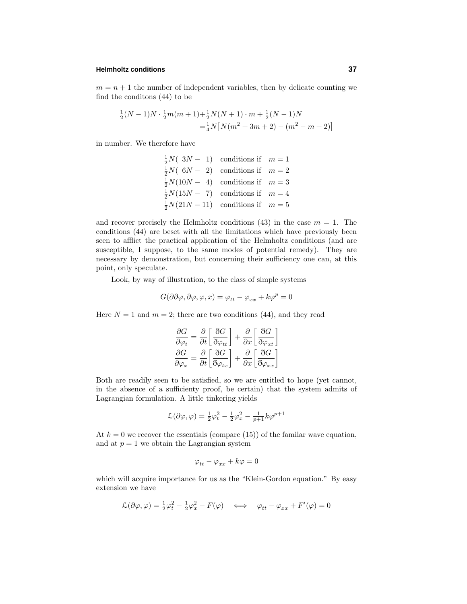#### **Helmholtz conditions 37**

 $m = n + 1$  the number of independent variables, then by delicate counting we find the conditons (44) to be

$$
\frac{1}{2}(N-1)N \cdot \frac{1}{2}m(m+1) + \frac{1}{2}N(N+1) \cdot m + \frac{1}{2}(N-1)N
$$
  
=  $\frac{1}{4}N[N(m^2+3m+2) - (m^2-m+2)]$ 

in number. We therefore have

$$
\frac{1}{2}N(3N-1)
$$
 conditions if  $m=1$   
\n
$$
\frac{1}{2}N(6N-2)
$$
 conditions if  $m=2$   
\n
$$
\frac{1}{2}N(10N-4)
$$
 conditions if  $m=3$   
\n
$$
\frac{1}{2}N(15N-7)
$$
 conditions if  $m=4$   
\n
$$
\frac{1}{2}N(21N-11)
$$
 conditions if  $m=5$ 

and recover precisely the Helmholtz conditions  $(43)$  in the case  $m = 1$ . The conditions (44) are beset with all the limitations which have previously been seen to afflict the practical application of the Helmholtz conditions (and are susceptible, I suppose, to the same modes of potential remedy). They are necessary by demonstration, but concerning their sufficiency one can, at this point, only speculate.

Look, by way of illustration, to the class of simple systems

$$
G(\partial\partial\varphi, \partial\varphi, \varphi, x) = \varphi_{tt} - \varphi_{xx} + k\varphi^p = 0
$$

Here  $N = 1$  and  $m = 2$ ; there are two conditions (44), and they read

$$
\begin{split} \frac{\partial G}{\partial \varphi_t} &= \frac{\partial}{\partial t} \bigg[ \frac{\eth G}{\eth \varphi_{tt}} \bigg] + \frac{\partial}{\partial x} \bigg[ \frac{\eth G}{\eth \varphi_{xt}} \bigg] \\ \frac{\partial G}{\partial \varphi_x} &= \frac{\partial}{\partial t} \bigg[ \frac{\eth G}{\eth \varphi_{tx}} \bigg] + \frac{\partial}{\partial x} \bigg[ \frac{\eth G}{\eth \varphi_{xx}} \bigg] \end{split}
$$

Both are readily seen to be satisfied, so we are entitled to hope (yet cannot, in the absence of a sufficienty proof, be certain) that the system admits of Lagrangian formulation. A little tinkering yields

$$
\mathcal{L}(\partial\varphi,\varphi)=\tfrac{1}{2}\varphi_t^2-\tfrac{1}{2}\varphi_x^2-\tfrac{1}{p+1}k\varphi^{p+1}
$$

At  $k = 0$  we recover the essentials (compare (15)) of the familar wave equation, and at  $p = 1$  we obtain the Lagrangian system

$$
\varphi_{tt} - \varphi_{xx} + k\varphi = 0
$$

which will acquire importance for us as the "Klein-Gordon equation." By easy extension we have

$$
\mathcal{L}(\partial \varphi, \varphi) = \frac{1}{2}\varphi_t^2 - \frac{1}{2}\varphi_x^2 - F(\varphi) \iff \varphi_{tt} - \varphi_{xx} + F'(\varphi) = 0
$$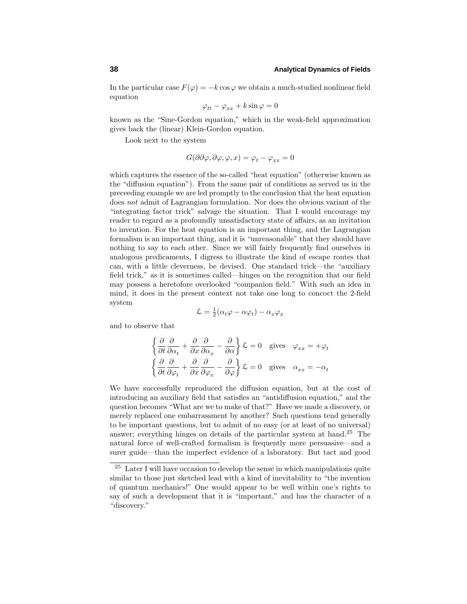In the particular case  $F(\varphi) = -k \cos \varphi$  we obtain a much-studied nonlinear field equation

$$
\varphi_{tt} - \varphi_{xx} + k \sin \varphi = 0
$$

known as the "Sine-Gordon equation," which in the weak-field approximation gives back the (linear) Klein-Gordon equation.

Look next to the system

$$
G(\partial\partial\varphi, \partial\varphi, \varphi, x) = \varphi_t - \varphi_{xx} = 0
$$

which captures the essence of the so-called "heat equation" (otherwise known as the "diffusion equation"). From the same pair of conditions as served us in the preceeding example we are led promptly to the conclusion that the heat equation does not admit of Lagrangian formulation. Nor does the obvious variant of the "integrating factor trick" salvage the situation. That I would encourage my reader to regard as a profoundly unsatisfactory state of affairs, as an invitation to invention. For the heat equation is an important thing, and the Lagrangian formalism is an important thing, and it is "unreasonable" that they should have nothing to say to each other. Since we will fairly frequently find ourselves in analogous predicaments, I digress to illustrate the kind of escape routes that can, with a little cleverness, be devised. One standard trick—the "auxiliary field trick," as it is sometimes called—hinges on the recognition that our field may possess a heretofore overlooked "companion field." With such an idea in mind, it does in the present context not take one long to concoct the 2-field system

$$
\mathcal{L} = \frac{1}{2}(\alpha_t \varphi - \alpha \varphi_t) - \alpha_x \varphi_x
$$

and to observe that

$$
\left\{\frac{\partial}{\partial t}\frac{\partial}{\partial \alpha_t} + \frac{\partial}{\partial x}\frac{\partial}{\partial \alpha_x} - \frac{\partial}{\partial \alpha}\right\}\mathcal{L} = 0 \text{ gives } \varphi_{xx} = +\varphi_t
$$
  

$$
\left\{\frac{\partial}{\partial t}\frac{\partial}{\partial \varphi_t} + \frac{\partial}{\partial x}\frac{\partial}{\partial \varphi_x} - \frac{\partial}{\partial \varphi}\right\}\mathcal{L} = 0 \text{ gives } \alpha_{xx} = -\alpha_t
$$

We have successfully reproduced the diffusion equation, but at the cost of introducing an auxiliary field that satisfies an "antidiffusion equation," and the question becomes "What are we to make of that?" Have we made a discovery, or merely replaced one embarrassment by another? Such questions tend generally to be important questions, but to admit of no easy (or at least of no universal) answer; everything hinges on details of the particular system at hand.<sup>25</sup> The natural force of well-crafted formalism is frequently more persuasive—and a surer guide—than the imperfect evidence of a laboratory. But tact and good

<sup>25</sup> Later I will have occasion to develop the sense in which manipulations quite similar to those just sketched lead with a kind of inevitability to "the invention of quantum mechanics!" One would appear to be well within one's rights to say of such a development that it is "important," and has the character of a "discovery."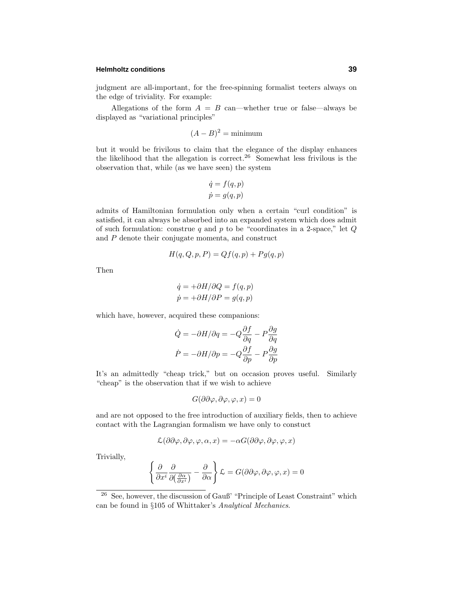### **Helmholtz conditions 39**

judgment are all-important, for the free-spinning formalist teeters always on the edge of triviality. For example:

Allegations of the form  $A = B$  can—whether true or false—always be displayed as "variational principles"

$$
(A - B)^2 = \text{minimum}
$$

but it would be frivilous to claim that the elegance of the display enhances the likelihood that the allegation is correct.<sup>26</sup> Somewhat less frivilous is the observation that, while (as we have seen) the system

$$
\dot{q} = f(q, p)
$$

$$
\dot{p} = g(q, p)
$$

admits of Hamiltonian formulation only when a certain "curl condition" is satisfied, it can always be absorbed into an expanded system which does admit of such formulation: construe *q* and *p* to be "coordinates in a 2-space," let *Q* and *P* denote their conjugate momenta, and construct

$$
H(q, Q, p, P) = Qf(q, p) + Pg(q, p)
$$

Then

$$
\dot{q} = +\partial H/\partial Q = f(q, p)
$$

$$
\dot{p} = +\partial H/\partial P = g(q, p)
$$

which have, however, acquired these companions:

$$
\dot{Q} = -\partial H/\partial q = -Q\frac{\partial f}{\partial q} - P\frac{\partial g}{\partial q}
$$

$$
\dot{P} = -\partial H/\partial p = -Q\frac{\partial f}{\partial p} - P\frac{\partial g}{\partial p}
$$

It's an admittedly "cheap trick," but on occasion proves useful. Similarly "cheap" is the observation that if we wish to achieve

$$
G(\partial\partial\varphi,\partial\varphi,\varphi,x)=0
$$

and are not opposed to the free introduction of auxiliary fields, then to achieve contact with the Lagrangian formalism we have only to constuct

$$
\mathcal{L}(\partial\partial\varphi,\partial\varphi,\varphi,\alpha,x)=-\alpha G(\partial\partial\varphi,\partial\varphi,\varphi,x)
$$

Trivially,

$$
\left\{\frac{\partial}{\partial x^i}\frac{\partial}{\partial \left(\frac{\partial \alpha}{\partial x^i}\right)} - \frac{\partial}{\partial \alpha}\right\}\mathcal{L} = G(\partial \partial \varphi, \partial \varphi, \varphi, x) = 0
$$

<sup>26</sup> See, however, the discussion of Gauß' "Principle of Least Constraint" which can be found in §105 of Whittaker's Analytical Mechanics.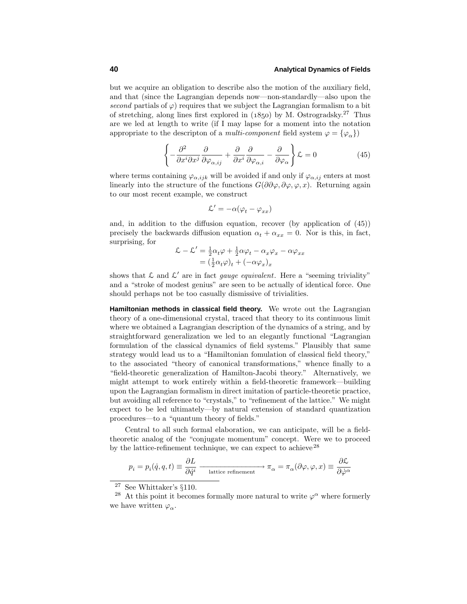but we acquire an obligation to describe also the motion of the auxiliary field, and that (since the Lagrangian depends now—non-standardly—also upon the second partials of  $\varphi$ ) requires that we subject the Lagrangian formalism to a bit of stretching, along lines first explored in  $(1850)$  by M. Ostrogradsky.<sup>27</sup> Thus are we led at length to write (if I may lapse for a moment into the notation appropriate to the descripton of a *multi-component* field system  $\varphi = {\varphi_{\alpha}}$ 

$$
\left\{-\frac{\partial^2}{\partial x^i \partial x^j} \frac{\partial}{\partial \varphi_{\alpha,ij}} + \frac{\partial}{\partial x^i} \frac{\partial}{\partial \varphi_{\alpha,i}} - \frac{\partial}{\partial \varphi_{\alpha}}\right\} \mathcal{L} = 0 \tag{45}
$$

where terms containing  $\varphi_{\alpha,ijk}$  will be avoided if and only if  $\varphi_{\alpha,ij}$  enters at most linearly into the structure of the functions  $G(\partial \partial \varphi, \partial \varphi, \varphi, x)$ . Returning again to our most recent example, we construct

$$
\mathcal{L}' = -\alpha(\varphi_t - \varphi_{xx})
$$

and, in addition to the diffusion equation, recover (by application of (45)) precisely the backwards diffusion equation  $\alpha_t + \alpha_{xx} = 0$ . Nor is this, in fact, surprising, for

$$
\mathcal{L} - \mathcal{L}' = \frac{1}{2}\alpha_t \varphi + \frac{1}{2}\alpha \varphi_t - \alpha_x \varphi_x - \alpha \varphi_{xx}
$$

$$
= (\frac{1}{2}\alpha_t \varphi)_t + (-\alpha \varphi_x)_x
$$

shows that  $\mathcal L$  and  $\mathcal L'$  are in fact *gauge equivalent*. Here a "seeming triviality" and a "stroke of modest genius" are seen to be actually of identical force. One should perhaps not be too casually dismissive of trivialities.

**Hamiltonian methods in classical field theory.** We wrote out the Lagrangian theory of a one-dimensional crystal, traced that theory to its continuous limit where we obtained a Lagrangian description of the dynamics of a string, and by straightforward generalization we led to an elegantly functional "Lagrangian formulation of the classical dynamics of field systems." Plausibly that same strategy would lead us to a "Hamiltonian fomulation of classical field theory," to the associated "theory of canonical transformations," whence finally to a "field-theoretic generalization of Hamilton-Jacobi theory." Alternatively, we might attempt to work entirely within a field-theoretic framework—building upon the Lagrangian formalism in direct imitation of particle-theoretic practice, but avoiding all reference to "crystals," to "refinement of the lattice." We might expect to be led ultimately—by natural extension of standard quantization procedures—to a "quantum theory of fields."

Central to all such formal elaboration, we can anticipate, will be a fieldtheoretic analog of the "conjugate momentum" concept. Were we to proceed by the lattice-refinement technique, we can expect to achieve<sup>28</sup>

$$
p_i=p_i(\dot{q},q,t)\equiv\frac{\partial L}{\partial\dot{q}^i}\xrightarrow[\text{lattice refinement}]{\text{lattice refinement}}\pi_{\alpha}=\pi_{\alpha}(\partial\varphi,\varphi,x)\equiv\frac{\partial \mathcal{L}}{\partial\dot{\varphi}^{\alpha}}
$$

<sup>27</sup> See Whittaker's §110.

<sup>&</sup>lt;sup>28</sup> At this point it becomes formally more natural to write  $\varphi^{\alpha}$  where formerly we have written  $\varphi_{\alpha}$ .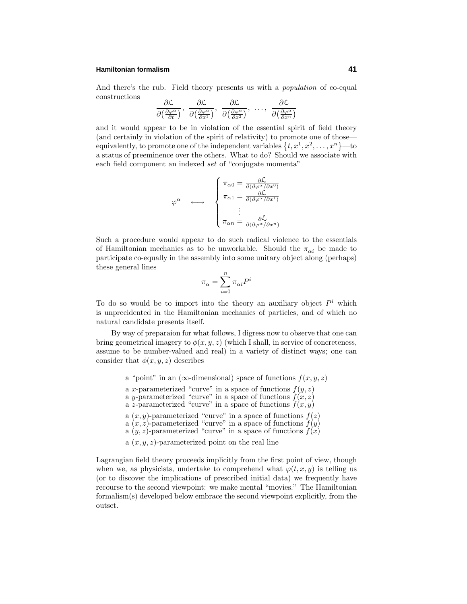## **Hamiltonian formalism 41**

And there's the rub. Field theory presents us with a *population* of co-equal constructions

$$
\frac{\partial \mathcal{L}}{\partial \left(\frac{\partial \varphi^{\alpha}}{\partial t}\right)}, \frac{\partial \mathcal{L}}{\partial \left(\frac{\partial \varphi^{\alpha}}{\partial x^{1}}\right)}, \frac{\partial \mathcal{L}}{\partial \left(\frac{\partial \varphi^{\alpha}}{\partial x^{2}}\right)}, \dots, \frac{\partial \mathcal{L}}{\partial \left(\frac{\partial \varphi^{\alpha}}{\partial x^{n}}\right)}
$$

and it would appear to be in violation of the essential spirit of field theory (and certainly in violation of the spirit of relativity) to promote one of those equivalently, to promote one of the independent variables  $\{t, x^1, x^2, \ldots, x^n\}$  —to a status of preeminence over the others. What to do? Should we associate with each field component an indexed set of "conjugate momenta"

$$
\varphi^{\alpha} \longleftrightarrow \begin{cases} \pi_{\alpha 0} = \frac{\partial \mathcal{L}}{\partial(\partial \varphi^{\alpha}/\partial x^{0})} \\ \pi_{\alpha 1} = \frac{\partial \mathcal{L}}{\partial(\partial \varphi^{\alpha}/\partial x^{1})} \\ \vdots \\ \pi_{\alpha n} = \frac{\partial \mathcal{L}}{\partial(\partial \varphi^{\alpha}/\partial x^{n})} \end{cases}
$$

Such a procedure would appear to do such radical violence to the essentials of Hamiltonian mechanics as to be unworkable. Should the  $\pi_{\alpha i}$  be made to participate co-equally in the assembly into some unitary object along (perhaps) these general lines

$$
\pi_{\alpha}=\sum_{i=0}^n \pi_{\alpha i}P^i
$$

To do so would be to import into the theory an auxiliary object  $P^i$  which is unprecidented in the Hamiltonian mechanics of particles, and of which no natural candidate presents itself.

By way of preparaion for what follows, I digress now to observe that one can bring geometrical imagery to  $\phi(x, y, z)$  (which I shall, in service of concreteness, assume to be number-valued and real) in a variety of distinct ways; one can consider that  $\phi(x, y, z)$  describes

```
a "point" in an (\infty-dimensional) space of functions f(x, y, z)a x-parameterized "curve" in a space of functions f(y, z)a y-parameterized "curve" in a space of functions f(x, z)a z-parameterized "curve" in a space of functions f(x, y)a (x, y)-parameterized "curve" in a space of functions f(z)a (x, z)-parameterized "curve" in a space of functions f(y)a (y, z)-parameterized "curve" in a space of functions f(x)a (x, y, z)-parameterized point on the real line
```
Lagrangian field theory proceeds implicitly from the first point of view, though when we, as physicists, undertake to comprehend what  $\varphi(t, x, y)$  is telling us (or to discover the implications of prescribed initial data) we frequently have recourse to the second viewpoint: we make mental "movies." The Hamiltonian formalism(s) developed below embrace the second viewpoint explicitly, from the outset.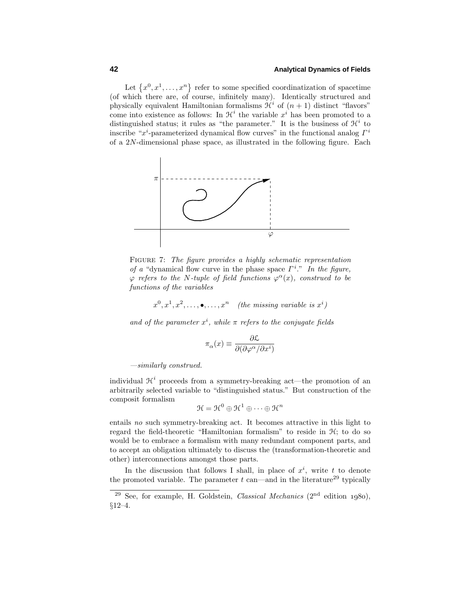Let  $\{x^0, x^1, \ldots, x^n\}$  refer to some specified coordinatization of spacetime (of which there are, of course, infinitely many). Identically structured and physically equivalent Hamiltonian formalisms  $\mathcal{H}^i$  of  $(n + 1)$  distinct "flavors" come into existence as follows: In  $\mathcal{H}^i$  the variable  $x^i$  has been promoted to a distinguished status; it rules as "the parameter." It is the business of  $\mathcal{H}^i$  to inscribe " $x^i$ -parameterized dynamical flow curves" in the functional analog  $\Gamma^i$ of a 2*N*-dimensional phase space, as illustrated in the following figure. Each



FIGURE 7: The figure provides a highly schematic representation of a "dynamical flow curve in the phase space  $\Gamma^i$ ." In the figure,  $\varphi$  refers to the *N*-tuple of field functions  $\varphi^{\alpha}(x)$ , construed to be functions of the variables

 $x^0, x^1, x^2, \ldots, \bullet, \ldots, x^n$  (the missing variable is  $x^i$ )

and of the parameter  $x^i$ , while  $\pi$  refers to the conjugate fields

$$
\pi_{\alpha}(x) \equiv \frac{\partial \mathcal{L}}{\partial(\partial \varphi^{\alpha}/\partial x^{i})}
$$

—similarly construed.

individual  $\mathcal{H}^i$  proceeds from a symmetry-breaking act—the promotion of an arbitrarily selected variable to "distinguished status." But construction of the composit formalism

$$
\mathcal{H} = \mathcal{H}^0 \oplus \mathcal{H}^1 \oplus \cdots \oplus \mathcal{H}^n
$$

entails no such symmetry-breaking act. It becomes attractive in this light to regard the field-theoretic "Hamiltonian formalism" to reside in H; to do so would be to embrace a formalism with many redundant component parts, and to accept an obligation ultimately to discuss the (transformation-theoretic and other) interconnections amongst those parts.

In the discussion that follows I shall, in place of  $x^i$ , write  $t$  to denote the promoted variable. The parameter  $t$  can—and in the literature<sup>29</sup> typically

<sup>&</sup>lt;sup>29</sup> See, for example, H. Goldstein, *Classical Mechanics* (2<sup>nd</sup> edition 1980), §12–4.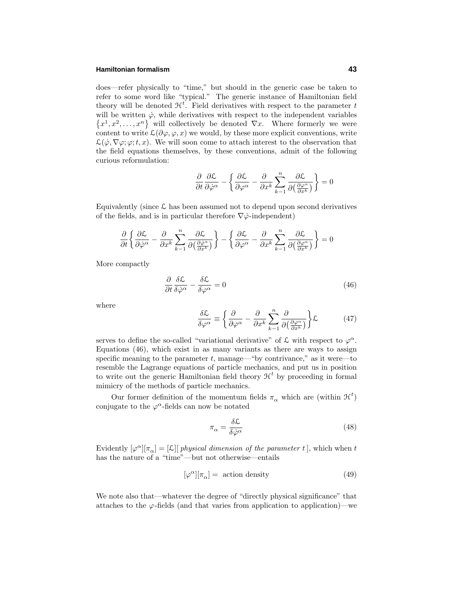### **Hamiltonian formalism 43**

does—refer physically to "time," but should in the generic case be taken to refer to some word like "typical." The generic instance of Hamiltonian field theory will be denoted  $\mathcal{H}^t$ . Field derivatives with respect to the parameter  $t$ will be written  $\dot{\varphi}$ , while derivatives with respect to the independent variables  $\{x^1, x^2, \ldots, x^n\}$  will collectively be denoted  $\nabla x$ . Where formerly we were content to write  $\mathcal{L}(\partial \varphi, \varphi, x)$  we would, by these more explicit conventions, write  $\mathcal{L}(\varphi, \nabla \varphi; \varphi; t, x)$ . We will soon come to attach interest to the observation that the field equations themselves, by these conventions, admit of the following curious reformulation:

$$
\frac{\partial}{\partial t}\frac{\partial \mathcal{L}}{\partial \dot{\varphi}^\alpha}-\left\{\frac{\partial \mathcal{L}}{\partial \varphi^\alpha}-\frac{\partial}{\partial x^k}\sum_{k=1}^n\frac{\partial \mathcal{L}}{\partial \left(\frac{\partial \varphi^\alpha}{\partial x^k}\right)}\right\}=0
$$

Equivalently (since  $\mathcal L$  has been assumed not to depend upon second derivatives of the fields, and is in particular therefore ∇*ϕ*˙-independent)

$$
\frac{\partial}{\partial t} \left\{ \frac{\partial \mathcal{L}}{\partial \dot{\varphi}^{\alpha}} - \frac{\partial}{\partial x^{k}} \sum_{k=1}^{n} \frac{\partial \mathcal{L}}{\partial (\frac{\partial \dot{\varphi}^{\alpha}}{\partial x^{k}})} \right\} - \left\{ \frac{\partial \mathcal{L}}{\partial \varphi^{\alpha}} - \frac{\partial}{\partial x^{k}} \sum_{k=1}^{n} \frac{\partial \mathcal{L}}{\partial (\frac{\partial \varphi^{\alpha}}{\partial x^{k}})} \right\} = 0
$$

More compactly

$$
\frac{\partial}{\partial t} \frac{\delta \mathcal{L}}{\delta \dot{\varphi}^{\alpha}} - \frac{\delta \mathcal{L}}{\delta \varphi^{\alpha}} = 0
$$
\n(46)

where

$$
\frac{\delta \mathcal{L}}{\delta \varphi^{\alpha}} \equiv \left\{ \frac{\partial}{\partial \varphi^{\alpha}} - \frac{\partial}{\partial x^{k}} \sum_{k=1}^{n} \frac{\partial}{\partial \left(\frac{\partial \varphi^{\alpha}}{\partial x^{k}}\right)} \right\} \mathcal{L}
$$
(47)

serves to define the so-called "variational derivative" of  $\mathcal L$  with respect to  $\varphi^{\alpha}$ . Equations  $(46)$ , which exist in as many variants as there are ways to assign specific meaning to the parameter *t*, manage—"by contrivance," as it were—to resemble the Lagrange equations of particle mechanics, and put us in position to write out the generic Hamiltonian field theory  $\mathcal{H}^t$  by proceeding in formal mimicry of the methods of particle mechanics.

Our former definition of the momentum fields  $\pi_\alpha$  which are (within  $\mathcal{H}^t$ ) conjugate to the  $\varphi^{\alpha}$ -fields can now be notated

$$
\pi_{\alpha} = \frac{\delta \mathcal{L}}{\delta \dot{\varphi}^{\alpha}}
$$
\n(48)

Evidently  $[\varphi^{\alpha}][\pi_{\alpha}] = [\mathcal{L}][$  *physical dimension of the parameter t*, which when *t* has the nature of a "time"—but not otherwise—entails

$$
[\varphi^{\alpha}][\pi_{\alpha}] = \text{ action density} \tag{49}
$$

We note also that—whatever the degree of "directly physical significance" that attaches to the  $\varphi$ -fields (and that varies from application to application)—we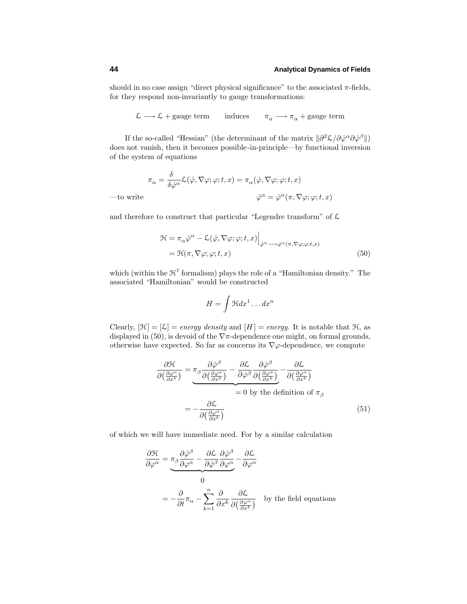should in no case assign "direct physical significance" to the associated  $\pi$ -fields, for they respond non-invariantly to gauge transformations:

 $\mathcal{L} \longrightarrow \mathcal{L} +$  gauge term induces  $\pi_{\alpha} \longrightarrow \pi_{\alpha} +$  gauge term

If the so-called "Hessian" (the determinant of the matrix  $\|\partial^2 \mathcal{L}/\partial \dot{\varphi}^{\alpha}\partial \dot{\varphi}^{\beta}\|$ ) does not vanish, then it becomes possible-in-principle—by functional inversion of the system of equations

$$
\pi_{\alpha} = \frac{\delta}{\delta \dot{\varphi}^{\alpha}} \mathcal{L}(\dot{\varphi}, \nabla \varphi; \varphi; t, x) = \pi_{\alpha}(\dot{\varphi}, \nabla \varphi; \varphi; t, x)
$$
\n–to write

\n
$$
\dot{\varphi}^{\alpha} = \dot{\varphi}^{\alpha}(\pi, \nabla \varphi; \varphi; t, x)
$$

and therefore to construct that particular "Legendre transform" of  $\mathcal{L}$ 

$$
\mathcal{H} = \pi_{\alpha} \dot{\varphi}^{\alpha} - \mathcal{L}(\dot{\varphi}, \nabla \varphi; \varphi; t, x) \Big|_{\dot{\varphi}^{\alpha} \longrightarrow \dot{\varphi}^{\alpha}(\pi, \nabla \varphi; \varphi; t, x)}
$$
  
=  $\mathcal{H}(\pi, \nabla \varphi; \varphi; t, x)$  (50)

which (within the  $\mathcal{H}^t$  formalism) plays the role of a "Hamiltonian density." The associated "Hamiltonian" would be constructed

$$
H = \int \mathcal{H} dx^1 \dots dx^n
$$

Clearly,  $[\mathcal{H}] = [\mathcal{L}] = energy density$  and  $[H] = energy$ . It is notable that  $\mathcal{H}$ , as displayed in (50), is devoid of the  $\nabla \pi$ -dependence one might, on formal grounds, otherwise have expected. So far as concerns its  $\nabla \varphi$ -dependence, we compute

$$
\frac{\partial \mathcal{H}}{\partial \left(\frac{\partial \varphi^{\alpha}}{\partial x^{k}}\right)} = \underbrace{\pi_{\beta} \frac{\partial \dot{\varphi}^{\beta}}{\partial \left(\frac{\partial \varphi^{\alpha}}{\partial x^{k}}\right)} - \frac{\partial \mathcal{L}}{\partial \dot{\varphi}^{\beta}} \frac{\partial \dot{\varphi}^{\beta}}{\partial \left(\frac{\partial \varphi^{\alpha}}{\partial x^{k}}\right)}}_{= 0 \text{ by the definition of } \pi_{\beta}} - \underbrace{\frac{\partial \mathcal{L}}{\partial \left(\frac{\partial \varphi^{\alpha}}{\partial x^{k}}\right)}}_{= 0 \text{ by the definition of } \pi_{\beta}} \tag{51}
$$

of which we will have immediate need. For by a similar calculation

$$
\frac{\partial \mathcal{H}}{\partial \varphi^{\alpha}} = \underbrace{\pi_{\beta} \frac{\partial \dot{\varphi}^{\beta}}{\partial \varphi^{\alpha}} - \frac{\partial \mathcal{L}}{\partial \dot{\varphi}^{\beta}} \frac{\partial \dot{\varphi}^{\beta}}{\partial \varphi^{\alpha}}}_{0} - \underbrace{\frac{\partial \mathcal{L}}{\partial \varphi^{\alpha}}}_{0}
$$
\n
$$
= -\frac{\partial}{\partial t} \pi_{\alpha} - \sum_{k=1}^{n} \frac{\partial}{\partial x^{k}} \frac{\partial \mathcal{L}}{\partial \left(\frac{\partial \varphi^{\alpha}}{\partial x^{k}}\right)} \text{ by the field equations}
$$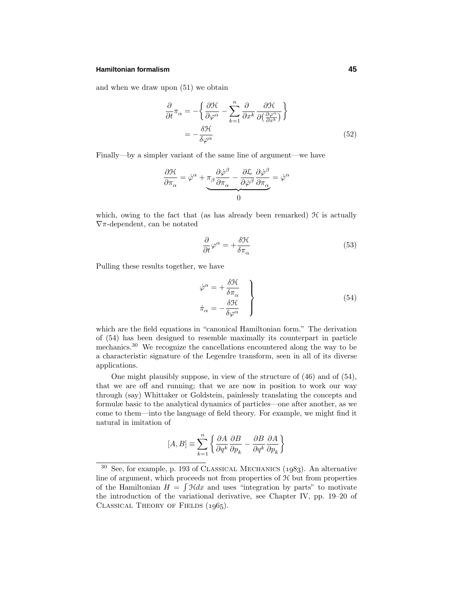## **Hamiltonian formalism 45**

and when we draw upon (51) we obtain

$$
\frac{\partial}{\partial t}\pi_{\alpha} = -\left\{\frac{\partial \mathcal{H}}{\partial \varphi^{\alpha}} - \sum_{k=1}^{n} \frac{\partial}{\partial x^{k}} \frac{\partial \mathcal{H}}{\partial \left(\frac{\partial \varphi^{\alpha}}{\partial x^{k}}\right)}\right\}
$$
\n
$$
= -\frac{\delta \mathcal{H}}{\delta \varphi^{\alpha}}
$$
\n(52)

Finally—by a simpler variant of the same line of argument—we have

$$
\frac{\partial \mathcal{H}}{\partial \pi_{\alpha}} = \dot{\varphi}^{\alpha} + \underbrace{\pi_{\beta} \frac{\partial \dot{\varphi}^{\beta}}{\partial \pi_{\alpha}} - \frac{\partial \mathcal{L}}{\partial \dot{\varphi}^{\beta}} \frac{\partial \dot{\varphi}^{\beta}}{\partial \pi_{\alpha}}}_{0} = \dot{\varphi}^{\alpha}
$$

which, owing to the fact that (as has already been remarked)  $H$  is actually ∇*π*-dependent, can be notated

$$
\frac{\partial}{\partial t}\varphi^{\alpha} = +\frac{\delta \mathcal{H}}{\delta \pi_{\alpha}}\tag{53}
$$

Pulling these results together, we have

$$
\begin{aligned}\n\dot{\varphi}^{\alpha} &= +\frac{\delta \mathcal{H}}{\delta \pi_{\alpha}} \\
\dot{\pi}_{\alpha} &= -\frac{\delta \mathcal{H}}{\delta \varphi^{\alpha}}\n\end{aligned}
$$
\n(54)

which are the field equations in "canonical Hamiltonian form." The derivation of (54) has been designed to resemble maximally its counterpart in particle mechanics.<sup>30</sup> We recognize the cancellations encountered along the way to be a characteristic signature of the Legendre transform, seen in all of its diverse applications.

One might plausibly suppose, in view of the structure of (46) and of (54), that we are off and running; that we are now in position to work our way through (say) Whittaker or Goldstein, painlessly translating the concepts and formulæ basic to the analytical dynamics of particles—one after another, as we come to them—into the language of field theory. For example, we might find it natural in imitation of

$$
[A,B] \equiv \sum_{k=1}^n \left\{ \frac{\partial A}{\partial q^k} \frac{\partial B}{\partial p_k} - \frac{\partial B}{\partial q^k} \frac{\partial A}{\partial p_k} \right\}
$$

 $30$  See, for example, p. 193 of CLASSICAL MECHANICS (1983). An alternative line of argument, which proceeds not from properties of H but from properties of the Hamiltonian  $H = \int \mathcal{H} dx$  and uses "integration by parts" to motivate the introduction of the variational derivative, see Chapter IV, pp. 19–20 of CLASSICAL THEORY OF FIELDS (1965).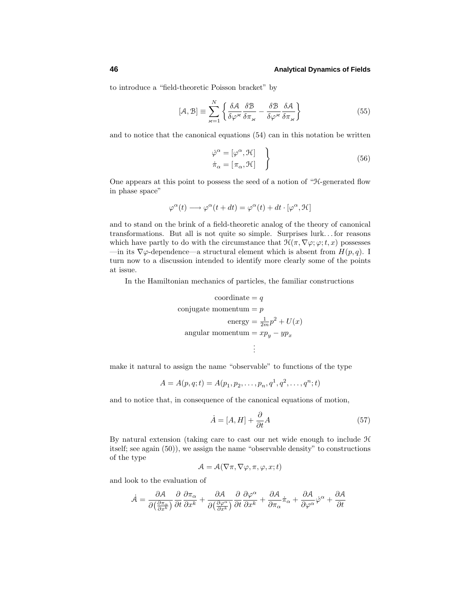to introduce a "field-theoretic Poisson bracket" by

$$
[\mathcal{A}, \mathcal{B}] \equiv \sum_{\varkappa=1}^{N} \left\{ \frac{\delta \mathcal{A}}{\delta \varphi^{\varkappa}} \frac{\delta \mathcal{B}}{\delta \pi_{\varkappa}} - \frac{\delta \mathcal{B}}{\delta \varphi^{\varkappa}} \frac{\delta \mathcal{A}}{\delta \pi_{\varkappa}} \right\}
$$
(55)

and to notice that the canonical equations (54) can in this notation be written

$$
\dot{\varphi}^{\alpha} = [\varphi^{\alpha}, \mathcal{H}] \}
$$
\n
$$
\dot{\pi}_{\alpha} = [\pi_{\alpha}, \mathcal{H}]
$$
\n(56)

One appears at this point to possess the seed of a notion of "H-generated flow in phase space"

$$
\varphi^{\alpha}(t) \longrightarrow \varphi^{\alpha}(t+dt) = \varphi^{\alpha}(t) + dt \cdot [\varphi^{\alpha}, \mathcal{H}]
$$

and to stand on the brink of a field-theoretic analog of the theory of canonical transformations. But all is not quite so simple. Surprises lurk*...* for reasons which have partly to do with the circumstance that  $\mathcal{H}(\pi, \nabla \varphi; \varphi; t, x)$  possesses —in its  $\nabla \varphi$ -dependence—a structural element which is absent from  $H(p,q)$ . I turn now to a discussion intended to identify more clearly some of the points at issue.

In the Hamiltonian mechanics of particles, the familiar constructions  $\mathbf{r} = \mathbf{q}$ 

$$
coordinate = q
$$
  
conjugate momentum = p  
energy =  $\frac{1}{2m}p^2 + U(x)$   
angular momentum =  $xp_y - yp_x$   
:

make it natural to assign the name "observable" to functions of the type

$$
A = A(p, q; t) = A(p_1, p_2, \dots, p_n, q^1, q^2, \dots, q^n; t)
$$

and to notice that, in consequence of the canonical equations of motion,

$$
\dot{A} = [A, H] + \frac{\partial}{\partial t} A \tag{57}
$$

By natural extension (taking care to cast our net wide enough to include H itself; see again (50)), we assign the name "observable density" to constructions of the type

$$
\mathcal{A} = \mathcal{A}(\nabla \pi, \nabla \varphi, \pi, \varphi, x; t)
$$

and look to the evaluation of

$$
\dot{\mathcal{A}} = \frac{\partial \mathcal{A}}{\partial \left(\frac{\partial \pi_{\alpha}}{\partial x^{k}}\right)} \frac{\partial}{\partial t} \frac{\partial \pi_{\alpha}}{\partial x^{k}} + \frac{\partial \mathcal{A}}{\partial \left(\frac{\partial \varphi^{\alpha}}{\partial x^{k}}\right)} \frac{\partial}{\partial t} \frac{\partial \varphi^{\alpha}}{\partial x^{k}} + \frac{\partial \mathcal{A}}{\partial \pi_{\alpha}} \dot{\pi}_{\alpha} + \frac{\partial \mathcal{A}}{\partial \varphi^{\alpha}} \dot{\varphi}^{\alpha} + \frac{\partial \mathcal{A}}{\partial t}
$$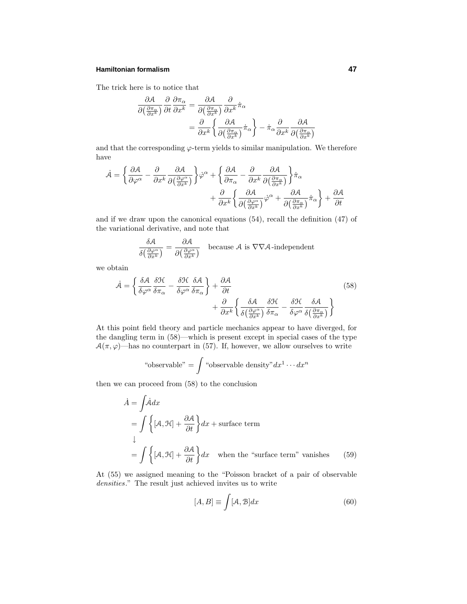### **Hamiltonian formalism 47**

The trick here is to notice that

$$
\frac{\partial \mathcal{A}}{\partial \left(\frac{\partial \pi_{\alpha}}{\partial x^{k}}\right)} \frac{\partial}{\partial t} \frac{\partial \pi_{\alpha}}{\partial x^{k}} = \frac{\partial \mathcal{A}}{\partial \left(\frac{\partial \pi_{\alpha}}{\partial x^{k}}\right)} \frac{\partial}{\partial x^{k}} \dot{\pi}_{\alpha}
$$
\n
$$
= \frac{\partial}{\partial x^{k}} \left\{ \frac{\partial \mathcal{A}}{\partial \left(\frac{\partial \pi_{\alpha}}{\partial x^{k}}\right)} \dot{\pi}_{\alpha} \right\} - \dot{\pi}_{\alpha} \frac{\partial}{\partial x^{k}} \frac{\partial \mathcal{A}}{\partial \left(\frac{\partial \pi_{\alpha}}{\partial x^{k}}\right)}
$$

and that the corresponding  $\varphi$ -term yields to similar manipulation. We therefore have

$$
\begin{split} \dot{\mathcal{A}} = \bigg\{ & \frac{\partial \mathcal{A}}{\partial \varphi^{\alpha}} - \frac{\partial}{\partial x^{k}} \frac{\partial \mathcal{A}}{\partial \big( \frac{\partial \varphi^{\alpha}}{\partial x^{k}} \big)} \bigg\} \dot{\varphi}^{\alpha} + \bigg\{ & \frac{\partial \mathcal{A}}{\partial \pi_{\alpha}} - \frac{\partial}{\partial x^{k}} \frac{\partial \mathcal{A}}{\partial \big( \frac{\partial \pi_{\alpha}}{\partial x^{k}} \big)} \bigg\} \dot{\pi}_{\alpha} \\ & + \frac{\partial}{\partial x^{k}} \bigg\{ \frac{\partial \mathcal{A}}{\partial \big( \frac{\partial \varphi^{\alpha}}{\partial x^{k}} \big)} \dot{\varphi}^{\alpha} + \frac{\partial \mathcal{A}}{\partial \big( \frac{\partial \pi_{\alpha}}{\partial x^{k}} \big)} \dot{\pi}_{\alpha} \bigg\} + \frac{\partial \mathcal{A}}{\partial t} \end{split}
$$

and if we draw upon the canonical equations (54), recall the definition (47) of the variational derivative, and note that

$$
\frac{\delta \mathcal{A}}{\delta \left(\frac{\partial \varphi^{\alpha}}{\partial x^{k}}\right)} = \frac{\partial \mathcal{A}}{\partial \left(\frac{\partial \varphi^{\alpha}}{\partial x^{k}}\right)}
$$
 because  $\mathcal{A}$  is  $\nabla \nabla \mathcal{A}$ -independent

we obtain

$$
\dot{\mathcal{A}} = \left\{ \frac{\delta \mathcal{A}}{\delta \varphi^{\alpha}} \frac{\delta \mathcal{H}}{\delta \pi_{\alpha}} - \frac{\delta \mathcal{H}}{\delta \varphi^{\alpha}} \frac{\delta \mathcal{A}}{\delta \pi_{\alpha}} \right\} + \frac{\partial \mathcal{A}}{\partial t} + \frac{\partial}{\partial x^{k}} \left\{ \frac{\delta \mathcal{A}}{\delta \left( \frac{\partial \varphi^{\alpha}}{\partial x^{k}} \right)} \frac{\delta \mathcal{H}}{\delta \pi_{\alpha}} - \frac{\delta \mathcal{H}}{\delta \varphi^{\alpha}} \frac{\delta \mathcal{A}}{\delta \left( \frac{\partial \pi_{\alpha}}{\partial x^{k}} \right)} \right\}
$$
(58)

At this point field theory and particle mechanics appear to have diverged, for the dangling term in (58)—which is present except in special cases of the type  $\mathcal{A}(\pi,\varphi)$ —has no counterpart in (57). If, however, we allow ourselves to write

"observable" = 
$$
\int
$$
 "observable density"  $dx^1 \cdots dx^n$ 

then we can proceed from (58) to the conclusion

$$
\dot{A} = \int \dot{A} dx
$$
  
=  $\int \left\{ [A, \mathcal{H}] + \frac{\partial A}{\partial t} \right\} dx + \text{surface term}$   
=  $\int \left\{ [A, \mathcal{H}] + \frac{\partial A}{\partial t} \right\} dx \quad \text{when the "surface term" vanishes} \quad (59)$ 

At (55) we assigned meaning to the "Poisson bracket of a pair of observable densities." The result just achieved invites us to write

$$
[A, B] \equiv \int [A, B] dx \tag{60}
$$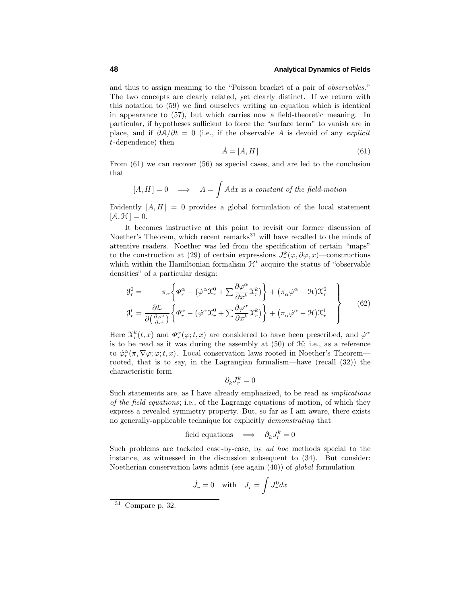and thus to assign meaning to the "Poisson bracket of a pair of observables." The two concepts are clearly related, yet clearly distinct. If we return with this notation to (59) we find ourselves writing an equation which is identical in appearance to (57), but which carries now a field-theoretic meaning. In particular, if hypotheses sufficient to force the "surface term" to vanish are in place, and if  $\partial A/\partial t = 0$  (i.e., if the observable A is devoid of any *explicit t*-dependence) then

$$
\dot{A} = [A, H] \tag{61}
$$

From (61) we can recover (56) as special cases, and are led to the conclusion that

$$
[A, H] = 0 \implies A = \int \mathcal{A} dx \text{ is a constant of the field-motion}
$$

Evidently  $[A, H] = 0$  provides a global formulation of the local statement  $[\mathcal{A}, \mathcal{H}] = 0.$ 

It becomes instructive at this point to revisit our former discussion of Noether's Theorem, which recent remarks<sup>31</sup> will have recalled to the minds of attentive readers. Noether was led from the specification of certain "maps" to the construction at (29) of certain expressions  $J_r^k(\varphi, \partial \varphi, x)$ —constructions which within the Hamiltonian formalism  $\mathcal{H}^i$  acquire the status of "observable" densities" of a particular design:

$$
\mathcal{J}_r^0 = \pi_\alpha \left\{ \Phi_r^\alpha - (\dot{\varphi}^\alpha \mathfrak{X}_r^0 + \sum \frac{\partial \varphi^\alpha}{\partial x^k} \mathfrak{X}_r^k) \right\} + (\pi_\alpha \dot{\varphi}^\alpha - \mathfrak{H}) \mathfrak{X}_r^0
$$
\n
$$
\mathcal{J}_r^i = \frac{\partial \mathcal{L}}{\partial (\frac{\partial \varphi^\alpha}{\partial x^i})} \left\{ \Phi_r^\alpha - (\dot{\varphi}^\alpha \mathfrak{X}_r^0 + \sum \frac{\partial \varphi^\alpha}{\partial x^k} \mathfrak{X}_r^k) \right\} + (\pi_\alpha \dot{\varphi}^\alpha - \mathfrak{H}) \mathfrak{X}_r^i
$$
\n(62)

Here  $\mathfrak{X}_r^k(t,x)$  and  $\Phi_r^{\alpha}(\varphi;t,x)$  are considered to have been prescribed, and  $\dot{\varphi}^{\alpha}$ is to be read as it was during the assembly at  $(50)$  of  $H$ ; i.e., as a reference to  $\dot{\varphi}_r^{\alpha}(\pi, \nabla \varphi; \varphi; t, x)$ . Local conservation laws rooted in Noether's Theorem rooted, that is to say, in the Lagrangian formalism—have (recall (32)) the characteristic form

$$
\partial_k J_r^k = 0
$$

Such statements are, as I have already emphasized, to be read as implications of the field equations; i.e., of the Lagrange equations of motion, of which they express a revealed symmetry property. But, so far as I am aware, there exists no generally-applicable technique for explicitly demonstrating that

field equations 
$$
\implies \partial_k J_r^k = 0
$$

Such problems are tackeled case-by-case, by ad hoc methods special to the instance, as witnessed in the discussion subsequent to (34). But consider: Noetherian conservation laws admit (see again (40)) of global formulation

$$
\dot{J}_r=0 \quad {\rm with} \quad J_r=\int J^0_r dx
$$

 $^{31}$  Compare p. 32.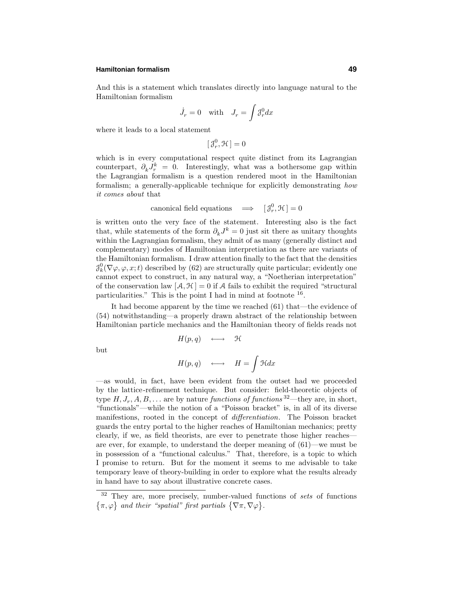## **Hamiltonian formalism 49**

And this is a statement which translates directly into language natural to the Hamiltonian formalism

$$
\dot{J}_r = 0 \quad \text{with} \quad J_r = \int \mathcal{J}_r^0 dx
$$

where it leads to a local statement

$$
[\,\mathcal{J}_r^0,\mathcal{H}\,]=0
$$

which is in every computational respect quite distinct from its Lagrangian counterpart,  $\partial_k J_r^k = 0$ . Interestingly, what was a bothersome gap within the Lagrangian formalism is a question rendered moot in the Hamiltonian formalism; a generally-applicable technique for explicitly demonstrating how it comes about that

canonical field equations 
$$
\implies
$$
  $[\mathcal{J}_r^0, \mathcal{H}] = 0$ 

is written onto the very face of the statement. Interesting also is the fact that, while statements of the form  $\partial_k J^k = 0$  just sit there as unitary thoughts within the Lagrangian formalism, they admit of as many (generally distinct and complementary) modes of Hamiltonian interpretiation as there are variants of the Hamiltonian formalism. I draw attention finally to the fact that the densities  $\partial_k^0(\nabla\varphi,\varphi,x;t)$  described by (62) are structurally quite particular; evidently one cannot expect to construct, in any natural way, a "Noetherian interpretation" of the conservation law  $[\mathcal{A}, \mathcal{H}] = 0$  if  $\mathcal{A}$  fails to exhibit the required "structural" particularities." This is the point I had in mind at footnote <sup>16</sup>.

It had become apparent by the time we reached (61) that—the evidence of (54) notwithstanding—a properly drawn abstract of the relationship between Hamiltonian particle mechanics and the Hamiltonian theory of fields reads not

$$
H(p,q) \quad \longleftrightarrow \quad \mathfrak{H}
$$

but

$$
H(p,q) \quad \longleftrightarrow \quad H = \int \mathfrak{H} dx
$$

—as would, in fact, have been evident from the outset had we proceeded by the lattice-refinement technique. But consider: field-theoretic objects of type  $H, J_r, A, B, \ldots$  are by nature functions of functions <sup>32</sup>—they are, in short, "functionals"—while the notion of a "Poisson bracket" is, in all of its diverse manifestions, rooted in the concept of differentiation. The Poisson bracket guards the entry portal to the higher reaches of Hamiltonian mechanics; pretty clearly, if we, as field theorists, are ever to penetrate those higher reaches are ever, for example, to understand the deeper meaning of (61)—we must be in possession of a "functional calculus." That, therefore, is a topic to which I promise to return. But for the moment it seems to me advisable to take temporary leave of theory-building in order to explore what the results already in hand have to say about illustrative concrete cases.

 $32$  They are, more precisely, number-valued functions of sets of functions  $\{\pi, \varphi\}$  and their "spatial" first partials  $\{\nabla \pi, \nabla \varphi\}.$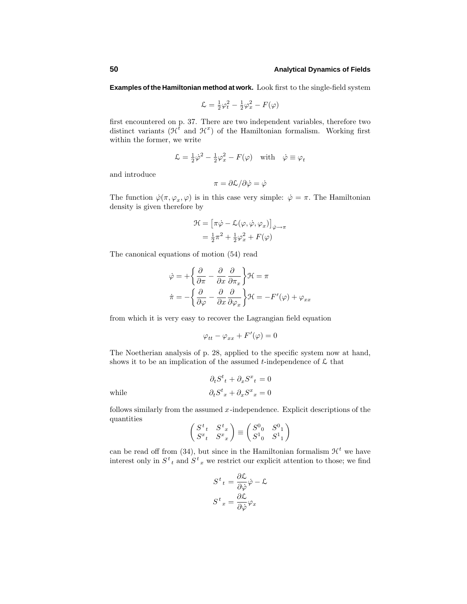**Examples of the Hamiltonian method at work.** Look first to the single-field system

$$
\mathcal{L} = \frac{1}{2}\varphi_t^2 - \frac{1}{2}\varphi_x^2 - F(\varphi)
$$

first encountered on p. 37. There are two independent variables, therefore two distinct variants  $(\mathcal{H}^t$  and  $\mathcal{H}^x)$  of the Hamiltonian formalism. Working first within the former, we write

$$
\mathcal{L} = \frac{1}{2}\dot{\varphi}^2 - \frac{1}{2}\varphi_x^2 - F(\varphi) \quad \text{with} \quad \dot{\varphi} \equiv \varphi_t
$$

and introduce

$$
\pi = \partial \mathcal{L}/\partial \dot{\varphi} = \dot{\varphi}
$$

The function  $\dot{\varphi}(\pi, \varphi_x, \varphi)$  is in this case very simple:  $\dot{\varphi} = \pi$ . The Hamiltonian density is given therefore by

$$
\mathcal{H} = \left[ \pi \dot{\varphi} - \mathcal{L}(\varphi, \dot{\varphi}, \varphi_x) \right]_{\dot{\varphi} \to \pi}
$$

$$
= \frac{1}{2} \pi^2 + \frac{1}{2} \varphi_x^2 + F(\varphi)
$$

The canonical equations of motion (54) read

$$
\dot{\varphi} = + \left\{ \frac{\partial}{\partial \pi} - \frac{\partial}{\partial x} \frac{\partial}{\partial \pi_x} \right\} \mathcal{H} = \pi
$$

$$
\dot{\pi} = - \left\{ \frac{\partial}{\partial \varphi} - \frac{\partial}{\partial x} \frac{\partial}{\partial \varphi_x} \right\} \mathcal{H} = -F'(\varphi) + \varphi_{xx}
$$

from which it is very easy to recover the Lagrangian field equation

$$
\varphi_{tt} - \varphi_{xx} + F'(\varphi) = 0
$$

The Noetherian analysis of p. 28, applied to the specific system now at hand, shows it to be an implication of the assumed *t*-independence of  $\mathcal{L}$  that

while *∂tS<sup>t</sup>*

$$
\partial_t S^t{}_t + \partial_x S^x{}_t = 0
$$

$$
\partial_t S^t{}_x + \partial_x S^x{}_x = 0
$$

follows similarly from the assumed *x*-independence. Explicit descriptions of the quantities

$$
\begin{pmatrix} S^t{}_t & S^t{}_x \\ S^x{}_t & S^x{}_x \end{pmatrix} \equiv \begin{pmatrix} S^0{}_0 & S^0{}_1 \\ S^1{}_0 & S^1{}_1 \end{pmatrix}
$$

can be read off from (34), but since in the Hamiltonian formalism  $\mathcal{H}^t$  we have interest only in  $S^t{}_t$  and  $S^t{}_x$  we restrict our explicit attention to those; we find

$$
S^t{}_t = \frac{\partial \mathcal{L}}{\partial \dot{\varphi}} \dot{\varphi} - \mathcal{L}
$$

$$
S^t{}_x = \frac{\partial \mathcal{L}}{\partial \dot{\varphi}} \varphi_x
$$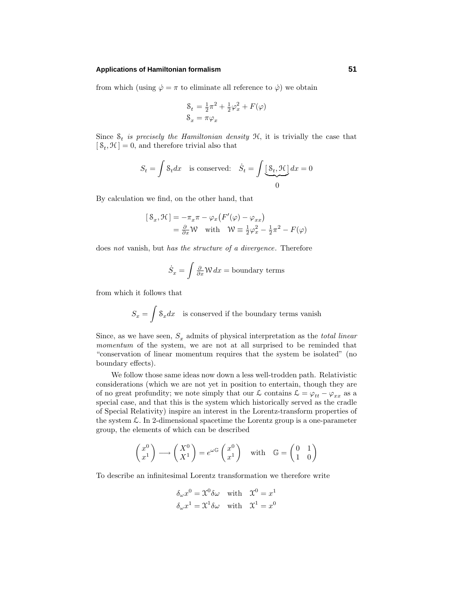## **Applications of Hamiltonian formalism 51**

from which (using  $\dot{\varphi} = \pi$  to eliminate all reference to  $\dot{\varphi}$ ) we obtain

$$
\begin{aligned} \mathcal{S}_t &= \frac{1}{2}\pi^2 + \frac{1}{2}\varphi_x^2 + F(\varphi) \\ \mathcal{S}_x &= \pi\varphi_x \end{aligned}
$$

Since  $S_t$  is precisely the Hamiltonian density  $H$ , it is trivially the case that  $[\delta_t, \mathcal{H}] = 0$ , and therefore trivial also that

$$
S_t = \int \mathcal{S}_t dx \quad \text{is conserved:} \quad \dot{S}_t = \int \underbrace{\left[\mathcal{S}_t, \mathcal{H}\right]}_{0} dx = 0
$$

By calculation we find, on the other hand, that

$$
[\mathcal{S}_x, \mathcal{H}] = -\pi_x \pi - \varphi_x (F'(\varphi) - \varphi_{xx})
$$
  
=  $\frac{\partial}{\partial x} W$  with  $W \equiv \frac{1}{2} \varphi_x^2 - \frac{1}{2} \pi^2 - F(\varphi)$ 

does not vanish, but has the structure of a divergence. Therefore

$$
\dot{S}_x = \int \frac{\partial}{\partial x} \mathcal{W} \, dx = \text{boundary terms}
$$

from which it follows that

$$
S_x = \int \mathcal{S}_x dx
$$
 is conserved if the boundary terms vanish

Since, as we have seen,  $S_x$  admits of physical interpretation as the *total linear* momentum of the system, we are not at all surprised to be reminded that "conservation of linear momentum requires that the system be isolated" (no boundary effects).

We follow those same ideas now down a less well-trodden path. Relativistic considerations (which we are not yet in position to entertain, though they are of no great profundity; we note simply that our  $\mathcal{L}$  contains  $\mathcal{L} = \varphi_{tt} - \varphi_{xx}$  as a special case, and that this is the system which historically served as the cradle of Special Relativity) inspire an interest in the Lorentz-transform properties of the system  $\mathcal{L}$ . In 2-dimensional spacetime the Lorentz group is a one-parameter group, the elements of which can be described

$$
\begin{pmatrix} x^0 \\ x^1 \end{pmatrix} \longrightarrow \begin{pmatrix} X^0 \\ X^1 \end{pmatrix} = e^{\omega \mathbb{G}} \begin{pmatrix} x^0 \\ x^1 \end{pmatrix} \quad \text{with} \quad \mathbb{G} = \begin{pmatrix} 0 & 1 \\ 1 & 0 \end{pmatrix}
$$

To describe an infinitesimal Lorentz transformation we therefore write

$$
\delta_{\omega} x^{0} = \mathfrak{X}^{0} \delta \omega \quad \text{with} \quad \mathfrak{X}^{0} = x^{1}
$$

$$
\delta_{\omega} x^{1} = \mathfrak{X}^{1} \delta \omega \quad \text{with} \quad \mathfrak{X}^{1} = x^{0}
$$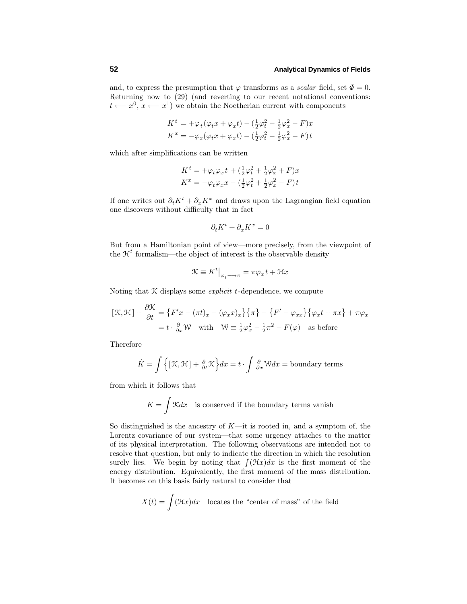and, to express the presumption that  $\varphi$  transforms as a *scalar* field, set  $\Phi = 0$ . Returning now to (29) (and reverting to our recent notational conventions: *t* ←  $x^0$ ,  $x$  ←  $x^1$ ) we obtain the Noetherian current with components

$$
K^t = +\varphi_t(\varphi_t x + \varphi_x t) - (\frac{1}{2}\varphi_t^2 - \frac{1}{2}\varphi_x^2 - F)x
$$
  

$$
K^x = -\varphi_x(\varphi_t x + \varphi_x t) - (\frac{1}{2}\varphi_t^2 - \frac{1}{2}\varphi_x^2 - F)t
$$

which after simplifications can be written

$$
K^{t} = +\varphi_{t}\varphi_{x}t + (\frac{1}{2}\varphi_{t}^{2} + \frac{1}{2}\varphi_{x}^{2} + F)x
$$
  

$$
K^{x} = -\varphi_{t}\varphi_{x}x - (\frac{1}{2}\varphi_{t}^{2} + \frac{1}{2}\varphi_{x}^{2} - F)t
$$

If one writes out  $\partial_t K^t + \partial_x K^x$  and draws upon the Lagrangian field equation one discovers without difficulty that in fact

$$
\partial_t K^t + \partial_x K^x = 0
$$

But from a Hamiltonian point of view—more precisely, from the viewpoint of the  $\mathcal{H}^t$  formalism—the object of interest is the observable density

$$
\mathcal{K} \equiv K^t \big|_{\varphi_t \longrightarrow \pi} = \pi \varphi_x t + \mathcal{H} x
$$

Noting that K displays some explicit *t*-dependence, we compute

$$
[\mathcal{K}, \mathcal{H}] + \frac{\partial \mathcal{K}}{\partial t} = \left\{ F'x - (\pi t)_x - (\varphi_x x)_x \right\} \left\{ \pi \right\} - \left\{ F' - \varphi_{xx} \right\} \left\{ \varphi_x t + \pi x \right\} + \pi \varphi_x
$$

$$
= t \cdot \frac{\partial}{\partial x} \mathcal{W} \quad \text{with} \quad \mathcal{W} \equiv \frac{1}{2} \varphi_x^2 - \frac{1}{2} \pi^2 - F(\varphi) \quad \text{as before}
$$

Therefore

$$
\dot{K} = \int \left\{ [\mathcal{K}, \mathcal{H}] + \frac{\partial}{\partial t} \mathcal{K} \right\} dx = t \cdot \int \frac{\partial}{\partial x} W dx = \text{boundary terms}
$$

from which it follows that

$$
K = \int \mathcal{K} dx
$$
 is conserved if the boundary terms vanish

So distinguished is the ancestry of *K*—it is rooted in, and a symptom of, the Lorentz covariance of our system—that some urgency attaches to the matter of its physical interpretation. The following observations are intended not to resolve that question, but only to indicate the direction in which the resolution surely lies. We begin by noting that  $\int (\mathcal{H}x)dx$  is the first moment of the energy distribution. Equivalently, the first moment of the mass distribution. It becomes on this basis fairly natural to consider that

$$
X(t) = \int (\mathcal{H}x)dx
$$
 locates the "center of mass" of the field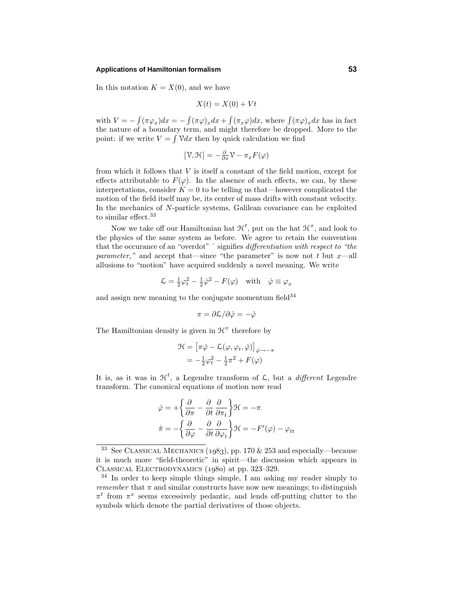## **Applications of Hamiltonian formalism 53**

In this notation  $K = X(0)$ , and we have

$$
X(t) = X(0) + Vt
$$

with  $V = -\int (\pi \varphi_x) dx = -\int (\pi \varphi)_x dx + \int (\pi_x \varphi) dx$ , where  $\int (\pi \varphi)_x dx$  has in fact the nature of a boundary term, and might therefore be dropped. More to the point: if we write  $V = \int \mathcal{V} dx$  then by quick calculation we find

$$
[\mathcal{V}, \mathcal{H}] = -\frac{\partial}{\partial x}\mathcal{V} - \pi_x F(\varphi)
$$

from which it follows that *V* is itself a constant of the field motion, except for effects attributable to  $F(\varphi)$ . In the absence of such effects, we can, by these interpretations, consider  $K = 0$  to be telling us that—however complicated the motion of the field itself may be, its center of mass drifts with constant velocity. In the mechanics of *N*-particle systems, Galilean covariance can be exploited to similar effect.<sup>33</sup>

Now we take off our Hamiltonian hat  $\mathfrak{H}^t$ , put on the hat  $\mathfrak{H}^x$ , and look to the physics of the same system as before. We agree to retain the convention that the occurance of an "overdot"  $\cdot$  signifies *differentiation with respect to "the* parameter," and accept that—since "the parameter" is now not *t* but *x*—all allusions to "motion" have acquired suddenly a novel meaning. We write

$$
\mathcal{L} = \frac{1}{2}\varphi_t^2 - \frac{1}{2}\dot{\varphi}^2 - F(\varphi) \quad \text{with} \quad \dot{\varphi} \equiv \varphi_x
$$

and assign new meaning to the conjugate momentum  $\text{field}^{34}$ 

$$
\pi = \partial \mathcal{L}/\partial \dot{\varphi} = -\dot{\varphi}
$$

The Hamiltonian density is given in  $\mathcal{H}^x$  therefore by

$$
\mathcal{H} = \left[ \pi \dot{\varphi} - \mathcal{L}(\varphi, \varphi_t, \dot{\varphi}) \right]_{\dot{\varphi} \to -\pi}
$$

$$
= -\frac{1}{2}\varphi_t^2 - \frac{1}{2}\pi^2 + F(\varphi)
$$

It is, as it was in  $\mathcal{H}^t$ , a Legendre transform of  $\mathcal{L}$ , but a *different* Legendre transform. The canonical equations of motion now read

$$
\dot{\varphi} = + \left\{ \frac{\partial}{\partial \pi} - \frac{\partial}{\partial t} \frac{\partial}{\partial \pi_t} \right\} \mathcal{H} = -\pi
$$

$$
\dot{\pi} = - \left\{ \frac{\partial}{\partial \varphi} - \frac{\partial}{\partial t} \frac{\partial}{\partial \varphi_t} \right\} \mathcal{H} = -F'(\varphi) - \varphi_{tt}
$$

<sup>&</sup>lt;sup>33</sup> See CLASSICAL MECHANICS (1983), pp. 170  $\&$  253 and especially—because it is much more "field-theoretic" in spirit—the discussion which appears in CLASSICAL ELECTRODYNAMICS  $(1980)$  at pp. 323–329.

<sup>34</sup> In order to keep simple things simple, I am asking my reader simply to *remember* that  $\pi$  and similar constructs have now new meanings; to distinguish  $\pi^t$  from  $\pi^x$  seems excessively pedantic, and lends off-putting clutter to the symbols which denote the partial derivatives of those objects.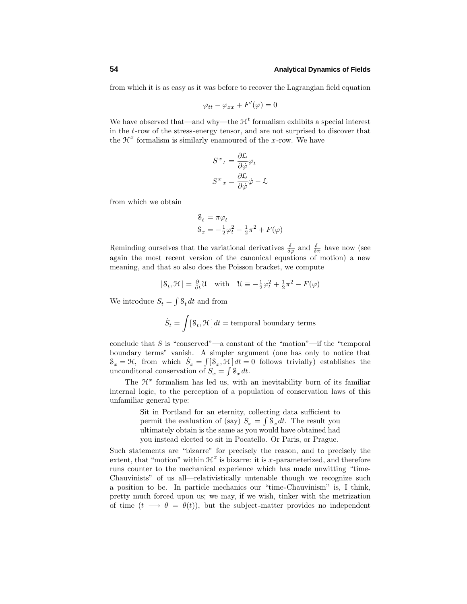from which it is as easy as it was before to recover the Lagrangian field equation

$$
\varphi_{tt} - \varphi_{xx} + F'(\varphi) = 0
$$

We have observed that—and why—the  $\mathcal{H}^t$  formalism exhibits a special interest in the *t*-row of the stress-energy tensor, and are not surprised to discover that the  $\mathcal{H}^x$  formalism is similarly enamoured of the *x*-row. We have

$$
S^x{}_t = \frac{\partial \mathcal{L}}{\partial \dot{\varphi}} \varphi_t
$$

$$
S^x{}_x = \frac{\partial \mathcal{L}}{\partial \dot{\varphi}} \dot{\varphi} - \mathcal{L}
$$

from which we obtain

$$
\begin{aligned} \mathbf{S}_t &= \pi \varphi_t \\ \mathbf{S}_x &= -\tfrac{1}{2} \varphi_t^2 - \tfrac{1}{2} \pi^2 + F(\varphi) \end{aligned}
$$

Reminding ourselves that the variational derivatives  $\frac{\delta}{\delta \varphi}$  and  $\frac{\delta}{\delta \pi}$  have now (see again the most recent version of the canonical equations of motion) a new meaning, and that so also does the Poisson bracket, we compute

$$
[\mathcal{S}_t, \mathcal{H}] = \frac{\partial}{\partial t} \mathcal{U} \quad \text{with} \quad \mathcal{U} \equiv -\frac{1}{2}\varphi_t^2 + \frac{1}{2}\pi^2 - F(\varphi)
$$

We introduce  $S_t = \int \mathcal{S}_t dt$  and from

$$
\dot{S}_t = \int [\mathbf{\mathcal{S}}_t, \mathcal{H}] \, dt = \text{temporal boundary terms}
$$

conclude that *S* is "conserved"—a constant of the "motion"—if the "temporal boundary terms" vanish. A simpler argument (one has only to notice that  $S_x = \mathcal{H}$ , from which  $S_x = \int [S_x, \mathcal{H}] dt = 0$  follows trivially) establishes the unconditonal conservation of  $S_x = \int \mathcal{S}_x dt$ .

The  $\mathcal{H}^x$  formalism has led us, with an inevitability born of its familiar internal logic, to the perception of a population of conservation laws of this unfamiliar general type:

> Sit in Portland for an eternity, collecting data sufficient to permit the evaluation of (say)  $S_x = \int \mathcal{S}_x dt$ . The result you ultimately obtain is the same as you would have obtained had you instead elected to sit in Pocatello. Or Paris, or Prague.

Such statements are "bizarre" for precisely the reason, and to precisely the extent, that "motion" within  $\mathcal{H}^x$  is bizarre: it is *x*-parameterized, and therefore runs counter to the mechanical experience which has made unwitting "time-Chauvinists" of us all—relativistically untenable though we recognize such a position to be. In particle mechanics our "time-Chauvinism" is, I think, pretty much forced upon us; we may, if we wish, tinker with the metrization of time  $(t \rightarrow \theta = \theta(t))$ , but the subject-matter provides no independent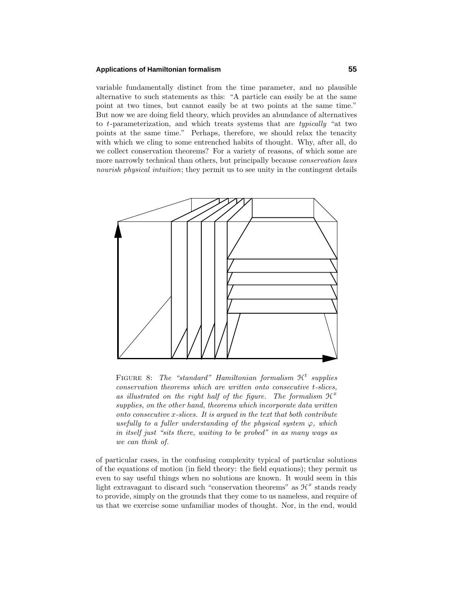## **Applications of Hamiltonian formalism 55**

variable fundamentally distinct from the time parameter, and no plausible alternative to such statements as this: "A particle can easily be at the same point at two times, but cannot easily be at two points at the same time." But now we are doing field theory, which provides an abundance of alternatives to *t*-parameterization, and which treats systems that are typically "at two points at the same time." Perhaps, therefore, we should relax the tenacity with which we cling to some entrenched habits of thought. Why, after all, do we collect conservation theorems? For a variety of reasons, of which some are more narrowly technical than others, but principally because conservation laws nourish physical intuition; they permit us to see unity in the contingent details



Figure 8: The "standard" Hamiltonian formalism H*<sup>t</sup>* supplies conservation theorems which are written onto consecutive *t*-slices, as illustrated on the right half of the figure. The formalism H*<sup>x</sup>* supplies, on the other hand, theorems which incorporate data written onto consecutive *x*-slices. It is argued in the text that both contribute usefully to a fuller understanding of the physical system  $\varphi$ , which in itself just "sits there, waiting to be probed" in as many ways as we can think of.

of particular cases, in the confusing complexity typical of particular solutions of the equations of motion (in field theory: the field equations); they permit us even to say useful things when no solutions are known. It would seem in this light extravagant to discard such "conservation theorems" as  $\mathcal{H}^x$  stands ready to provide, simply on the grounds that they come to us nameless, and require of us that we exercise some unfamiliar modes of thought. Nor, in the end, would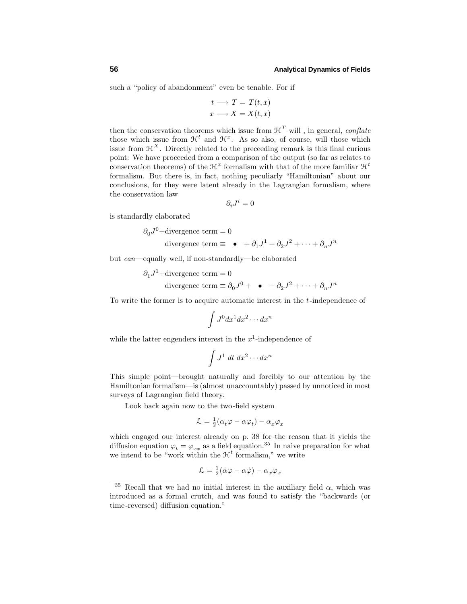such a "policy of abandonment" even be tenable. For if

$$
t \longrightarrow T = T(t, x)
$$

$$
x \longrightarrow X = X(t, x)
$$

then the conservation theorems which issue from  $\mathcal{H}^T$  will, in general, *conflate* those which issue from  $\mathcal{H}^t$  and  $\mathcal{H}^x$ . As so also, of course, will those which issue from  $\mathcal{H}^X$ . Directly related to the preceeding remark is this final curious point: We have proceeded from a comparison of the output (so far as relates to conservation theorems) of the  $\mathcal{H}^x$  formalism with that of the more familiar  $\mathcal{H}^t$ formalism. But there is, in fact, nothing peculiarly "Hamiltonian" about our conclusions, for they were latent already in the Lagrangian formalism, where the conservation law

$$
\partial_i J^i = 0
$$

is standardly elaborated

$$
\partial_0 J^0
$$
+divergence term = 0  
divergence term  $\equiv \bullet + \partial_1 J^1 + \partial_2 J^2 + \cdots + \partial_n J^n$ 

but can—equally well, if non-standardly—be elaborated

$$
\partial_1 J^1 + \text{divergence term} = 0
$$
  
divergence term  $\equiv \partial_0 J^0 + \bullet + \partial_2 J^2 + \cdots + \partial_n J^n$ 

To write the former is to acquire automatic interest in the *t*-independence of

$$
\int J^0 dx^1 dx^2 \cdots dx^n
$$

while the latter engenders interest in the  $x^1$ -independence of

$$
\int J^1 \, dt \, dx^2 \cdots dx^n
$$

This simple point—brought naturally and forcibly to our attention by the Hamiltonian formalism—is (almost unaccountably) passed by unnoticed in most surveys of Lagrangian field theory.

Look back again now to the two-field system

$$
\mathcal{L} = \frac{1}{2}(\alpha_t \varphi - \alpha \varphi_t) - \alpha_x \varphi_x
$$

which engaged our interest already on p. 38 for the reason that it yields the diffusion equation  $\varphi_t = \varphi_{xx}$  as a field equation.<sup>35</sup> In naive preparation for what we intend to be "work within the  $\mathcal{H}^t$  formalism," we write

$$
\mathcal{L} = \frac{1}{2}(\dot{\alpha}\varphi - \alpha\dot{\varphi}) - \alpha_x\varphi_x
$$

<sup>&</sup>lt;sup>35</sup> Recall that we had no initial interest in the auxiliary field  $\alpha$ , which was introduced as a formal crutch, and was found to satisfy the "backwards (or time-reversed) diffusion equation."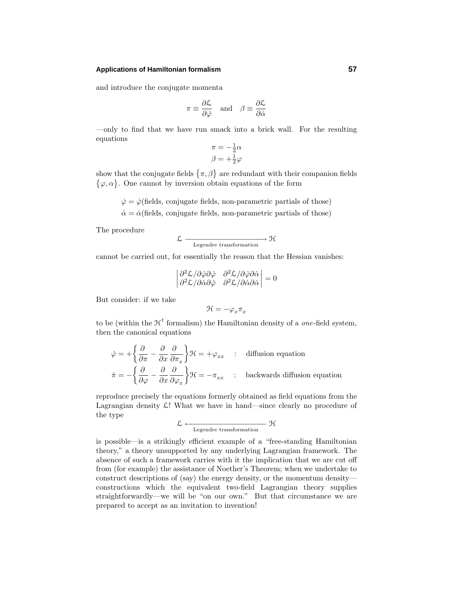### **Applications of Hamiltonian formalism 57**

and introduce the conjugate momenta

$$
\pi \equiv \frac{\partial \mathcal{L}}{\partial \dot{\varphi}} \quad \text{and} \quad \beta \equiv \frac{\partial \mathcal{L}}{\partial \dot{\alpha}}
$$

—only to find that we have run smack into a brick wall. For the resulting equations

$$
\pi = -\frac{1}{2}\alpha
$$

$$
\beta = +\frac{1}{2}\varphi
$$

show that the conjugate fields  $\{\pi, \beta\}$  are redundant with their companion fields  $\{\varphi, \alpha\}$ . One cannot by inversion obtain equations of the form

 $\dot{\varphi} = \dot{\varphi}$ (fields, conjugate fields, non-parametric partials of those)

 $\dot{\alpha} = \dot{\alpha}$  (fields, conjugate fields, non-parametric partials of those)

The procedure

$$
\mathcal{L} \xrightarrow{\phantom{L}} \mathbf{Legendre}\; \mathbf{transformation}
$$

cannot be carried out, for essentially the reason that the Hessian vanishes:

$$
\begin{vmatrix} \frac{\partial^2 \mathcal{L}}{\partial \dot{\varphi}} \frac{\partial \dot{\varphi}}{\partial \dot{\varphi}} & \frac{\partial^2 \mathcal{L}}{\partial \dot{\varphi}} \frac{\partial \dot{\varphi}}{\partial \dot{\alpha}} \\ \frac{\partial^2 \mathcal{L}}{\partial \dot{\alpha}} \frac{\partial \dot{\varphi}}{\partial \dot{\varphi}} & \frac{\partial^2 \mathcal{L}}{\partial \dot{\alpha}} \frac{\partial \dot{\varphi}}{\partial \dot{\alpha}} \end{vmatrix} = 0
$$

But consider: if we take

$$
\mathcal{H} = -\varphi_x \pi_x
$$

to be (within the  $\mathcal{H}^t$  formalism) the Hamiltonian density of a *one*-field system, then the canonical equations

$$
\dot{\varphi} = + \left\{ \frac{\partial}{\partial \pi} - \frac{\partial}{\partial x} \frac{\partial}{\partial \pi_x} \right\} \mathcal{H} = + \varphi_{xx} \quad : \text{ diffusion equation}
$$
\n
$$
\dot{\pi} = - \left\{ \frac{\partial}{\partial \varphi} - \frac{\partial}{\partial x} \frac{\partial}{\partial \varphi_x} \right\} \mathcal{H} = - \pi_{xx} \quad : \text{backwards diffusion equation}
$$

reproduce precisely the equations formerly obtained as field equations from the Lagrangian density L! What we have in hand—since clearly no procedure of the type

$$
\mathcal{L} \longleftarrow \underbrace{\text{Legendre transformation}} \mathcal{H}
$$

is possible—is a strikingly efficient example of a "free-standing Hamiltonian theory," a theory unsupported by any underlying Lagrangian framework. The absence of such a framework carries with it the implication that we are cut off from (for example) the assistance of Noether's Theorem; when we undertake to construct descriptions of (say) the energy density, or the momentum density constructions which the equivalent two-field Lagrangian theory supplies straightforwardly—we will be "on our own." But that circumstance we are prepared to accept as an invitation to invention!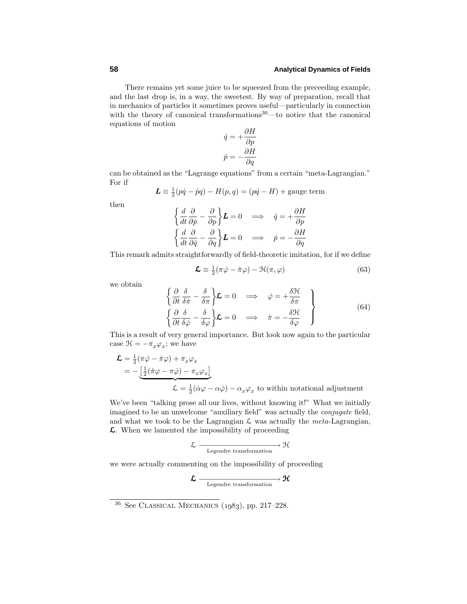There remains yet some juice to be squeezed from the preceeding example, and the last drop is, in a way, the sweetest. By way of preparation, recall that in mechanics of particles it sometimes proves useful—particularly in connection with the theory of canonical transformations $36$ —to notice that the canonical equations of motion *∂H*

$$
\dot{q} = +\frac{\partial H}{\partial p}
$$

$$
\dot{p} = -\frac{\partial H}{\partial q}
$$

can be obtained as the "Lagrange equations" from a certain "meta-Lagrangian." For if

$$
\mathbf{L} \equiv \frac{1}{2}(p\dot{q} - \dot{p}q) - H(p,q) = (p\dot{q} - H) + \text{gauge term}
$$

then

$$
\begin{cases}\n\frac{d}{dt} \frac{\partial}{\partial \dot{p}} - \frac{\partial}{\partial p} \right\}\mathbf{L} = 0 \implies \dot{q} = +\frac{\partial H}{\partial p} \\
\frac{d}{dt} \frac{\partial}{\partial \dot{q}} - \frac{\partial}{\partial q} \Big\}\mathbf{L} = 0 \implies \dot{p} = -\frac{\partial H}{\partial q}\n\end{cases}
$$

This remark admits straightforwardly of field-theoretic imitation, for if we define

$$
\mathcal{L} \equiv \frac{1}{2} (\pi \dot{\varphi} - \dot{\pi} \varphi) - \mathcal{H}(\pi, \varphi)
$$
 (63)

we obtain

$$
\begin{cases}\n\frac{\partial}{\partial t} \frac{\delta}{\delta \dot{\pi}} - \frac{\delta}{\delta \pi} \right\}\mathcal{L} = 0 \implies \dot{\varphi} = +\frac{\delta \mathcal{H}}{\delta \pi} \\
\frac{\partial}{\partial t} \frac{\delta}{\delta \dot{\varphi}} - \frac{\delta}{\delta \varphi} \right\}\mathcal{L} = 0 \implies \dot{\pi} = -\frac{\delta \mathcal{H}}{\delta \varphi}\n\end{cases}
$$
\n(64)

This is a result of very general importance. But look now again to the particular case  $\mathcal{H} = -\pi_x \varphi_x$ ; we have

$$
\mathcal{L} = \frac{1}{2} (\pi \dot{\varphi} - \dot{\pi} \varphi) + \pi_x \varphi_x
$$
  
= 
$$
- \underbrace{\left[\frac{1}{2} (\dot{\pi} \varphi - \pi \dot{\varphi}) - \pi_x \varphi_x\right]}_{\mathcal{L}} \mathcal{L} = \frac{1}{2} (\dot{\alpha} \varphi - \alpha \dot{\varphi}) - \alpha_x \varphi_x
$$
 to within notational adjustment

We've been "talking prose all our lives, without knowing it!" What we initially imagined to be an unwelcome "auxiliary field" was actually the conjugate field, and what we took to be the Lagrangian  $\mathcal L$  was actually the meta-Lagrangian, L. When we lamented the impossibility of proceeding

$$
\mathcal{L} \xrightarrow[\text{Legendre transformation}]{} \mathcal{H}
$$

we were actually commenting on the impossibility of proceeding

$$
\mathcal{L} \xrightarrow[\text{Legendre transformation}]{} \mathcal{H}
$$

 $36$  See CLASSICAL MECHANICS  $(1983)$ , pp. 217–228.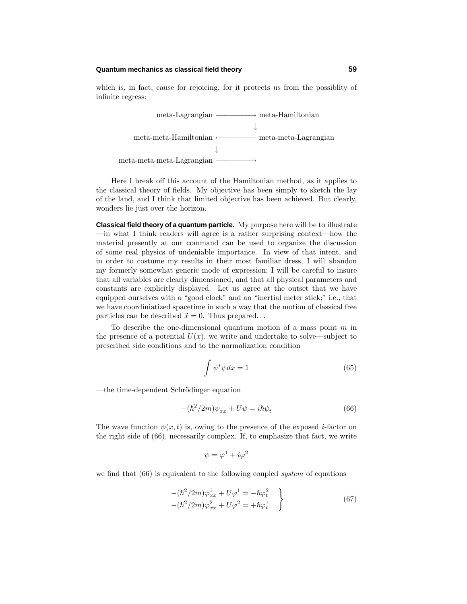## **Quantum mechanics as classical field theory 59**

which is, in fact, cause for rejoicing, for it protects us from the possiblity of infinite regress:

meta-Lagrangian −−−−−−−−→ meta-Hamiltonian ↓ meta-meta-Hamiltonian ←−−−−−−−− meta-meta-Lagrangian ↓ meta-meta-meta-Lagrangian  $-$ 

Here I break off this account of the Hamiltonian method, as it applies to the classical theory of fields. My objective has been simply to sketch the lay of the land, and I think that limited objective has been achieved. But clearly, wonders lie just over the horizon.

**Classical field theory of a quantum particle.** My purpose here will be to illustrate —in what I think readers will agree is a rather surprising context—how the material presently at our command can be used to organize the discussion of some real physics of undeniable importance. In view of that intent, and in order to costume my results in their most familiar dress, I will abandon my formerly somewhat generic mode of expression; I will be careful to insure that all variables are clearly dimensioned, and that all physical parameters and constants are explicitly displayed. Let us agree at the outset that we have equipped ourselves with a "good clock" and an "inertial meter stick;" i.e., that we have coordiniatized spacetime in such a way that the motion of classical free particles can be described  $\ddot{x} = 0$ . Thus prepared...

To describe the one-dimensional quantum motion of a mass point *m* in the presence of a potential  $U(x)$ , we write and undertake to solve—subject to prescribed side conditions and to the normalization condition

$$
\int \psi^* \psi dx = 1 \tag{65}
$$

—the time-dependent Schrödinger equation

$$
-(\hbar^2/2m)\psi_{xx} + U\psi = i\hbar\psi_t \tag{66}
$$

The wave function  $\psi(x, t)$  is, owing to the presence of the exposed *i*-factor on the right side of (66), necessarily complex. If, to emphasize that fact, we write

$$
\psi = \varphi^1 + i\varphi^2
$$

we find that (66) is equivalent to the following coupled *system* of equations

$$
-(\hbar^2/2m)\varphi_{xx}^1 + U\varphi^1 = -\hbar\varphi_t^2
$$
  
 
$$
-(\hbar^2/2m)\varphi_{xx}^2 + U\varphi^2 = +\hbar\varphi_t^1
$$
 (67)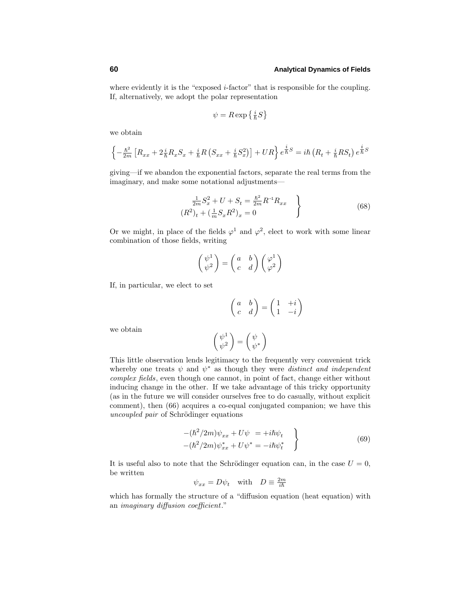where evidently it is the "exposed *i*-factor" that is responsible for the coupling. If, alternatively, we adopt the polar representation

$$
\psi = R \exp\left\{\frac{i}{\hbar}S\right\}
$$

we obtain

$$
\left\{-\frac{\hbar^2}{2m}\left[R_{xx} + 2\frac{i}{\hbar}R_xS_x + \frac{i}{\hbar}R\left(S_{xx} + \frac{i}{\hbar}S_x^2\right)\right] + UR\right\}e^{\frac{i}{\hbar}S} = i\hbar\left(R_t + \frac{i}{\hbar}RS_t\right)e^{\frac{i}{\hbar}S}
$$

giving—if we abandon the exponential factors, separate the real terms from the imaginary, and make some notational adjustments—

$$
\frac{\frac{1}{2m}S_x^2 + U + S_t}{(R^2)_t + (\frac{1}{m}S_xR^2)_x} = 0
$$
\n(68)

Or we might, in place of the fields  $\varphi^1$  and  $\varphi^2$ , elect to work with some linear combination of those fields, writing

$$
\begin{pmatrix} \psi^1 \\ \psi^2 \end{pmatrix} = \begin{pmatrix} a & b \\ c & d \end{pmatrix} \begin{pmatrix} \varphi^1 \\ \varphi^2 \end{pmatrix}
$$

If, in particular, we elect to set

$$
\begin{pmatrix} a & b \\ c & d \end{pmatrix} = \begin{pmatrix} 1 & +i \\ 1 & -i \end{pmatrix}
$$

we obtain

$$
\begin{pmatrix} \psi^1 \\ \psi^2 \end{pmatrix} = \begin{pmatrix} \psi \\ \psi^* \end{pmatrix}
$$

This little observation lends legitimacy to the frequently very convenient trick whereby one treats  $\psi$  and  $\psi^*$  as though they were *distinct and independent* complex fields, even though one cannot, in point of fact, change either without inducing change in the other. If we take advantage of this tricky opportunity (as in the future we will consider ourselves free to do casually, without explicit comment), then (66) acquires a co-equal conjugated companion; we have this uncoupled pair of Schrödinger equations

$$
-(\hbar^2/2m)\psi_{xx} + U\psi = +i\hbar\psi_t
$$
  
 
$$
-(\hbar^2/2m)\psi_{xx}^* + U\psi^* = -i\hbar\psi_t^*
$$
 (69)

It is useful also to note that the Schrödinger equation can, in the case  $U = 0$ , be written

$$
\psi_{xx} = D\psi_t
$$
 with  $D \equiv \frac{2m}{i\hbar}$ 

which has formally the structure of a "diffusion equation (heat equation) with an imaginary diffusion coefficient."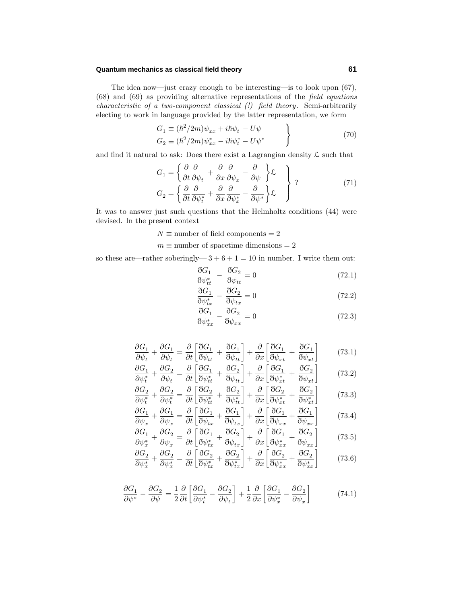## **Quantum mechanics as classical field theory 61**

The idea now—just crazy enough to be interesting—is to look upon (67), (68) and (69) as providing alternative representations of the field equations characteristic of a two-component classical (!) field theory. Semi-arbitrarily electing to work in language provided by the latter representation, we form

$$
G_1 \equiv (\hbar^2/2m)\psi_{xx} + i\hbar\psi_t - U\psi
$$
  
\n
$$
G_2 \equiv (\hbar^2/2m)\psi_{xx}^* - i\hbar\psi_t^* - U\psi^*
$$
\n(70)

and find it natural to ask: Does there exist a Lagrangian density  $\mathcal L$  such that

$$
G_1 = \left\{ \frac{\partial}{\partial t} \frac{\partial}{\partial \psi_t} + \frac{\partial}{\partial x} \frac{\partial}{\partial \psi_x} - \frac{\partial}{\partial \psi} \right\} \mathcal{L}
$$
  
\n
$$
G_2 = \left\{ \frac{\partial}{\partial t} \frac{\partial}{\partial \psi_t^*} + \frac{\partial}{\partial x} \frac{\partial}{\partial \psi_x^*} - \frac{\partial}{\partial \psi^*} \right\} \mathcal{L}
$$
\n(71)

It was to answer just such questions that the Helmholtz conditions (44) were devised. In the present context

$$
N \equiv
$$
 number of field components = 2

 $m \equiv$  number of spacetime dimensions = 2

so these are—rather soberingly— $3 + 6 + 1 = 10$  in number. I write them out:

$$
\frac{\partial G_1}{\partial \psi_{tt}^*} - \frac{\partial G_2}{\partial \psi_{tt}} = 0 \tag{72.1}
$$

$$
\frac{\partial G_1}{\partial \psi_{tx}^*} - \frac{\partial G_2}{\partial \psi_{tx}} = 0 \tag{72.2}
$$

$$
\frac{\partial G_1}{\partial \psi_{xx}^*} - \frac{\partial G_2}{\partial \psi_{xx}} = 0 \tag{72.3}
$$

$$
\frac{\partial G_1}{\partial \psi_t} + \frac{\partial G_1}{\partial \psi_t} = \frac{\partial}{\partial t} \left[ \frac{\partial G_1}{\partial \psi_{tt}} + \frac{\partial G_1}{\partial \psi_{tt}} \right] + \frac{\partial}{\partial x} \left[ \frac{\partial G_1}{\partial \psi_{xt}} + \frac{\partial G_1}{\partial \psi_{xt}} \right] \qquad (73.1)
$$
\n
$$
\frac{\partial G_1}{\partial \psi_t^*} + \frac{\partial G_2}{\partial \psi_t} = \frac{\partial}{\partial t} \left[ \frac{\partial G_1}{\partial \psi_{tt}^*} + \frac{\partial G_2}{\partial \psi_{tt}} \right] + \frac{\partial}{\partial x} \left[ \frac{\partial G_1}{\partial \psi_{xt}^*} + \frac{\partial G_2}{\partial \psi_{xt}} \right] \qquad (73.2)
$$
\n
$$
\frac{\partial G_2}{\partial \psi_t^*} + \frac{\partial G_2}{\partial \psi_t^*} = \frac{\partial}{\partial t} \left[ \frac{\partial G_2}{\partial \psi_{tt}^*} + \frac{\partial G_2}{\partial \psi_{tt}^*} \right] + \frac{\partial}{\partial x} \left[ \frac{\partial G_2}{\partial \psi_{xt}^*} + \frac{\partial G_2}{\partial \psi_{xt}} \right] \qquad (73.3)
$$
\n
$$
\frac{\partial G_1}{\partial \psi_x} + \frac{\partial G_1}{\partial \psi_x} = \frac{\partial}{\partial t} \left[ \frac{\partial G_1}{\partial \psi_{tx}} + \frac{\partial G_1}{\partial \psi_{tx}} \right] + \frac{\partial}{\partial x} \left[ \frac{\partial G_1}{\partial \psi_{xx}} + \frac{\partial G_1}{\partial \psi_{xx}} \right] \qquad (73.4)
$$
\n
$$
\frac{\partial G_1}{\partial \psi_x^*} + \frac{\partial G_2}{\partial \psi_x} = \frac{\partial}{\partial t} \left[ \frac{\partial G_1}{\partial \psi_{tx}^*} + \frac{\partial G_2}{\partial \psi_{tx}} \right] + \frac{\partial}{\partial x} \left[ \frac{\partial G_1}{\partial \psi_{xx}^*} + \frac{\partial G_2}{\partial \psi_{xx}} \right] \qquad (73.5)
$$
\n
$$
\frac{\partial G_2}{\partial \psi_x^*} + \frac{\partial G_2}{\partial \psi_x^
$$

$$
\frac{\partial G_1}{\partial \psi^*} - \frac{\partial G_2}{\partial \psi} = \frac{1}{2} \frac{\partial}{\partial t} \left[ \frac{\partial G_1}{\partial \psi_t^*} - \frac{\partial G_2}{\partial \psi_t} \right] + \frac{1}{2} \frac{\partial}{\partial x} \left[ \frac{\partial G_1}{\partial \psi_x^*} - \frac{\partial G_2}{\partial \psi_x} \right] \tag{74.1}
$$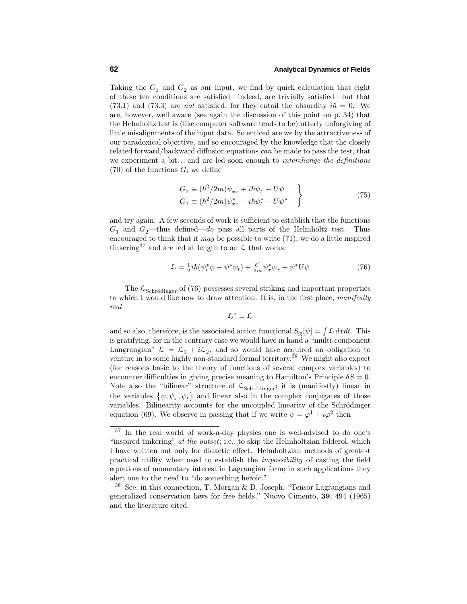Taking the  $G_1$  and  $G_2$  as our input, we find by quick calculation that eight of these ten conditions are satisfied—indeed, are trivially satisfied—but that  $(73.1)$  and  $(73.3)$  are not satisfied, for they entail the absurdity  $i\hbar = 0$ . We are, however, well aware (see again the discussion of this point on p. 34) that the Helmholtz test is (like computer software tends to be) utterly unforgiving of little misalignments of the input data. So enticed are we by the attractiveness of our paradoxical objective, and so encouraged by the knowledge that the closely related forward/backward diffusion equations can be made to pass the test, that we experiment a bit*...* and are led soon enough to interchange the definitions (70) of the functions *G*; we define

$$
G_2 \equiv (\hbar^2/2m)\psi_{xx} + i\hbar\psi_t - U\psi
$$
  
\n
$$
G_1 \equiv (\hbar^2/2m)\psi_{xx}^* - i\hbar\psi_t^* - U\psi^*
$$
\n(75)

and try again. A few seconds of work is sufficient to establish that the functions  $G_1$  and  $G_2$ —thus defined—do pass all parts of the Helmholtz test. Thus encouraged to think that it may be possible to write (71), we do a little inspired tinkering<sup>37</sup> and are led at length to an  $\mathcal L$  that works:

$$
\mathcal{L} = \frac{1}{2}i\hbar(\psi_t^* \psi - \psi^* \psi_t) + \frac{\hbar^2}{2m}\psi_x^* \psi_x + \psi^* U \psi \tag{76}
$$

The  $\mathcal{L}_{\text{Schrödinger}}$  of (76) possesses several striking and important properties to which I would like now to draw attention. It is, in the first place, manifestly real

$$
\mathcal{L}^* = \mathcal{L}
$$

and so also, therefore, is the associated action functional  $S_{\mathcal{R}}[\psi] = \int \mathcal{L} dx dt$ . This is gratifying, for in the contrary case we would have in hand a "multi-component Langrangian"  $\mathcal{L} = \mathcal{L}_1 + i\mathcal{L}_2$ , and so would have acquired an obligation to venture in to some highly non-standard formal territory.<sup>38</sup> We might also expect (for reasons basic to the theory of functions of several complex variables) to encounter difficulties in giving precise meaning to Hamilton's Principle  $\delta S = 0$ . Note also the "bilinear" structure of  $\mathcal{L}_{\text{Schrödinger}};$  it is (manifestly) linear in the variables  $\{\psi, \psi_x, \psi_t\}$  and linear also in the complex conjugates of those variables. Bilinearity accounts for the uncoupled linearity of the Schrödinger equation (69). We observe in passing that if we write  $\psi = \varphi^1 + i\varphi^2$  then

<sup>37</sup> In the real world of work-a-day physics one is well-advised to do one's "inspired tinkering" at the outset; i.e., to skip the Helmholtzian folderol, which I have written out only for didactic effect. Helmholtzian methods of greatest practical utility when used to establish the impossibility of casting the field equations of momentary interest in Lagrangian form; in such applications they alert one to the need to "do something heroic."

 $38$  See, in this connection, T. Morgan & D. Joseph, "Tensor Lagrangians and generalized conservation laws for free fields," Nuovo Cimento, **39**, 494 (1965) and the literature cited.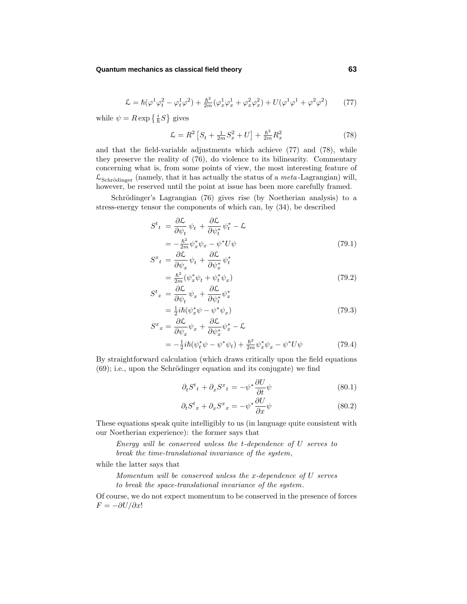### **Quantum mechanics as classical field theory 63**

$$
\mathcal{L} = \hbar(\varphi^1 \varphi_t^2 - \varphi_t^1 \varphi^2) + \frac{\hbar^2}{2m}(\varphi_x^1 \varphi_x^1 + \varphi_x^2 \varphi_x^2) + U(\varphi^1 \varphi^1 + \varphi^2 \varphi^2)
$$
(77)

while  $\psi = R \exp\left\{\frac{i}{\hbar}S\right\}$  gives

$$
\mathcal{L} = R^2 \left[ S_t + \frac{1}{2m} S_x^2 + U \right] + \frac{\hbar^2}{2m} R_x^2 \tag{78}
$$

and that the field-variable adjustments which achieve (77) and (78), while they preserve the reality of (76), do violence to its bilinearity. Commentary concerning what is, from some points of view, the most interesting feature of  $\mathcal{L}_{\text{Schrödinger}}$  (namely, that it has actually the status of a *meta*-Lagrangian) will, however, be reserved until the point at issue has been more carefully framed.

Schrödinger's Lagrangian (76) gives rise (by Noetherian analysis) to a stress-energy tensor the components of which can, by (34), be described

$$
S^{t}{}_{t} = \frac{\partial \mathcal{L}}{\partial \psi_{t}} \psi_{t} + \frac{\partial \mathcal{L}}{\partial \psi_{t}^{*}} \psi_{t}^{*} - \mathcal{L}
$$
  

$$
= -\frac{\hbar^{2}}{2m} \psi_{x}^{*} \psi_{x} - \psi^{*} U \psi
$$
 (79.1)

$$
S^x{}_t = \frac{\partial \mathcal{L}}{\partial \psi_x} \psi_t + \frac{\partial \mathcal{L}}{\partial \psi_x^*} \psi_t^*
$$

$$
= \frac{\hbar^2}{2m} (\psi_x^* \psi_t + \psi_t^* \psi_x)
$$
  

$$
S^t{}_x = \frac{\partial \mathcal{L}}{\partial \psi} \psi_x + \frac{\partial \mathcal{L}}{\partial \psi^*} \psi_x^*
$$
 (79.2)

$$
x = \frac{\partial \psi_t}{\partial t} \psi_x + \frac{\partial \psi_t}{\partial t} \psi_x
$$
  
=  $\frac{1}{2} i \hbar (\psi_x^* \psi - \psi^* \psi_x)$  (79.3)

$$
S^{x}{}_{x} = \frac{\partial \mathcal{L}}{\partial \psi_{x}} \psi_{x} + \frac{\partial \mathcal{L}}{\partial \psi_{x}^{*}} \psi_{x}^{*} - \mathcal{L}
$$
  
=  $-\frac{1}{2}i\hbar(\psi_{t}^{*}\psi - \psi^{*}\psi_{t}) + \frac{\hbar^{2}}{2m}\psi_{x}^{*}\psi_{x} - \psi^{*}U\psi$  (79.4)

By straightforward calculation (which draws critically upon the field equations  $(69)$ ; i.e., upon the Schrödinger equation and its conjugate) we find

$$
\partial_t S^t{}_t + \partial_x S^x{}_t = -\psi^* \frac{\partial U}{\partial t} \psi \tag{80.1}
$$

$$
\partial_t S^t{}_x + \partial_x S^x{}_x = -\psi^* \frac{\partial U}{\partial x} \psi \tag{80.2}
$$

These equations speak quite intelligibly to us (in language quite consistent with our Noetherian experience): the former says that

Energy will be conserved unless the *t*-dependence of *U* serves to break the time-translational invariance of the system,

while the latter says that

Momentum will be conserved unless the *x*-dependence of *U* serves to break the space-translational invariance of the system.

Of course, we do not expect momentum to be conserved in the presence of forces  $F = -\partial U/\partial x!$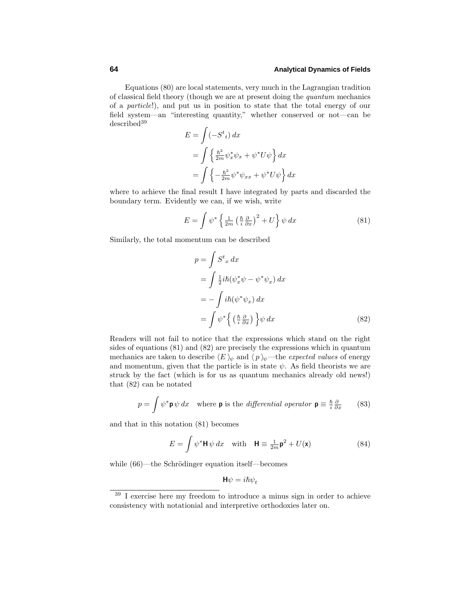Equations (80) are local statements, very much in the Lagrangian tradition of classical field theory (though we are at present doing the quantum mechanics of a particle!), and put us in position to state that the total energy of our field system—an "interesting quantity," whether conserved or not—can be described<sup>39</sup>

$$
E = \int (-S^t)_t dx
$$
  
= 
$$
\int \left\{ \frac{\hbar^2}{2m} \psi_x^* \psi_x + \psi^* U \psi \right\} dx
$$
  
= 
$$
\int \left\{ -\frac{\hbar^2}{2m} \psi^* \psi_{xx} + \psi^* U \psi \right\} dx
$$

where to achieve the final result I have integrated by parts and discarded the boundary term. Evidently we can, if we wish, write

$$
E = \int \psi^* \left\{ \frac{1}{2m} \left( \frac{\hbar}{i} \frac{\partial}{\partial x} \right)^2 + U \right\} \psi \, dx \tag{81}
$$

Similarly, the total momentum can be described

$$
p = \int S^t{}_x dx
$$
  
= 
$$
\int \frac{1}{2} i\hbar (\psi_x^* \psi - \psi^* \psi_x) dx
$$
  
= 
$$
-\int i\hbar (\psi^* \psi_x) dx
$$
  
= 
$$
\int \psi^* \left\{ \left( \frac{\hbar}{i} \frac{\partial}{\partial x} \right) \right\} \psi dx
$$
 (82)

Readers will not fail to notice that the expressions which stand on the right sides of equations (81) and (82) are precisely the expressions which in quantum mechanics are taken to describe  $\langle E \rangle_{\psi}$  and  $\langle p \rangle_{\psi}$ —the *expected values* of energy and momentum, given that the particle is in state  $\psi$ . As field theorists we are struck by the fact (which is for us as quantum mechanics already old news!) that (82) can be notated

$$
p = \int \psi^* \mathbf{p} \psi \, dx \quad \text{where } \mathbf{p} \text{ is the differential operator } \mathbf{p} \equiv \frac{\hbar}{i} \frac{\partial}{\partial x} \qquad (83)
$$

and that in this notation (81) becomes

$$
E = \int \psi^* \mathbf{H} \psi \, dx \quad \text{with} \quad \mathbf{H} \equiv \frac{1}{2m} \mathbf{p}^2 + U(\mathbf{x}) \tag{84}
$$

while  $(66)$ —the Schrödinger equation itself—becomes

$$
\mathbf{H}\psi = i\hbar\psi_t
$$

<sup>39</sup> I exercise here my freedom to introduce a minus sign in order to achieve consistency with notationial and interpretive orthodoxies later on.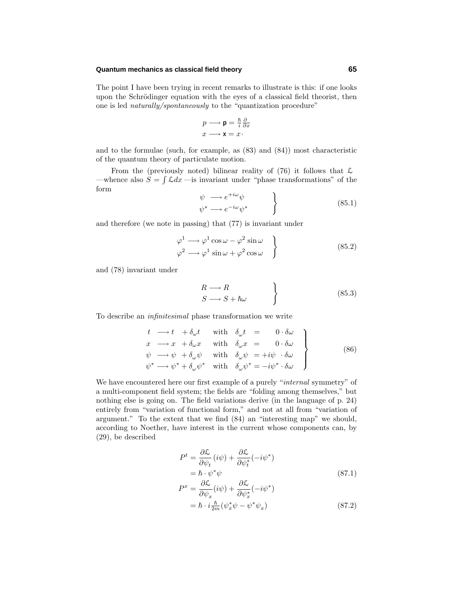## **Quantum mechanics as classical field theory 65**

The point I have been trying in recent remarks to illustrate is this: if one looks upon the Schrödinger equation with the eyes of a classical field theorist, then one is led naturally/spontaneously to the "quantization procedure"

$$
p \longrightarrow \mathbf{p} = \frac{\hbar}{i} \frac{\partial}{\partial x}
$$

$$
x \longrightarrow \mathbf{x} = x
$$

and to the formulae (such, for example, as (83) and (84)) most characteristic of the quantum theory of particulate motion.

From the (previously noted) bilinear reality of  $(76)$  it follows that  $\mathcal L$ —whence also  $S = \int \mathcal{L} dx$  —is invariant under "phase transformations" of the form

$$
\begin{aligned}\n\psi &\longrightarrow e^{+i\omega}\psi \\
\psi^* &\longrightarrow e^{-i\omega}\psi^*\n\end{aligned}\n\qquad (85.1)
$$

and therefore (we note in passing) that (77) is invariant under

$$
\begin{aligned}\n\varphi^1 &\longrightarrow \varphi^1 \cos \omega - \varphi^2 \sin \omega \\
\varphi^2 &\longrightarrow \varphi^1 \sin \omega + \varphi^2 \cos \omega\n\end{aligned}
$$
\n(85.2)

and (78) invariant under

$$
\begin{array}{c}\nR \longrightarrow R \\
S \longrightarrow S + \hbar \omega\n\end{array} \qquad (85.3)
$$

To describe an infinitesimal phase transformation we write

$$
\begin{array}{ccc}\nt & \longrightarrow t & +\delta_{\omega}t & \text{with} & \delta_{\omega}t = 0 \cdot \delta \omega \\
x & \longrightarrow x & +\delta_{\omega}x & \text{with} & \delta_{\omega}x = 0 \cdot \delta \omega \\
\psi & \longrightarrow \psi & +\delta_{\omega}\psi & \text{with} & \delta_{\omega}\psi = +i\psi \cdot \delta \omega \\
\psi^* & \longrightarrow \psi^* + \delta_{\omega}\psi^* & \text{with} & \delta_{\omega}\psi^* = -i\psi^* \cdot \delta \omega\n\end{array}
$$
\n(86)

We have encountered here our first example of a purely "internal symmetry" of a multi-component field system; the fields are "folding among themselves," but nothing else is going on. The field variations derive (in the language of p. 24) entirely from "variation of functional form," and not at all from "variation of argument." To the extent that we find (84) an "interesting map" we should, according to Noether, have interest in the current whose components can, by (29), be described

$$
P^{t} = \frac{\partial \mathcal{L}}{\partial \psi_{t}} (i\psi) + \frac{\partial \mathcal{L}}{\partial \psi_{t}^{*}} (-i\psi^{*})
$$
  
=  $\hbar \cdot \psi^{*} \psi$  (87.1)

$$
P^x = \frac{\partial \mathcal{L}}{\partial \psi_x}(i\psi) + \frac{\partial \mathcal{L}}{\partial \psi_x^*}(-i\psi^*)
$$
  
=  $\hbar \cdot i \frac{\hbar}{2m} (\psi_x^* \psi - \psi^* \psi_x)$  (87.2)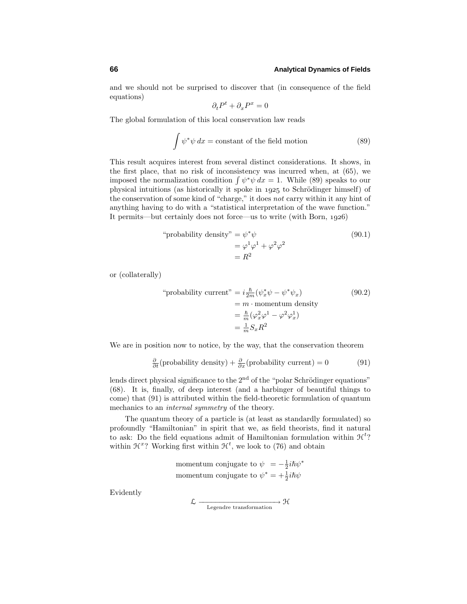and we should not be surprised to discover that (in consequence of the field equations)

$$
\partial_t P^t + \partial_x P^x = 0
$$

The global formulation of this local conservation law reads

$$
\int \psi^* \psi \, dx = \text{constant of the field motion} \tag{89}
$$

This result acquires interest from several distinct considerations. It shows, in the first place, that no risk of inconsistency was incurred when, at (65), we imposed the normalization condition  $\int \psi^* \psi \, dx = 1$ . While (89) speaks to our physical intuitions (as historically it spoke in 1925 to Schrödinger himself) of the conservation of some kind of "charge," it does not carry within it any hint of anything having to do with a "statistical interpretation of the wave function." It permits—but certainly does not force—us to write (with Born,  $1926$ )

"probability density" = 
$$
\psi^* \psi
$$
  
=  $\varphi^1 \varphi^1 + \varphi^2 \varphi^2$   
=  $R^2$  (90.1)

or (collaterally)

"probability current" = 
$$
i\frac{\hbar}{2m}(\psi_x^*\psi - \psi^*\psi_x)
$$
 (90.2)  
\n=  $m$  \n-momentum density  
\n=  $\frac{\hbar}{m}(\varphi_x^2\varphi^1 - \varphi^2\varphi_x^1)$   
\n=  $\frac{1}{m}S_xR^2$ 

We are in position now to notice, by the way, that the conservation theorem

$$
\frac{\partial}{\partial t}(\text{probability density}) + \frac{\partial}{\partial x}(\text{probability current}) = 0 \tag{91}
$$

lends direct physical significance to the  $2<sup>nd</sup>$  of the "polar Schrödinger equations" (68). It is, finally, of deep interest (and a harbinger of beautiful things to come) that (91) is attributed within the field-theoretic formulation of quantum mechanics to an *internal symmetry* of the theory.

The quantum theory of a particle is (at least as standardly formulated) so profoundly "Hamiltonian" in spirit that we, as field theorists, find it natural to ask: Do the field equations admit of Hamiltonian formulation within  $\mathcal{H}^t$ ? within  $\mathcal{H}^x$ ? Working first within  $\mathcal{H}^t$ , we look to (76) and obtain

> momentum conjugate to  $\psi = -\frac{1}{2}i\hbar\psi^*$ momentum conjugate to  $\psi^* = +\frac{1}{2}i\hbar\psi$

Evidently

$$
\mathcal{L} \xrightarrow{\hspace{0.5cm}} \mathcal{H}
$$
 Legendre transformation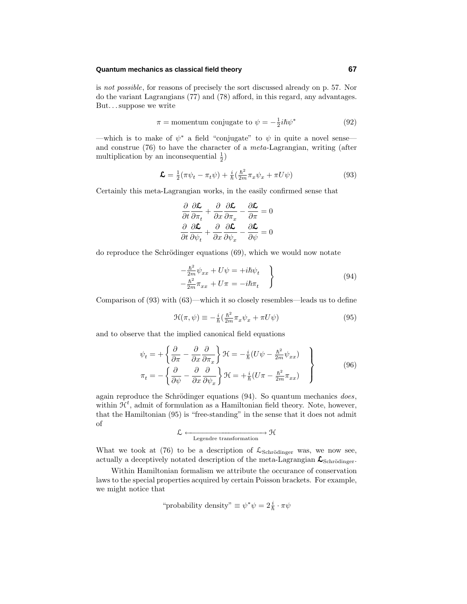## **Quantum mechanics as classical field theory 67**

is not possible, for reasons of precisely the sort discussed already on p. 57. Nor do the variant Lagrangians (77) and (78) afford, in this regard, any advantages. But*...*suppose we write

$$
\pi = \text{momentum conjugate to } \psi = -\frac{1}{2}i\hbar\psi^* \tag{92}
$$

—which is to make of  $\psi^*$  a field "conjugate" to  $\psi$  in quite a novel sense and construe (76) to have the character of a meta-Lagrangian, writing (after multiplication by an inconsequential  $\frac{1}{2}$ )

$$
\mathbf{\mathcal{L}} = \frac{1}{2} (\pi \psi_t - \pi_t \psi) + \frac{i}{\hbar} (\frac{\hbar^2}{2m} \pi_x \psi_x + \pi U \psi)
$$
(93)

Certainly this meta-Lagrangian works, in the easily confirmed sense that

$$
\frac{\partial}{\partial t} \frac{\partial \mathcal{L}}{\partial \pi_t} + \frac{\partial}{\partial x} \frac{\partial \mathcal{L}}{\partial \pi_x} - \frac{\partial \mathcal{L}}{\partial \pi} = 0
$$

$$
\frac{\partial}{\partial t} \frac{\partial \mathcal{L}}{\partial \psi_t} + \frac{\partial}{\partial x} \frac{\partial \mathcal{L}}{\partial \psi_x} - \frac{\partial \mathcal{L}}{\partial \psi} = 0
$$

do reproduce the Schrödinger equations  $(69)$ , which we would now notate

$$
-\frac{\hbar^2}{2m}\psi_{xx} + U\psi = +i\hbar\psi_t
$$
  

$$
-\frac{\hbar^2}{2m}\pi_{xx} + U\pi = -i\hbar\pi_t
$$
 (94)

Comparison of (93) with (63)—which it so closely resembles—leads us to define

$$
\mathcal{H}(\pi,\psi) \equiv -\frac{i}{\hbar} \left( \frac{\hbar^2}{2m} \pi_x \psi_x + \pi U \psi \right) \tag{95}
$$

and to observe that the implied canonical field equations

$$
\psi_t = + \left\{ \frac{\partial}{\partial \pi} - \frac{\partial}{\partial x} \frac{\partial}{\partial \pi_x} \right\} \mathcal{H} = -\frac{i}{\hbar} (U\psi - \frac{\hbar^2}{2m} \psi_{xx})
$$
\n
$$
\pi_t = - \left\{ \frac{\partial}{\partial \psi} - \frac{\partial}{\partial x} \frac{\partial}{\partial \psi_x} \right\} \mathcal{H} = +\frac{i}{\hbar} (U\pi - \frac{\hbar^2}{2m} \pi_{xx})
$$
\n(96)

again reproduce the Schrödinger equations  $(94)$ . So quantum mechanics does, within  $\mathcal{H}^t$ , admit of formulation as a Hamiltonian field theory. Note, however, that the Hamiltonian (95) is "free-standing" in the sense that it does not admit of

$$
\mathcal{L} \longleftarrow{\textcolor{red}{\sum_{\textcolor{blue}{\small{\textbf{Legendre transformation}}}}}} \mathcal{H}
$$

What we took at (76) to be a description of  $\mathcal{L}_{\text{Schrödinger}}$  was, we now see, actually a deceptively notated description of the meta-Lagrangian  $\mathcal{L}_{\text{Schrödinger}}$ .

Within Hamiltonian formalism we attribute the occurance of conservation laws to the special properties acquired by certain Poisson brackets. For example, we might notice that

"probability density"  $\equiv \psi^* \psi = 2 \frac{i}{\hbar} \cdot \pi \psi$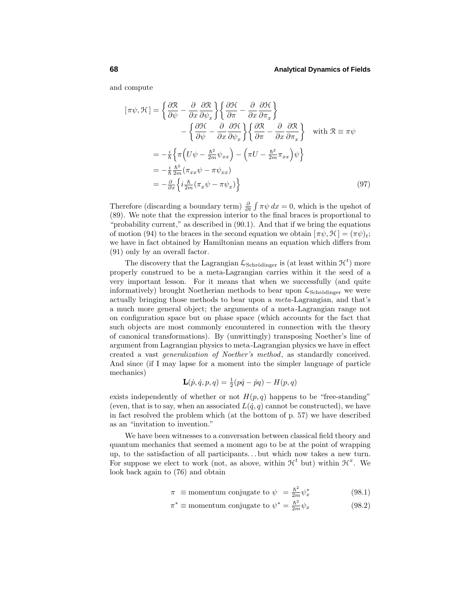and compute

$$
[\pi\psi, \mathcal{H}] = \left\{ \frac{\partial \mathcal{R}}{\partial \psi} - \frac{\partial}{\partial x} \frac{\partial \mathcal{R}}{\partial \psi_x} \right\} \left\{ \frac{\partial \mathcal{H}}{\partial \pi} - \frac{\partial}{\partial x} \frac{\partial \mathcal{H}}{\partial \pi_x} \right\} - \left\{ \frac{\partial \mathcal{H}}{\partial \psi} - \frac{\partial}{\partial x} \frac{\partial \mathcal{H}}{\partial \psi_x} \right\} \left\{ \frac{\partial \mathcal{R}}{\partial \pi} - \frac{\partial}{\partial x} \frac{\partial \mathcal{R}}{\partial \pi_x} \right\} \quad \text{with } \mathcal{R} \equiv \pi\psi = -\frac{i}{\hbar} \left\{ \pi \left( U\psi - \frac{\hbar^2}{2m} \psi_{xx} \right) - \left( \pi U - \frac{\hbar^2}{2m} \pi_{xx} \right) \psi \right\} = -\frac{i}{\hbar} \frac{\hbar^2}{2m} (\pi_{xx}\psi - \pi \psi_{xx}) = -\frac{\partial}{\partial x} \left\{ i \frac{\hbar}{2m} (\pi_x \psi - \pi \psi_x) \right\}
$$
(97)

Therefore (discarding a boundary term)  $\frac{\partial}{\partial t} \int \pi \psi \, dx = 0$ , which is the upshot of (89). We note that the expression interior to the final braces is proportional to "probability current," as described in (90.1). And that if we bring the equations of motion (94) to the braces in the second equation we obtain  $[\pi\psi, \mathcal{H}] = (\pi\psi)_t$ ; we have in fact obtained by Hamiltonian means an equation which differs from (91) only by an overall factor.

The discovery that the Lagrangian  $\mathcal{L}_{\text{Schrödinger}}$  is (at least within  $\mathcal{H}^t$ ) more properly construed to be a meta-Lagrangian carries within it the seed of a very important lesson. For it means that when we successfully (and quite informatively) brought Noetherian methods to bear upon  $\mathcal{L}_{Schrödinger}$  we were actually bringing those methods to bear upon a meta-Lagrangian, and that's a much more general object; the arguments of a meta-Lagrangian range not on configuration space but on phase space (which accounts for the fact that such objects are most commonly encountered in connection with the theory of canonical transformations). By (unwittingly) transposing Noether's line of argument from Lagrangian physics to meta-Lagrangian physics we have in effect created a vast generalization of Noether's method, as standardly conceived. And since (if I may lapse for a moment into the simpler language of particle mechanics)

$$
\mathbf{L}(\dot{p}, \dot{q}, p, q) = \frac{1}{2}(p\dot{q} - \dot{p}q) - H(p, q)
$$

exists independently of whether or not  $H(p,q)$  happens to be "free-standing" (even, that is to say, when an associated  $L(\dot{q}, q)$  cannot be constructed), we have in fact resolved the problem which (at the bottom of p. 57) we have described as an "invitation to invention."

We have been witnesses to a conversation between classical field theory and quantum mechanics that seemed a moment ago to be at the point of wrapping up, to the satisfaction of all participants*...* but which now takes a new turn. For suppose we elect to work (not, as above, within  $\mathcal{H}^t$  but) within  $\mathcal{H}^x$ . We look back again to (76) and obtain

$$
\pi \equiv \text{momentum conjugate to } \psi = \frac{\hbar^2}{2m} \psi_x^* \tag{98.1}
$$

$$
\pi^* \equiv \text{momentum conjugate to } \psi^* = \frac{\hbar^2}{2m} \psi_x \tag{98.2}
$$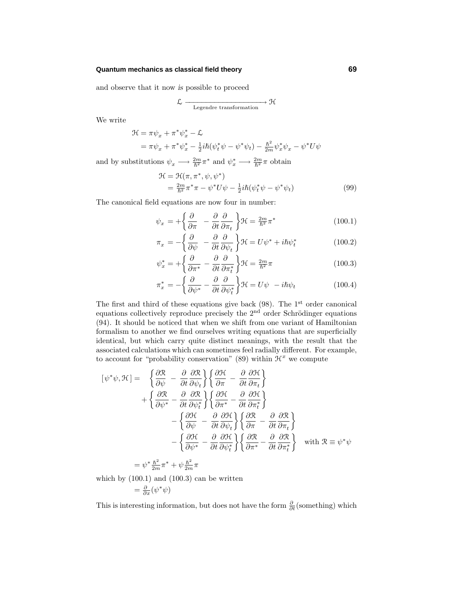### **Quantum mechanics as classical field theory 69**

and observe that it now *is* possible to proceed

$$
\mathcal{L} \xrightarrow{\hspace{0.5cm}} \mathcal{H}
$$
 Legendre transformation

We write

$$
\begin{split} \mathcal{H} &= \pi \psi_x + \pi^* \psi^*_x - \mathcal{L} \\ &= \pi \psi_x + \pi^* \psi^*_x - \tfrac{1}{2} i \hbar (\psi^*_t \psi - \psi^* \psi_t) - \tfrac{\hbar^2}{2m} \psi^*_x \psi_x - \psi^* U \psi \end{split}
$$

and by substitutions  $\psi_x \longrightarrow \frac{2m}{\hbar^2} \pi^*$  and  $\psi_x^* \longrightarrow \frac{2m}{\hbar^2} \pi$  obtain

$$
\mathcal{H} = \mathcal{H}(\pi, \pi^*, \psi, \psi^*)
$$
  
=  $\frac{2m}{\hbar^2} \pi^* \pi - \psi^* U \psi - \frac{1}{2} i \hbar (\psi_t^* \psi - \psi^* \psi_t)$  (99)

The canonical field equations are now four in number:

$$
\psi_x = +\left\{\frac{\partial}{\partial \pi} - \frac{\partial}{\partial t} \frac{\partial}{\partial \pi_t} \right\} \mathcal{H} = \frac{2m}{\hbar^2} \pi^*
$$
\n(100.1)

$$
\pi_x = -\left\{\frac{\partial}{\partial \psi} - \frac{\partial}{\partial t} \frac{\partial}{\partial \psi_t} \right\} \mathcal{H} = U\psi^* + i\hbar \psi_t^* \tag{100.2}
$$

$$
\psi_x^* = + \left\{ \frac{\partial}{\partial \pi^*} - \frac{\partial}{\partial t} \frac{\partial}{\partial \pi_t^*} \right\} \mathcal{H} = \frac{2m}{\hbar^2} \pi \tag{100.3}
$$

$$
\pi_x^* = -\left\{\frac{\partial}{\partial \psi^*} - \frac{\partial}{\partial t} \frac{\partial}{\partial \psi_t^*}\right\} \mathcal{H} = U\psi - i\hbar \psi_t \tag{100.4}
$$

The first and third of these equations give back  $(98)$ . The 1<sup>st</sup> order canonical equations collectively reproduce precisely the  $2<sup>nd</sup>$  order Schrödinger equations (94). It should be noticed that when we shift from one variant of Hamiltonian formalism to another we find ourselves writing equations that are superficially identical, but which carry quite distinct meanings, with the result that the associated calculations which can sometimes feel radially different. For example, to account for "probability conservation" (89) within  $\mathcal{H}^x$  we compute

$$
[\psi^*\psi, \mathcal{H}] = \begin{cases} \frac{\partial \mathcal{R}}{\partial \psi} - \frac{\partial}{\partial t} \frac{\partial \mathcal{R}}{\partial \psi_t} \end{cases} \begin{cases} \frac{\partial \mathcal{H}}{\partial \pi} - \frac{\partial}{\partial t} \frac{\partial \mathcal{H}}{\partial \pi_t} \end{cases}
$$

$$
+ \begin{cases} \frac{\partial \mathcal{R}}{\partial \psi^*} - \frac{\partial}{\partial t} \frac{\partial \mathcal{R}}{\partial \psi_t^*} \end{cases} \begin{cases} \frac{\partial \mathcal{H}}{\partial \pi^*} - \frac{\partial}{\partial t} \frac{\partial \mathcal{H}}{\partial \pi_t^*} \end{cases}
$$

$$
- \begin{cases} \frac{\partial \mathcal{H}}{\partial \psi} - \frac{\partial}{\partial t} \frac{\partial \mathcal{H}}{\partial \psi_t} \end{cases} \begin{cases} \frac{\partial \mathcal{R}}{\partial \pi} - \frac{\partial}{\partial t} \frac{\partial \mathcal{R}}{\partial \pi_t} \end{cases}
$$

$$
- \begin{cases} \frac{\partial \mathcal{H}}{\partial \psi^*} - \frac{\partial}{\partial t} \frac{\partial \mathcal{H}}{\partial \psi_t^*} \end{cases} \begin{cases} \frac{\partial \mathcal{R}}{\partial \pi^*} - \frac{\partial}{\partial t} \frac{\partial \mathcal{R}}{\partial \pi_t^*} \end{cases} \text{ with } \mathcal{R} \equiv \psi^*\psi
$$

$$
= \psi^* \frac{\hbar^2}{2m} \pi^* + \psi \frac{\hbar^2}{2m} \pi
$$

which by  $(100.1)$  and  $(100.3)$  can be written

$$
= \frac{\partial}{\partial x} (\psi^* \psi)
$$

This is interesting information, but does not have the form  $\frac{\partial}{\partial t}$  (something) which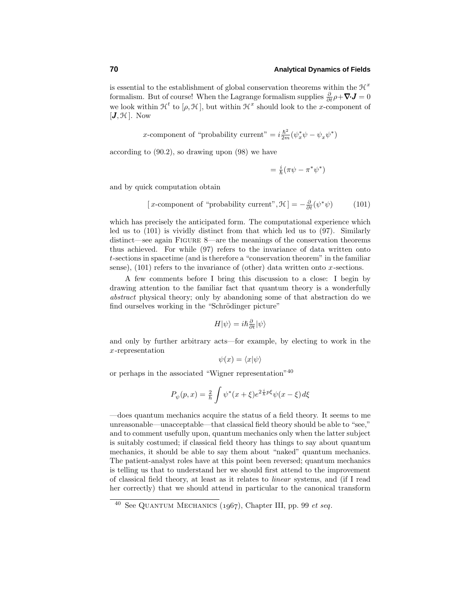is essential to the establishment of global conservation theorems within the  $\mathcal{H}^x$ formalism. But of course! When the Lagrange formalism supplies  $\frac{\partial}{\partial t} \rho + \nabla \cdot \mathbf{J} = 0$ we look within  $\mathcal{H}^t$  to  $[\rho, \mathcal{H}]$ , but within  $\mathcal{H}^x$  should look to the *x*-component of  $[J, \mathcal{H}]$ . Now

*x*-component of "probability current" =  $i\frac{\hbar^2}{2m}(\psi_x^*\psi - \psi_x\psi^*)$ 

according to (90.2), so drawing upon (98) we have

$$
= \frac{i}{\hbar}(\pi\psi - \pi^*\psi^*)
$$

and by quick computation obtain

[*x*-component of "probability current", 
$$
\mathcal{H}
$$
] =  $-\frac{\partial}{\partial t}(\psi^*\psi)$  (101)

which has precisely the anticipated form. The computational experience which led us to (101) is vividly distinct from that which led us to (97). Similarly distinct—see again FIGURE 8—are the meanings of the conservation theorems thus achieved. For while (97) refers to the invariance of data written onto *t*-sections in spacetime (and is therefore a "conservation theorem" in the familiar sense), (101) refers to the invariance of (other) data written onto *x*-sections.

A few comments before I bring this discussion to a close: I begin by drawing attention to the familiar fact that quantum theory is a wonderfully abstract physical theory; only by abandoning some of that abstraction do we find ourselves working in the "Schrödinger picture"

$$
H|\psi\rangle=i\hbar\frac{\partial}{\partial t}|\psi\rangle
$$

and only by further arbitrary acts—for example, by electing to work in the *x*-representation

$$
\psi(x) = \langle x | \psi \rangle
$$

or perhaps in the associated "Wigner representation"<sup>40</sup>

$$
P_{\psi}(p, x) = \frac{2}{h} \int \psi^*(x + \xi) e^{2\frac{i}{h}p\xi} \psi(x - \xi) d\xi
$$

—does quantum mechanics acquire the status of a field theory. It seems to me unreasonable—unacceptable—that classical field theory should be able to "see," and to comment usefully upon, quantum mechanics only when the latter subject is suitably costumed; if classical field theory has things to say about quantum mechanics, it should be able to say them about "naked" quantum mechanics. The patient-analyst roles have at this point been reversed; quantum mechanics is telling us that to understand her we should first attend to the improvement of classical field theory, at least as it relates to linear systems, and (if I read her correctly) that we should attend in particular to the canonical transform

 $40$  See QUANTUM MECHANICS (1967), Chapter III, pp. 99 et seq.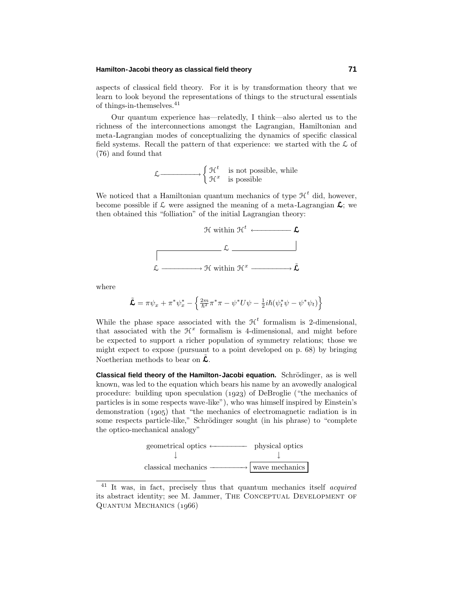## **Hamilton-Jacobi theory as classical field theory 71**

aspects of classical field theory. For it is by transformation theory that we learn to look beyond the representations of things to the structural essentials of things-in-themselves.<sup>41</sup>

Our quantum experience has—relatedly, I think—also alerted us to the richness of the interconnections amongst the Lagrangian, Hamiltonian and meta-Lagrangian modes of conceptualizing the dynamics of specific classical field systems. Recall the pattern of that experience: we started with the  $\mathcal L$  of (76) and found that

$$
\mathcal{L} \longrightarrow \begin{cases} \mathcal{H}^t & \text{is not possible, while} \\ \mathcal{H}^x & \text{is possible} \end{cases}
$$

We noticed that a Hamiltonian quantum mechanics of type  $\mathcal{H}^t$  did, however, become possible if  $\mathcal L$  were assigned the meaning of a meta-Lagrangian  $\mathcal L$ ; we then obtained this "folliation" of the initial Lagrangian theory:



where

$$
\tilde{\mathbf{L}} = \pi \psi_x + \pi^* \psi_x^* - \left\{ \frac{2m}{\hbar^2} \pi^* \pi - \psi^* U \psi - \frac{1}{2} i \hbar (\psi_t^* \psi - \psi^* \psi_t) \right\}
$$

While the phase space associated with the  $\mathcal{H}^t$  formalism is 2-dimensional, that associated with the  $\mathcal{H}^x$  formalism is 4-dimensional, and might before be expected to support a richer population of symmetry relations; those we might expect to expose (pursuant to a point developed on p. 68) by bringing Noetherian methods to bear on  $\hat{\mathcal{L}}$ .

**Classical field theory of the Hamilton-Jacobi equation.** Schrödinger, as is well known, was led to the equation which bears his name by an avowedly analogical procedure: building upon speculation  $(1923)$  of DeBroglie ("the mechanics of particles is in some respects wave-like"), who was himself inspired by Einstein's demonstration (1905) that "the mechanics of electromagnetic radiation is in some respects particle-like," Schrödinger sought (in his phrase) to "complete" the optico-mechanical analogy"



<sup>&</sup>lt;sup>41</sup> It was, in fact, precisely thus that quantum mechanics itself *acquired* its abstract identity; see M. Jammer, THE CONCEPTUAL DEVELOPMENT OF QUANTUM MECHANICS (1966)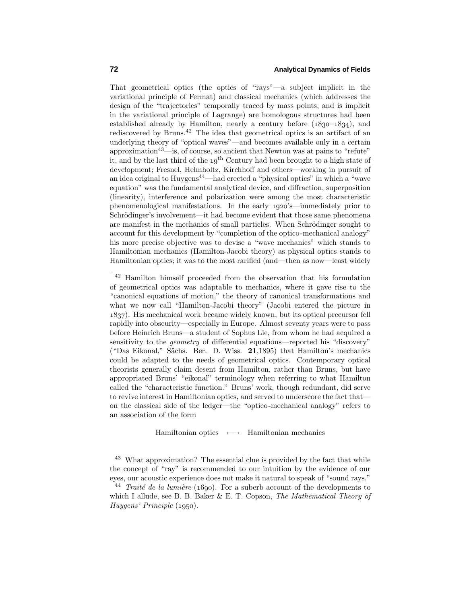That geometrical optics (the optics of "rays"—a subject implicit in the variational principle of Fermat) and classical mechanics (which addresses the design of the "trajectories" temporally traced by mass points, and is implicit in the variational principle of Lagrange) are homologous structures had been established already by Hamilton, nearly a century before  $(1830-1834)$ , and rediscovered by Bruns.<sup>42</sup> The idea that geometrical optics is an artifact of an underlying theory of "optical waves"—and becomes available only in a certain approximation43—is, of course, so ancient that Newton was at pains to "refute" it, and by the last third of the  $19<sup>th</sup>$  Century had been brought to a high state of development; Fresnel, Helmholtz, Kirchhoff and others—working in pursuit of an idea original to  $Huygens^{44}$ —had erected a "physical optics" in which a "wave equation" was the fundamental analytical device, and diffraction, superposition (linearity), interference and polarization were among the most characteristic phenomenological manifestations. In the early 1920's—immediately prior to Schrödinger's involvement—it had become evident that those same phenomena are manifest in the mechanics of small particles. When Schrödinger sought to account for this development by "completion of the optico-mechanical analogy" his more precise objective was to devise a "wave mechanics" which stands to Hamiltonian mechanics (Hamilton-Jacobi theory) as physical optics stands to Hamiltonian optics; it was to the most rarified (and—then as now—least widely

Hamiltonian optics ←→ Hamiltonian mechanics

<sup>43</sup> What approximation? The essential clue is provided by the fact that while the concept of "ray" is recommended to our intuition by the evidence of our eyes, our acoustic experience does not make it natural to speak of "sound rays."

<sup>42</sup> Hamilton himself proceeded from the observation that his formulation of geometrical optics was adaptable to mechanics, where it gave rise to the "canonical equations of motion," the theory of canonical transformations and what we now call "Hamilton-Jacobi theory" (Jacobi entered the picture in ). His mechanical work became widely known, but its optical precursor fell rapidly into obscurity—especially in Europe. Almost seventy years were to pass before Heinrich Bruns—a student of Sophus Lie, from whom he had acquired a sensitivity to the geometry of differential equations—reported his "discovery" ("Das Eikonal," Sächs. Ber. D. Wiss. 21,1895) that Hamilton's mechanics could be adapted to the needs of geometrical optics. Contemporary optical theorists generally claim desent from Hamilton, rather than Bruns, but have appropriated Bruns' "eikonal" terminology when referring to what Hamilton called the "characteristic function." Bruns' work, though redundant, did serve to revive interest in Hamiltonian optics, and served to underscore the fact that on the classical side of the ledger—the "optico-mechanical analogy" refers to an association of the form

<sup>&</sup>lt;sup>44</sup> Traité de la lumière (1690). For a suberb account of the developments to which I allude, see B. B. Baker & E. T. Copson, The Mathematical Theory of  $Huygens' Principle (1950).$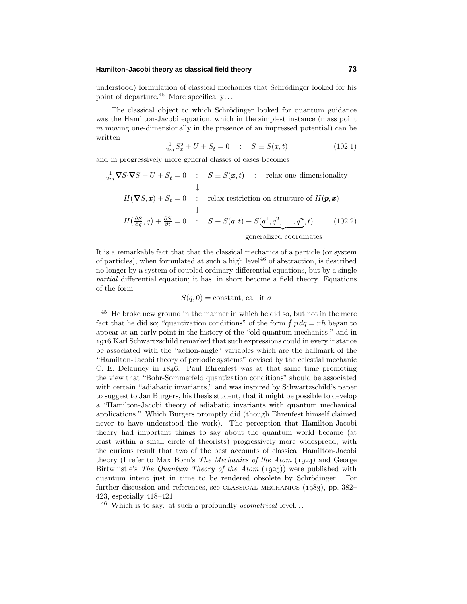understood) formulation of classical mechanics that Schrödinger looked for his point of departure.<sup>45</sup> More specifically*...*

The classical object to which Schrödinger looked for quantum guidance was the Hamilton-Jacobi equation, which in the simplest instance (mass point *m* moving one-dimensionally in the presence of an impressed potential) can be written

$$
\frac{1}{2m}S_x^2 + U + S_t = 0 \quad : \quad S \equiv S(x, t) \tag{102.1}
$$

and in progressively more general classes of cases becomes

$$
\frac{1}{2m}\nabla S \cdot \nabla S + U + S_t = 0 \qquad : \qquad S \equiv S(\mathbf{x}, t) \qquad : \qquad \text{relax one-dimensionality}
$$
\n
$$
H(\nabla S, \mathbf{x}) + S_t = 0 \qquad : \qquad \text{relax restriction on structure of } H(\mathbf{p}, \mathbf{x})
$$
\n
$$
H\left(\frac{\partial S}{\partial q}, q\right) + \frac{\partial S}{\partial t} = 0 \qquad : \qquad S \equiv S(q, t) \equiv S\left(q^1, q^2, \dots, q^n, t\right) \qquad (102.2)
$$
\ngeneralized coordinates

It is a remarkable fact that that the classical mechanics of a particle (or system of particles), when formulated at such a high level<sup>46</sup> of abstraction, is described no longer by a system of coupled ordinary differential equations, but by a single partial differential equation; it has, in short become a field theory. Equations of the form

# $S(q, 0) =$  constant, call it  $\sigma$

<sup>45</sup> He broke new ground in the manner in which he did so, but not in the mere fact that he did so; "quantization conditions" of the form  $\oint p \, dq = nh$  began to appear at an early point in the history of the "old quantum mechanics," and in 1916 Karl Schwartzschild remarked that such expressions could in every instance be associated with the "action-angle" variables which are the hallmark of the "Hamilton-Jacobi theory of periodic systems" devised by the celestial mechanic C. E. Delauney in  $1846$ . Paul Ehrenfest was at that same time promoting the view that "Bohr-Sommerfeld quantization conditions" should be associated with certain "adiabatic invariants," and was inspired by Schwartzschild's paper to suggest to Jan Burgers, his thesis student, that it might be possible to develop a "Hamilton-Jacobi theory of adiabatic invariants with quantum mechanical applications." Which Burgers promptly did (though Ehrenfest himself claimed never to have understood the work). The perception that Hamilton-Jacobi theory had important things to say about the quantum world became (at least within a small circle of theorists) progressively more widespread, with the curious result that two of the best accounts of classical Hamilton-Jacobi theory (I refer to Max Born's The Mechanics of the Atom  $(1924)$  and George Birtwhistle's The Quantum Theory of the Atom  $(1925)$  were published with quantum intent just in time to be rendered obsolete by Schrödinger. For further discussion and references, see CLASSICAL MECHANICS  $(1983)$ , pp. 382– 423, especially 418–421.

<sup>46</sup> Which is to say: at such a profoundly geometrical level*...*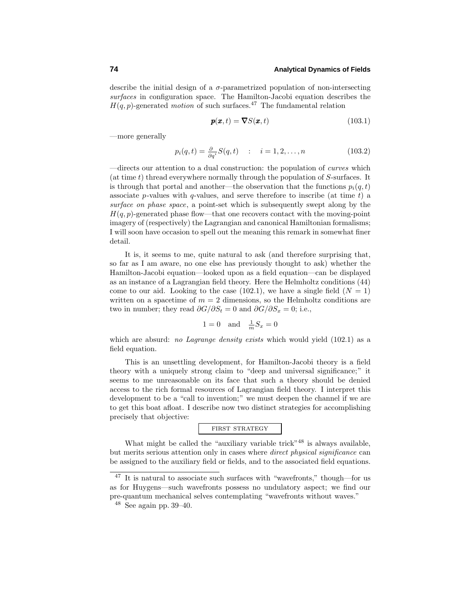# **74 Analytical Dynamics of Fields**

describe the initial design of a  $\sigma$ -parametrized population of non-intersecting surfaces in configuration space. The Hamilton-Jacobi equation describes the  $H(q, p)$ -generated motion of such surfaces.<sup>47</sup> The fundamental relation

$$
\mathbf{p}(\mathbf{x},t) = \nabla S(\mathbf{x},t) \tag{103.1}
$$

—more generally

$$
p_i(q,t) = \frac{\partial}{\partial q^i} S(q,t) \qquad i = 1, 2, \dots, n \tag{103.2}
$$

—directs our attention to a dual construction: the population of curves which (at time *t*) thread everywhere normally through the population of *S*-surfaces. It is through that portal and another—the observation that the functions  $p_i(q, t)$ associate *p*-values with *q*-values, and serve therefore to inscribe (at time *t*) a surface on phase space, a point-set which is subsequently swept along by the  $H(q, p)$ -generated phase flow—that one recovers contact with the moving-point imagery of (respectively) the Lagrangian and canonical Hamiltonian formalisms; I will soon have occasion to spell out the meaning this remark in somewhat finer detail.

It is, it seems to me, quite natural to ask (and therefore surprising that, so far as I am aware, no one else has previously thought to ask) whether the Hamilton-Jacobi equation—looked upon as a field equation—can be displayed as an instance of a Lagrangian field theory. Here the Helmholtz conditions (44) come to our aid. Looking to the case  $(102.1)$ , we have a single field  $(N = 1)$ written on a spacetime of  $m = 2$  dimensions, so the Helmholtz conditions are two in number; they read  $\partial G/\partial S_t = 0$  and  $\partial G/\partial S_x = 0$ ; i.e.,

$$
1 = 0 \quad \text{and} \quad \frac{1}{m} S_x = 0
$$

which are absurd: *no Lagrange density exists* which would yield (102.1) as a field equation.

This is an unsettling development, for Hamilton-Jacobi theory is a field theory with a uniquely strong claim to "deep and universal significance;" it seems to me unreasonable on its face that such a theory should be denied access to the rich formal resources of Lagrangian field theory. I interpret this development to be a "call to invention;" we must deepen the channel if we are to get this boat afloat. I describe now two distinct strategies for accomplishing precisely that objective:

FIRST STRATEGY

What might be called the "auxiliary variable trick"<sup>48</sup> is always available, but merits serious attention only in cases where *direct physical significance* can be assigned to the auxiliary field or fields, and to the associated field equations.

<sup>&</sup>lt;sup>47</sup> It is natural to associate such surfaces with "wavefronts," though—for us as for Huygens—such wavefronts possess no undulatory aspect; we find our pre-quantum mechanical selves contemplating "wavefronts without waves."

 $48$  See again pp. 39–40.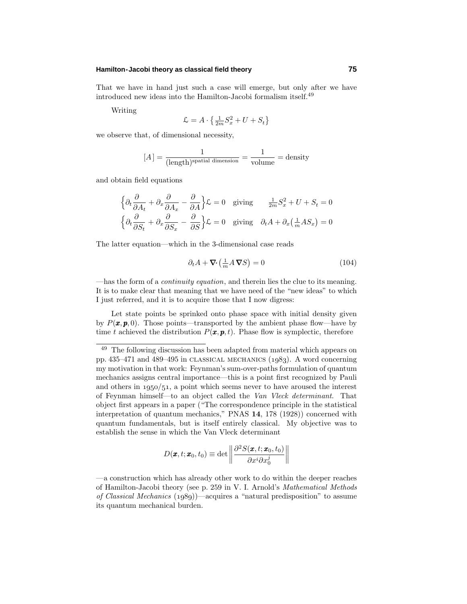That we have in hand just such a case will emerge, but only after we have introduced new ideas into the Hamilton-Jacobi formalism itself.<sup>49</sup>

Writing

$$
\mathcal{L} = A \cdot \left\{ \tfrac{1}{2m} S_x^2 + U + S_t \right\}
$$

we observe that, of dimensional necessity,

$$
[A] = \frac{1}{(\text{length})^{\text{spatial dimension}}} = \frac{1}{\text{volume}} = \text{density}
$$

and obtain field equations

$$
\left\{\partial_t \frac{\partial}{\partial A_t} + \partial_x \frac{\partial}{\partial A_x} - \frac{\partial}{\partial A}\right\} \mathcal{L} = 0 \quad \text{giving} \quad \frac{1}{2m} S_x^2 + U + S_t = 0
$$
  

$$
\left\{\partial_t \frac{\partial}{\partial S_t} + \partial_x \frac{\partial}{\partial S_x} - \frac{\partial}{\partial S}\right\} \mathcal{L} = 0 \quad \text{giving} \quad \partial_t A + \partial_x \left(\frac{1}{m} A S_x\right) = 0
$$

The latter equation—which in the 3-dimensional case reads

$$
\partial_t A + \nabla \cdot \left(\frac{1}{m} A \nabla S\right) = 0\tag{104}
$$

—has the form of a *continuity equation*, and therein lies the clue to its meaning. It is to make clear that meaning that we have need of the "new ideas" to which I just referred, and it is to acquire those that I now digress:

Let state points be sprinked onto phase space with initial density given by  $P(\mathbf{x}, \mathbf{p}, 0)$ . Those points—transported by the ambient phase flow—have by time *t* achieved the distribution  $P(\mathbf{x}, \mathbf{p}, t)$ . Phase flow is symplectic, therefore

$$
D(\boldsymbol{x},t;\boldsymbol{x}_0,t_0) \equiv \det \left\| \frac{\partial^2 S(\boldsymbol{x},t;\boldsymbol{x}_0,t_0)}{\partial x^i \partial x_0^j} \right\|
$$

 $^{49}\,$  The following discussion has been adapted from material which appears on pp.  $435-471$  and  $489-495$  in CLASSICAL MECHANICS  $(1983)$ . A word concerning my motivation in that work: Feynman's sum-over-paths formulation of quantum mechanics assigns central importance—this is a point first recognized by Pauli and others in  $1950/51$ , a point which seems never to have aroused the interest of Feynman himself—to an object called the Van Vleck determinant. That object first appears in a paper ("The correspondence principle in the statistical interpretation of quantum mechanics," PNAS **14**, 178 (1928)) concerned with quantum fundamentals, but is itself entirely classical. My objective was to establish the sense in which the Van Vleck determinant

<sup>—</sup>a construction which has already other work to do within the deeper reaches of Hamilton-Jacobi theory (see p. 259 in V. I. Arnold's Mathematical Methods of Classical Mechanics  $(1989)$ —acquires a "natural predisposition" to assume its quantum mechanical burden.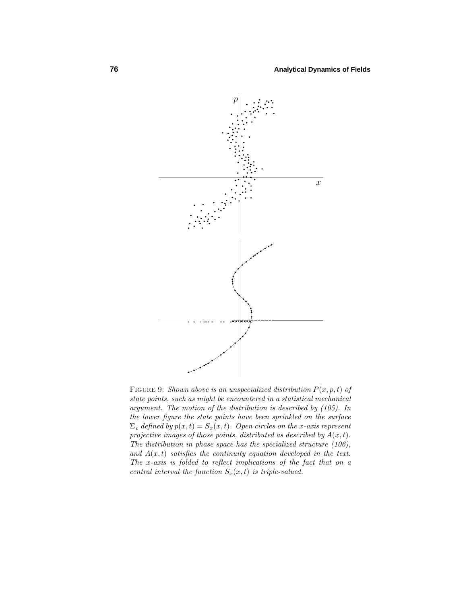

FIGURE 9: Shown above is an unspecialized distribution  $P(x, p, t)$  of state points, such as might be encountered in a statistical mechanical argument. The motion of the distribution is described by (105). In the lower figure the state points have been sprinkled on the surface  $\Sigma_t$  defined by  $p(x,t) = S_x(x,t)$ . Open circles on the *x*-axis represent projective images of those points, distributed as described by  $A(x,t)$ . The distribution in phase space has the specialized structure (106), and  $A(x, t)$  satisfies the continuity equation developed in the text. The *x*-axis is folded to reflect implications of the fact that on a central interval the function  $S_x(x,t)$  is triple-valued.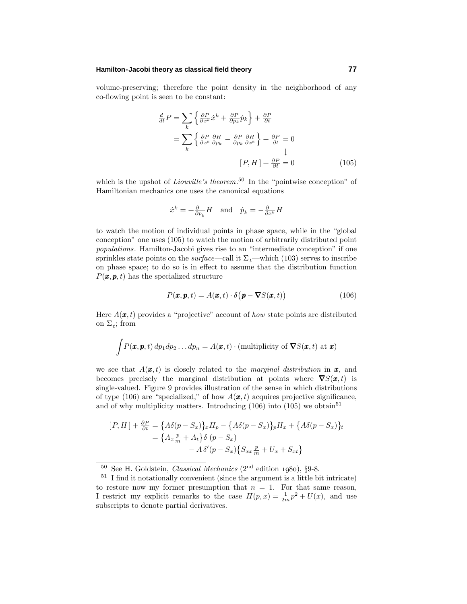volume-preserving; therefore the point density in the neighborhood of any co-flowing point is seen to be constant:

$$
\frac{d}{dt}P = \sum_{k} \left\{ \frac{\partial P}{\partial x^{k}} \dot{x}^{k} + \frac{\partial P}{\partial p_{k}} \dot{p}_{k} \right\} + \frac{\partial P}{\partial t}
$$
\n
$$
= \sum_{k} \left\{ \frac{\partial P}{\partial x^{k}} \frac{\partial H}{\partial p_{k}} - \frac{\partial P}{\partial p_{k}} \frac{\partial H}{\partial x^{k}} \right\} + \frac{\partial P}{\partial t} = 0
$$
\n
$$
[P, H] + \frac{\partial P}{\partial t} = 0
$$
\n(105)

which is the upshot of *Liouville's theorem*.<sup>50</sup> In the "pointwise conception" of Hamiltonian mechanics one uses the canonical equations

$$
\dot{x}^k = +\frac{\partial}{\partial p_k}H \quad \text{and} \quad \dot{p}_k = -\frac{\partial}{\partial x^k}H
$$

to watch the motion of individual points in phase space, while in the "global conception" one uses (105) to watch the motion of arbitrarily distributed point populations. Hamilton-Jacobi gives rise to an "intermediate conception" if one sprinkles state points on the *surface*—call it  $\Sigma_t$ —which (103) serves to inscribe on phase space; to do so is in effect to assume that the distribution function  $P(\mathbf{x}, \mathbf{p}, t)$  has the specialized structure

$$
P(\boldsymbol{x}, \boldsymbol{p}, t) = A(\boldsymbol{x}, t) \cdot \delta(\boldsymbol{p} - \nabla S(\boldsymbol{x}, t)) \tag{106}
$$

Here  $A(\mathbf{x}, t)$  provides a "projective" account of how state points are distributed on  $\Sigma_t$ ; from

$$
\int P(\boldsymbol{x}, \boldsymbol{p}, t) dp_1 dp_2 \dots dp_n = A(\boldsymbol{x}, t) \cdot (\text{multiplicity of } \nabla S(\boldsymbol{x}, t) \text{ at } \boldsymbol{x})
$$

we see that  $A(\mathbf{x},t)$  is closely related to the *marginal distribution* in  $\mathbf{x}$ , and becomes precisely the marginal distribution at points where  $\nabla S(\mathbf{x}, t)$  is single-valued. Figure 9 provides illustration of the sense in which distributions of type (106) are "specialized," of how  $A(\mathbf{x}, t)$  acquires projective significance, and of why multiplicity matters. Introducing  $(106)$  into  $(105)$  we obtain<sup>51</sup>

$$
[P, H] + \frac{\partial P}{\partial t} = \{A\delta(p - S_x)\}_x H_p - \{A\delta(p - S_x)\}_p H_x + \{A\delta(p - S_x)\}_t
$$

$$
= \{A_x \frac{p}{m} + A_t\} \delta(p - S_x)
$$

$$
- A\delta'(p - S_x) \{S_{xx} \frac{p}{m} + U_x + S_{xt}\}
$$

 $\frac{50}{20}$  See H. Goldstein, *Classical Mechanics* (2<sup>nd</sup> edition 1980), §9-8.

<sup>51</sup> I find it notationally convenient (since the argument is a little bit intricate) to restore now my former presumption that  $n = 1$ . For that same reason, I restrict my explicit remarks to the case  $H(p,x) = \frac{1}{2m}p^2 + U(x)$ , and use subscripts to denote partial derivatives.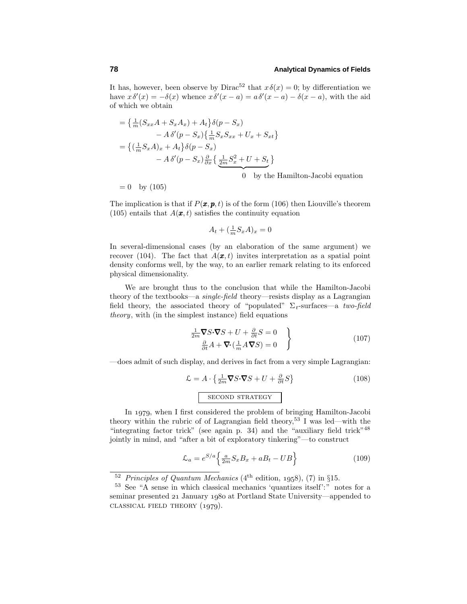## **78 Analytical Dynamics of Fields**

It has, however, been observe by Dirac<sup>52</sup> that  $x \delta(x) = 0$ ; by differentiation we have  $x\delta'(x) = -\delta(x)$  whence  $x\delta'(x-a) = a\delta'(x-a) - \delta(x-a)$ , with the aid of which we obtain

$$
= \left\{ \frac{1}{m} (S_{xx}A + S_x A_x) + A_t \right\} \delta(p - S_x)
$$
  
-  $A \delta'(p - S_x) \left\{ \frac{1}{m} S_x S_{xx} + U_x + S_{xt} \right\}$   

$$
= \left\{ (\frac{1}{m} S_x A)_x + A_t \right\} \delta(p - S_x)
$$
  
-  $A \delta'(p - S_x) \frac{\partial}{\partial x} \left\{ \frac{1}{2m} S_x^2 + U + S_t \right\}$   
0 by the Hamilton-Jacobi equation

 $= 0$  by  $(105)$ 

The implication is that if  $P(x, p, t)$  is of the form (106) then Liouville's theorem (105) entails that  $A(\mathbf{x}, t)$  satisfies the continuity equation

$$
A_t + (\frac{1}{m}S_x A)_x = 0
$$

In several-dimensional cases (by an elaboration of the same argument) we recover (104). The fact that  $A(\mathbf{x}, t)$  invites interpretation as a spatial point density conforms well, by the way, to an earlier remark relating to its enforced physical dimensionality.

We are brought thus to the conclusion that while the Hamilton-Jacobi theory of the textbooks—a single-field theory—resists display as a Lagrangian field theory, the associated theory of "populated"  $\Sigma_t$ -surfaces—a two-field theory, with (in the simplest instance) field equations

$$
\frac{1}{2m}\nabla S\cdot\nabla S + U + \frac{\partial}{\partial t}S = 0
$$
\n
$$
\frac{\partial}{\partial t}A + \nabla\cdot(\frac{1}{m}A\nabla S) = 0
$$
\n(107)

—does admit of such display, and derives in fact from a very simple Lagrangian:

$$
\mathcal{L} = A \cdot \left\{ \frac{1}{2m} \nabla S \cdot \nabla S + U + \frac{\partial}{\partial t} S \right\}
$$
\n(108)

\nSECOND STRATEGY

In 1979, when I first considered the problem of bringing Hamilton-Jacobi theory within the rubric of of Lagrangian field theory,<sup>53</sup> I was led—with the "integrating factor trick" (see again p. 34) and the "auxiliary field trick"<sup>48</sup> jointly in mind, and "after a bit of exploratory tinkering"—to construct

$$
\mathcal{L}_a = e^{S/a} \left\{ \frac{a}{2m} S_x B_x + a B_t - U B \right\} \tag{109}
$$

 $52$  Principles of Quantum Mechanics (4<sup>th</sup> edition, 1958), (7) in §15.

<sup>53</sup> See "A sense in which classical mechanics 'quantizes itself':" notes for a seminar presented 21 January 1980 at Portland State University—appended to CLASSICAL FIELD THEORY  $(1979)$ .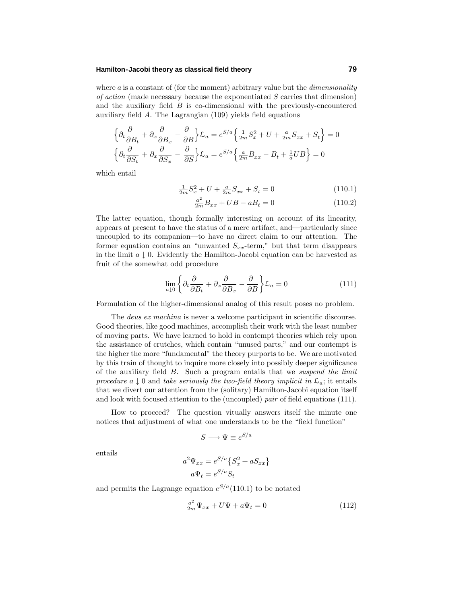where  $a$  is a constant of (for the moment) arbitrary value but the *dimensionality* of action (made necessary because the exponentiated *S* carries that dimension) and the auxiliary field *B* is co-dimensional with the previously-encountered auxiliary field *A*. The Lagrangian (109) yields field equations

$$
\left\{\partial_t \frac{\partial}{\partial B_t} + \partial_x \frac{\partial}{\partial B_x} - \frac{\partial}{\partial B}\right\} \mathcal{L}_a = e^{S/a} \left\{\frac{1}{2m} S_x^2 + U + \frac{a}{2m} S_{xx} + S_t\right\} = 0
$$
  

$$
\left\{\partial_t \frac{\partial}{\partial S_t} + \partial_x \frac{\partial}{\partial S_x} - \frac{\partial}{\partial S}\right\} \mathcal{L}_a = e^{S/a} \left\{\frac{a}{2m} B_{xx} - B_t + \frac{1}{a} U B\right\} = 0
$$

which entail

$$
\frac{1}{2m}S_x^2 + U + \frac{a}{2m}S_{xx} + S_t = 0\tag{110.1}
$$

$$
\frac{a^2}{2m}B_{xx} + UB - aB_t = 0
$$
\n(110.2)

The latter equation, though formally interesting on account of its linearity, appears at present to have the status of a mere artifact, and—particularly since uncoupled to its companion—to have no direct claim to our attention. The former equation contains an "unwanted  $S_{xx}$ -term," but that term disappears in the limit  $a \downarrow 0$ . Evidently the Hamilton-Jacobi equation can be harvested as fruit of the somewhat odd procedure

$$
\lim_{a \downarrow 0} \left\{ \partial_t \frac{\partial}{\partial B_t} + \partial_x \frac{\partial}{\partial B_x} - \frac{\partial}{\partial B} \right\} \mathcal{L}_a = 0 \tag{111}
$$

Formulation of the higher-dimensional analog of this result poses no problem.

The deus ex machina is never a welcome participant in scientific discourse. Good theories, like good machines, accomplish their work with the least number of moving parts. We have learned to hold in contempt theories which rely upon the assistance of crutches, which contain "unused parts," and our contempt is the higher the more "fundamental" the theory purports to be. We are motivated by this train of thought to inquire more closely into possibly deeper significance of the auxiliary field *B*. Such a program entails that we suspend the limit procedure  $a \downarrow 0$  and take seriously the two-field theory implicit in  $\mathcal{L}_a$ ; it entails that we divert our attention from the (solitary) Hamilton-Jacobi equation itself and look with focused attention to the (uncoupled) pair of field equations (111).

How to proceed? The question vitually answers itself the minute one notices that adjustment of what one understands to be the "field function"

$$
S \longrightarrow \Psi \equiv e^{S/a}
$$

entails

$$
a^2\Psi_{xx} = e^{S/a} \{S_x^2 + aS_{xx}\}
$$

$$
a\Psi_t = e^{S/a} S_t
$$

and permits the Lagrange equation  $e^{S/a}(110.1)$  to be notated

$$
\frac{a^2}{2m}\Psi_{xx} + U\Psi + a\Psi_t = 0\tag{112}
$$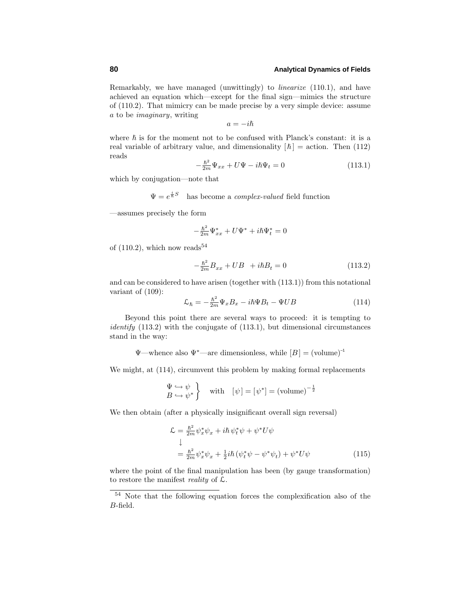# **80 Analytical Dynamics of Fields**

Remarkably, we have managed (unwittingly) to linearize (110.1), and have achieved an equation which—except for the final sign—mimics the structure of (110.2). That mimicry can be made precise by a very simple device: assume *a* to be imaginary, writing

$$
a=-i\hslash
$$

where  $\hbar$  is for the moment not to be confused with Planck's constant: it is a real variable of arbitrary value, and dimensionality  $\vert \hbar \vert$  = action. Then (112) reads

$$
-\frac{\hbar^2}{2m}\Psi_{xx} + U\Psi - i\hbar\Psi_t = 0\tag{113.1}
$$

which by conjugation—note that

$$
\Psi = e^{\frac{i}{\hbar}S}
$$
 has become a *complex-valued* field function

—assumes precisely the form

$$
-\frac{\hbar^2}{2m}\Psi_{xx}^* + U\Psi^* + i\hbar\Psi_t^* = 0
$$

of  $(110.2)$ , which now reads<sup>54</sup>

$$
-\frac{\hbar^2}{2m}B_{xx} + UB + i\hbar B_t = 0
$$
\n(113.2)

and can be considered to have arisen (together with (113.1)) from this notational variant of (109):

$$
\mathcal{L}_{\hbar} = -\frac{\hbar^2}{2m} \Psi_x B_x - i\hbar \Psi B_t - \Psi U B \tag{114}
$$

Beyond this point there are several ways to proceed: it is tempting to *identify*  $(113.2)$  with the conjugate of  $(113.1)$ , but dimensional circumstances stand in the way:

 $Ψ$ —whence also  $Ψ$ <sup>\*</sup>—are dimensionless, while  $[B] = (volume)^{-1}$ 

We might, at  $(114)$ , circumvent this problem by making formal replacements

$$
\begin{array}{c} \Psi \hookrightarrow \psi \\ B \hookrightarrow \psi^* \end{array} \bigg\} \quad \text{with} \quad [\psi] = [\psi^*] = (\text{volume})^{-\frac{1}{2}}
$$

We then obtain (after a physically insignificant overall sign reversal)

$$
\mathcal{L} = \frac{\hbar^2}{2m} \psi_x^* \psi_x + i\hbar \psi_t^* \psi + \psi^* U \psi
$$
\n
$$
\downarrow
$$
\n
$$
= \frac{\hbar^2}{2m} \psi_x^* \psi_x + \frac{1}{2} i\hbar (\psi_t^* \psi - \psi^* \psi_t) + \psi^* U \psi
$$
\n(115)

where the point of the final manipulation has been (by gauge transformation) to restore the manifest *reality* of  $\mathcal{L}$ .

<sup>54</sup> Note that the following equation forces the complexification also of the *B*-field.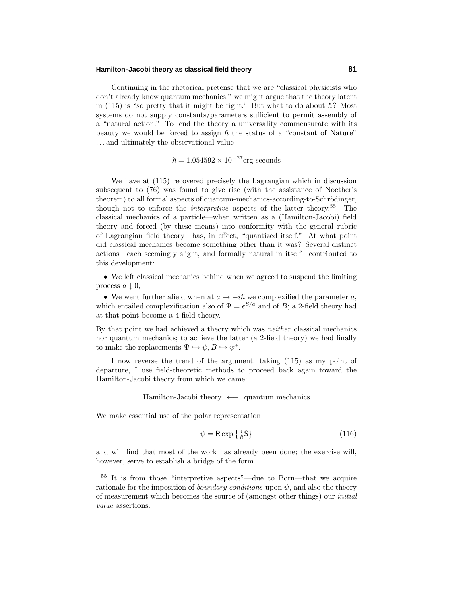Continuing in the rhetorical pretense that we are "classical physicists who don't already know quantum mechanics," we might argue that the theory latent in (115) is "so pretty that it might be right." But what to do about  $\hbar$ ? Most systems do not supply constants/parameters sufficient to permit assembly of a "natural action." To lend the theory a universality commensurate with its beauty we would be forced to assign  $\hbar$  the status of a "constant of Nature" *...* and ultimately the observational value

# $\hbar = 1.054592 \times 10^{-27}$ erg-seconds

We have at (115) recovered precisely the Lagrangian which in discussion subsequent to (76) was found to give rise (with the assistance of Noether's theorem) to all formal aspects of quantum-mechanics-according-to-Schrödinger, though not to enforce the *interpretive* aspects of the latter theory.<sup>55</sup> The classical mechanics of a particle—when written as a (Hamilton-Jacobi) field theory and forced (by these means) into conformity with the general rubric of Lagrangian field theory—has, in effect, "quantized itself." At what point did classical mechanics become something other than it was? Several distinct actions—each seemingly slight, and formally natural in itself—contributed to this development:

• We left classical mechanics behind when we agreed to suspend the limiting process  $a \downarrow 0$ ;

• We went further afield when at  $a \rightarrow -i\hbar$  we complexified the parameter *a*, which entailed complexification also of  $\Psi = e^{S/a}$  and of *B*; a 2-field theory had at that point become a 4-field theory.

By that point we had achieved a theory which was neither classical mechanics nor quantum mechanics; to achieve the latter (a 2-field theory) we had finally to make the replacements  $\Psi \hookrightarrow \psi, B \hookrightarrow \psi^*$ .

I now reverse the trend of the argument; taking (115) as my point of departure, I use field-theoretic methods to proceed back again toward the Hamilton-Jacobi theory from which we came:

Hamilton-Jacobi theory ←− quantum mechanics

We make essential use of the polar representation

$$
\psi = \mathsf{R} \exp\left\{\frac{i}{\hbar} \mathsf{S}\right\} \tag{116}
$$

and will find that most of the work has already been done; the exercise will, however, serve to establish a bridge of the form

<sup>55</sup> It is from those "interpretive aspects"—due to Born—that we acquire rationale for the imposition of *boundary conditions* upon  $\psi$ , and also the theory of measurement which becomes the source of (amongst other things) our initial value assertions.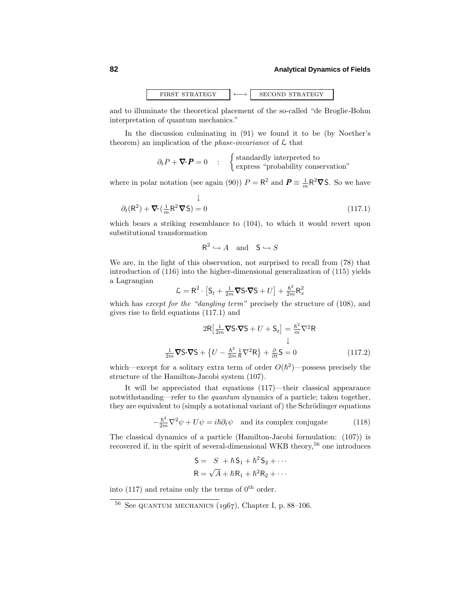$$
\begin{array}{c}\n\text{FIRST STRATEGY} \\
\longleftrightarrow \\
\end{array}\n\quad\n\begin{array}{c}\n\text{SECOND STRATEGY}\n\end{array}
$$

and to illuminate the theoretical placement of the so-called "de Broglie-Bohm interpretation of quantum mechanics."

In the discussion culminating in (91) we found it to be (by Noether's theorem) an implication of the *phase-invariance* of  $\mathcal{L}$  that

$$
\partial_t P + \nabla \cdot P = 0 \qquad : \quad \begin{cases} \text{standardly interpreted to} \\ \text{express "probability conservation"} \end{cases}
$$

where in polar notation (see again (90))  $P = \mathsf{R}^2$  and  $\mathsf{P} \equiv \frac{1}{m} \mathsf{R}^2 \nabla S$ . So we have

$$
\downarrow
$$
\n
$$
\partial_t(\mathbf{R}^2) + \nabla \cdot (\frac{1}{m} \mathbf{R}^2 \nabla \mathbf{S}) = 0
$$
\n(117.1)

which bears a striking resemblance to  $(104)$ , to which it would revert upon substitutional transformation

$$
\mathsf{R}^2 \hookrightarrow A \quad \text{and} \quad \mathsf{S} \hookrightarrow S
$$

We are, in the light of this observation, not surprised to recall from (78) that introduction of (116) into the higher-dimensional generalization of (115) yields a Lagrangian

$$
\mathcal{L} = \mathsf{R}^2 \cdot \left[ \mathsf{S}_t + \frac{1}{2m} \mathbf{\nabla} \mathsf{S} \cdot \mathbf{\nabla} \mathsf{S} + U \right] + \frac{\hbar^2}{2m} \mathsf{R}_x^2
$$

which has *except for the "dangling term"* precisely the structure of (108), and gives rise to field equations (117.1) and

$$
2R\left[\frac{1}{2m}\nabla S\cdot\nabla S + U + S_t\right] = \frac{\hbar^2}{m}\nabla^2 R
$$
  

$$
\downarrow
$$
  

$$
\frac{1}{2m}\nabla S\cdot\nabla S + \left\{U - \frac{\hbar^2}{2m}\frac{1}{R}\nabla^2 R\right\} + \frac{\partial}{\partial t}S = 0
$$
 (117.2)

which—except for a solitary extra term of order  $O(\hbar^2)$ —possess precisely the structure of the Hamilton-Jacobi system (107).

It will be appreciated that equations (117)—their classical appearance notwithstanding—refer to the quantum dynamics of a particle; taken together, they are equivalent to (simply a notational variant of) the Schrödinger equations

$$
-\frac{\hbar^2}{2m}\nabla^2\psi + U\psi = i\hbar\partial_t\psi \quad \text{and its complex conjugate} \tag{118}
$$

The classical dynamics of a particle (Hamilton-Jacobi formulation: (107)) is recovered if, in the spirit of several-dimensional WKB theory,<sup>56</sup> one introduces

$$
S = S + \hbar S_1 + \hbar^2 S_2 + \cdots
$$
  
\n
$$
R = \sqrt{A} + \hbar R_1 + \hbar^2 R_2 + \cdots
$$

into (117) and retains only the terms of  $0<sup>th</sup>$  order.

 $56$  See QUANTUM MECHANICS  $(1967)$ , Chapter I, p. 88–106.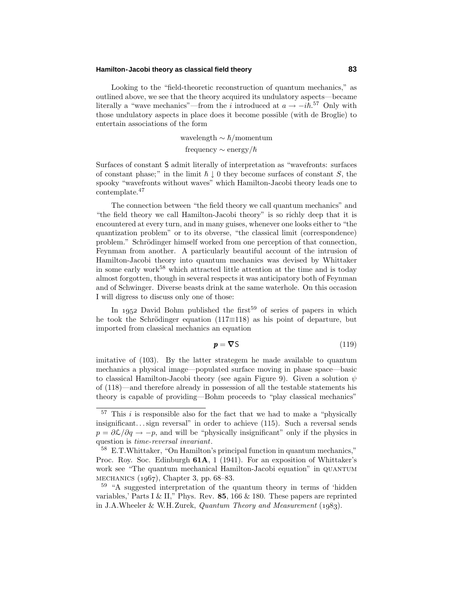Looking to the "field-theoretic reconstruction of quantum mechanics," as outlined above, we see that the theory acquired its undulatory aspects—became literally a "wave mechanics"—from the *i* introduced at  $a \to -i\hbar$ <sup>57</sup> Only with those undulatory aspects in place does it become possible (with de Broglie) to entertain associations of the form

> wavelength ∼  $\hbar$ /momentum frequency ∼ energy*/*

Surfaces of constant S admit literally of interpretation as "wavefronts: surfaces of constant phase;" in the limit  $\hbar \downarrow 0$  they become surfaces of constant *S*, the spooky "wavefronts without waves" which Hamilton-Jacobi theory leads one to contemplate.<sup>47</sup>

The connection between "the field theory we call quantum mechanics" and "the field theory we call Hamilton-Jacobi theory" is so richly deep that it is encountered at every turn, and in many guises, whenever one looks either to "the quantization problem" or to its obverse, "the classical limit (correspondence) problem." Schrödinger himself worked from one perception of that connection, Feynman from another. A particularly beautiful account of the intrusion of Hamilton-Jacobi theory into quantum mechanics was devised by Whittaker in some early work<sup>58</sup> which attracted little attention at the time and is today almost forgotten, though in several respects it was anticipatory both of Feynman and of Schwinger. Diverse beasts drink at the same waterhole. On this occasion I will digress to discuss only one of those:

In 1952 David Bohm published the first<sup>59</sup> of series of papers in which he took the Schrödinger equation (117 $\equiv$ 118) as his point of departure, but imported from classical mechanics an equation

$$
p = \nabla S \tag{119}
$$

imitative of (103). By the latter strategem he made available to quantum mechanics a physical image—populated surface moving in phase space—basic to classical Hamilton-Jacobi theory (see again Figure 9). Given a solution *ψ* of (118)—and therefore already in possession of all the testable statements his theory is capable of providing—Bohm proceeds to "play classical mechanics"

 $57$  This  $i$  is responsible also for the fact that we had to make a "physically" insignificant*...*sign reversal" in order to achieve (115). Such a reversal sends  $p = \partial \mathcal{L}/\partial q \rightarrow -p$ , and will be "physically insignificant" only if the physics in question is time-reversal invariant.

<sup>58</sup> E.T.Whittaker, "On Hamilton's principal function in quantum mechanics," Proc. Roy. Soc. Edinburgh **61A**, 1 (1941). For an exposition of Whittaker's work see "The quantum mechanical Hamilton-Jacobi equation" in quantum MECHANICS  $(1967)$ , Chapter 3, pp. 68–83.

<sup>59</sup> "A suggested interpretation of the quantum theory in terms of 'hidden variables,' Parts I & II," Phys. Rev. **85**, 166 & 180. These papers are reprinted in J.A.Wheeler & W.H.Zurek, Quantum Theory and Measurement  $(1983)$ .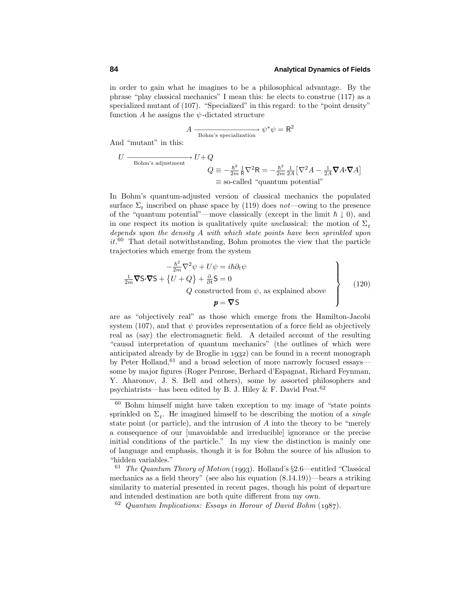in order to gain what he imagines to be a philosophical advantage. By the phrase "play classical mechanics" I mean this: he elects to construe (117) as a specialized mutant of (107). "Specialized" in this regard: to the "point density" function *A* he assigns the  $\psi$ -dictated structure

$$
A \xrightarrow{\text{Bohm's specialization}} \psi^* \psi = \mathsf{R}^2
$$

And "mutant" in this:

$$
U \xrightarrow{\text{Bohm's adjustment}} U + Q
$$
  

$$
Q \equiv -\frac{\hbar^2}{2m} \frac{1}{R} \nabla^2 R = -\frac{\hbar^2}{2m} \frac{1}{2A} \left[ \nabla^2 A - \frac{1}{2A} \nabla A \cdot \nabla A \right]
$$
  

$$
\equiv \text{so-called "quantum potential"}
$$

In Bohm's quantum-adjusted version of classical mechanics the populated surface  $\Sigma_t$  inscribed on phase space by (119) does not—owing to the presence of the "quantum potential"—move classically (except in the limit  $\hbar \downarrow 0$ ), and in one respect its motion is qualitatively quite unclassical: the motion of  $\Sigma_t$ depends upon the density *A* with which state points have been sprinkled upon  $it.^{60}$  That detail notwithstanding, Bohm promotes the view that the particle trajectories which emerge from the system

$$
-\frac{\hbar^2}{2m}\nabla^2\psi + U\psi = i\hbar\partial_t\psi
$$
\n
$$
\frac{1}{2m}\nabla S\cdot\nabla S + \left\{U + Q\right\} + \frac{\partial}{\partial t}S = 0
$$
\n
$$
Q \text{ constructed from } \psi, \text{ as explained above}
$$
\n
$$
\mathbf{p} = \nabla S
$$
\n(120)

are as "objectively real" as those which emerge from the Hamilton-Jacobi system (107), and that  $\psi$  provides representation of a force field as objectively real as (say) the electromagnetic field. A detailed account of the resulting "causal interpretation of quantum mechanics" (the outlines of which were anticipated already by de Broglie in  $1932$  can be found in a recent monograph by Peter Holland, $61$  and a broad selection of more narrowly focused essayssome by major figures (Roger Penrose, Berhard d'Espagnat, Richard Feynman, Y. Aharonov, J. S. Bell and others), some by assorted philosophers and psychiatrists—has been edited by B. J. Hiley  $\&$  F. David Peat.<sup>62</sup>

<sup>60</sup> Bohm himself might have taken exception to my image of "state points sprinkled on  $\Sigma_t$ . He imagined himself to be describing the motion of a *single* state point (or particle), and the intrusion of *A* into the theory to be "merely a consequence of our [unavoidable and irreducible] ignorance or the precise initial conditions of the particle." In my view the distinction is mainly one of language and emphasis, though it is for Bohm the source of his allusion to "hidden variables."

<sup>&</sup>lt;sup>61</sup> The Quantum Theory of Motion (1993). Holland's §2.6—entitled "Classical mechanics as a field theory" (see also his equation (8.14.19))—bears a striking similarity to material presented in recent pages, though his point of departure and intended destination are both quite different from my own.

 $62$  Quantum Implications: Essays in Horour of David Bohm  $(1987)$ .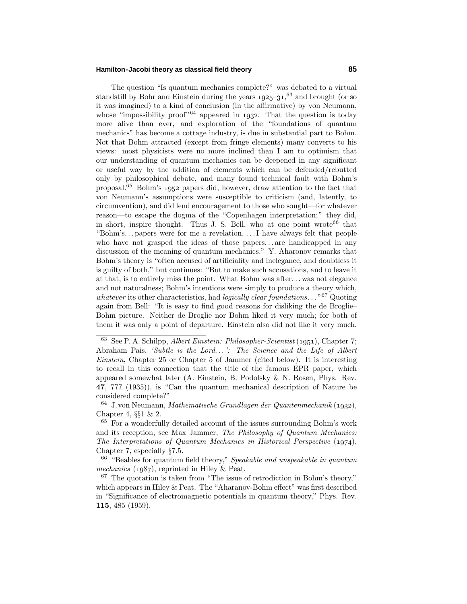The question "Is quantum mechanics complete?" was debated to a virtual standstill by Bohr and Einstein during the years  $1925-31$ ,  $63$  and brought (or so it was imagined) to a kind of conclusion (in the affirmative) by von Neumann, whose "impossibility proof"<sup>64</sup> appeared in 1932. That the question is today more alive than ever, and exploration of the "foundations of quantum mechanics" has become a cottage industry, is due in substantial part to Bohm. Not that Bohm attracted (except from fringe elements) many converts to his views: most physicists were no more inclined than I am to optimism that our understanding of quantum mechanics can be deepened in any significant or useful way by the addition of elements which can be defended/rebutted only by philosophical debate, and many found technical fault with Bohm's proposal.<sup>65</sup> Bohm's 1952 papers did, however, draw attention to the fact that von Neumann's assumptions were susceptible to criticism (and, latently, to circumvention), and did lend encouragement to those who sought—for whatever reason—to escape the dogma of the "Copenhagen interpretation;" they did, in short, inspire thought. Thus J. S. Bell, who at one point wrote<sup>66</sup> that "Bohm's*...* papers were for me a revelation. *...*I have always felt that people who have not grasped the ideas of those papers*...* are handicapped in any discussion of the meaning of quantum mechanics." Y. Aharonov remarks that Bohm's theory is "often accused of artificiality and inelegance, and doubtless it is guilty of both," but continues: "But to make such accusations, and to leave it at that, is to entirely miss the point. What Bohm was after*...* was not elegance and not naturalness; Bohm's intentions were simply to produce a theory which, whatever its other characteristics, had logically clear foundations*...* "<sup>67</sup> Quoting again from Bell: "It is easy to find good reasons for disliking the de Broglie– Bohm picture. Neither de Broglie nor Bohm liked it very much; for both of them it was only a point of departure. Einstein also did not like it very much.

 $63$  See P. A. Schilpp, *Albert Einstein: Philosopher-Scientist* (1951), Chapter 7; Abraham Pais, 'Subtle is the Lord*...* ': The Science and the Life of Albert Einstein, Chapter 25 or Chapter 5 of Jammer (cited below). It is interesting to recall in this connection that the title of the famous EPR paper, which appeared somewhat later (A. Einstein, B. Podolsky & N. Rosen, Phys. Rev. **47**, 777 (1935)), is "Can the quantum mechanical description of Nature be considered complete?"

 $64$  J.von Neumann, Mathematische Grundlagen der Quantenmechanik (1932), Chapter 4, §§1 & 2.

 $65$  For a wonderfully detailed account of the issues surrounding Bohm's work and its reception, see Max Jammer, The Philosophy of Quantum Mechanics: The Interpretations of Quantum Mechanics in Historical Perspective  $(1974)$ , Chapter 7, especially §7.5.

 $66$  "Beables for quantum field theory," Speakable and unspeakable in quantum mechanics  $(1987)$ , reprinted in Hiley & Peat.

 $67$  The quotation is taken from "The issue of retrodiction in Bohm's theory," which appears in Hiley & Peat. The "Aharanov-Bohm effect" was first described in "Significance of electromagnetic potentials in quantum theory," Phys. Rev. **115**, 485 (1959).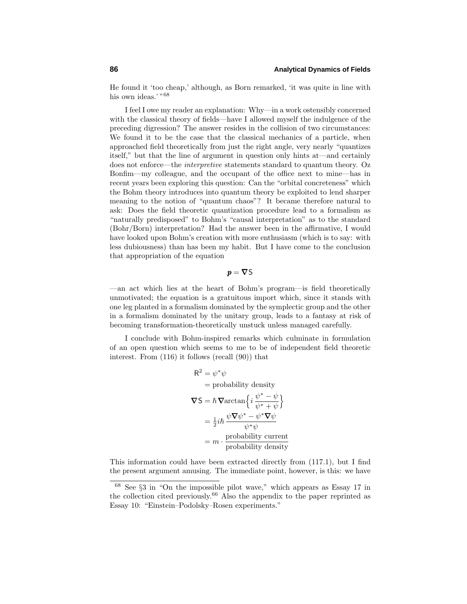He found it 'too cheap,' although, as Born remarked, 'it was quite in line with his own ideas.'"68

I feel I owe my reader an explanation: Why—in a work ostensibly concerned with the classical theory of fields—have I allowed myself the indulgence of the preceding digression? The answer resides in the collision of two circumstances: We found it to be the case that the classical mechanics of a particle, when approached field theoretically from just the right angle, very nearly "quantizes itself," but that the line of argument in question only hints at—and certainly does not enforce—the interpretive statements standard to quantum theory. Oz Bonfim—my colleague, and the occupant of the office next to mine—has in recent years been exploring this question: Can the "orbital concreteness" which the Bohm theory introduces into quantum theory be exploited to lend sharper meaning to the notion of "quantum chaos"? It became therefore natural to ask: Does the field theoretic quantization procedure lead to a formalism as "naturally predisposed" to Bohm's "causal interpretation" as to the standard (Bohr/Born) interpretation? Had the answer been in the affirmative, I would have looked upon Bohm's creation with more enthusiasm (which is to say: with less dubiousness) than has been my habit. But I have come to the conclusion that appropriation of the equation

$$
\boldsymbol{p} = \boldsymbol{\nabla} \boldsymbol{\mathsf{S}}
$$

—an act which lies at the heart of Bohm's program—is field theoretically unmotivated; the equation is a gratuitous import which, since it stands with one leg planted in a formalism dominated by the symplectic group and the other in a formalism dominated by the unitary group, leads to a fantasy at risk of becoming transformation-theoretically unstuck unless managed carefully.

I conclude with Bohm-inspired remarks which culminate in formulation of an open question which seems to me to be of independent field theoretic interest. From (116) it follows (recall (90)) that

$$
R^{2} = \psi^{*}\psi
$$
  
= probability density  

$$
\nabla S = \hbar \nabla \arctan\left\{i\frac{\psi^{*} - \psi}{\psi^{*} + \psi}\right\}
$$
  

$$
= \frac{1}{2}i\hbar \frac{\psi \nabla \psi^{*} - \psi^{*} \nabla \psi}{\psi^{*} \psi}
$$
  

$$
= m \cdot \frac{\text{probability current}}{\text{probability density}}
$$

This information could have been extracted directly from (117.1), but I find the present argument amusing. The immediate point, however, is this: we have

 $68$  See  $\S3$  in "On the impossible pilot wave," which appears as Essay 17 in the collection cited previously.<sup>66</sup> Also the appendix to the paper reprinted as Essay 10: "Einstein–Podolsky–Rosen experiments."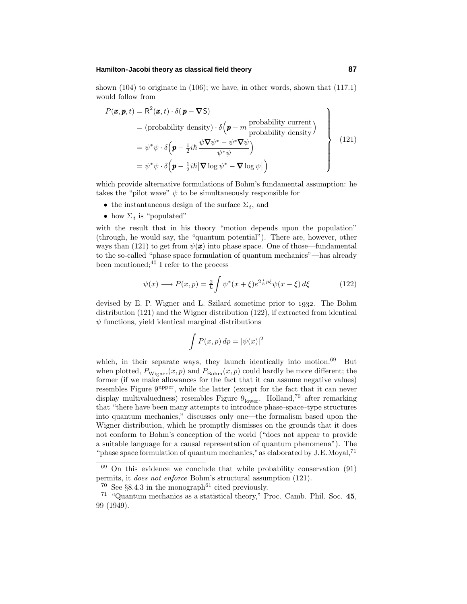shown  $(104)$  to originate in  $(106)$ ; we have, in other words, shown that  $(117.1)$ would follow from

$$
P(\mathbf{x}, \mathbf{p}, t) = \mathsf{R}^2(\mathbf{x}, t) \cdot \delta(\mathbf{p} - \nabla \mathsf{S})
$$
  
\n
$$
= (\text{probability density}) \cdot \delta(\mathbf{p} - m \frac{\text{probability current}}{\text{probability density}})
$$
  
\n
$$
= \psi^* \psi \cdot \delta(\mathbf{p} - \frac{1}{2} i \hbar \frac{\psi \nabla \psi^* - \psi^* \nabla \psi}{\psi^* \psi})
$$
  
\n
$$
= \psi^* \psi \cdot \delta(\mathbf{p} - \frac{1}{2} i \hbar [\nabla \log \psi^* - \nabla \log \psi])
$$
\n(121)

which provide alternative formulations of Bohm's fundamental assumption: he takes the "pilot wave"  $\psi$  to be simultaneously responsible for

- the instantaneous design of the surface  $\Sigma_t$ , and
- how  $\Sigma_t$  is "populated"

with the result that in his theory "motion depends upon the population" (through, he would say, the "quantum potential"). There are, however, other ways than (121) to get from  $\psi(\mathbf{x})$  into phase space. One of those—fundamental to the so-called "phase space formulation of quantum mechanics"—has already been mentioned;<sup>40</sup> I refer to the process

$$
\psi(x) \longrightarrow P(x, p) = \frac{2}{\hbar} \int \psi^*(x + \xi) e^{2\frac{i}{\hbar}p\xi} \psi(x - \xi) d\xi \tag{122}
$$

devised by E. P. Wigner and L. Szilard sometime prior to  $1932$ . The Bohm distribution (121) and the Wigner distribution (122), if extracted from identical  $\psi$  functions, yield identical marginal distributions

$$
\int P(x, p) dp = |\psi(x)|^2
$$

which, in their separate ways, they launch identically into motion. $69$  But when plotted,  $P_{\text{Wigner}}(x, p)$  and  $P_{\text{Bohm}}(x, p)$  could hardly be more different; the former (if we make allowances for the fact that it can assume negative values) resembles Figure 9<sup>upper</sup>, while the latter (except for the fact that it can never display multivaluedness) resembles Figure  $9_{\text{lower}}$ . Holland,<sup>70</sup> after remarking that "there have been many attempts to introduce phase-space-type structures into quantum mechanics," discusses only one—the formalism based upon the Wigner distribution, which he promptly dismisses on the grounds that it does not conform to Bohm's conception of the world ("does not appear to provide a suitable language for a causal representation of quantum phenomena"). The "phase space formulation of quantum mechanics," as elaborated by J.E. Moyal,<sup>71</sup>

 $69$  On this evidence we conclude that while probability conservation  $(91)$ permits, it does not enforce Bohm's structural assumption (121).

 $70$  See §8.4.3 in the monograph<sup>61</sup> cited previously.

<sup>71</sup> "Quantum mechanics as a statistical theory," Proc. Camb. Phil. Soc. **45**, 99 (1949).